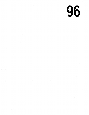96

 $\mathbb{R}_+$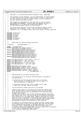/\* \* Copyright (c) International Business Machines Corp., 2000−2002  $\frac{3}{4}$  \* This program is free software; you can redistribute it and/or modify \* it under the terms of the GNU General Public License as published by <sup>6</sup> \* the Free Software Foundation; either version 2 of the License, or \* (at your option) any later version. \* % \* This program is distributed in the hope that it will be useful,<br>"but WITHOUT ANY WARRANTY; without even the implied warranty of<br>"\* MERCHANTABILITY or FITNESS FOR A PARTICULAR PURPOSE. See<br>"\* the GNU General Public Lice <br> $14$ <sup>14</sup> \* You should have received a copy of the GNU General Public License<br><sup>15</sup> \* along with this program: if not, write to the Free Software \* along with this program; if not, write to the Free Software <sup>16</sup> \* Foundation, Inc., 59 Temple Place, Suite 330, Boston, MA 02111−1307 USA  $17 \times /$  **#include** <linux/fs.h> <sup>20</sup> **#include** "jfs\_incore.h" **#include** "jfs\_dmap.h" <sup>22</sup> **#include** "jfs\_imap.h" **#include** "jfs\_lock.h" **#include** "jfs\_metapage.h" <sup>25</sup> **#include** "jfs\_debug.h"  $27 / *$  \* Debug code for double−checking block map  $29 \t*/$ <br>30 /\* #define  $JFS$  DEBUG DMAP 1 \*/ **#ifdef** \_JFS\_DEBUG\_DMAP  $\frac{1}{33}$  **#define** DBINITMAP(size, ipbmap, results) \ DBinitmap(size,ipbmap,results) **#define** DBALLOC(dbmap,mapsize,blkno,nblocks) \ DBAlloc(dbmap,mapsize,blkno,nblocks) **#define** DBFREE(dbmap, mapsize, blkno, nblocks) DBFree(dbmap, mapsize, blkno, nblocks) 38 DBFree(dbmap, mapsize,blkno,nblocks)<br>39 **#define** DBALLOCCK(dbmap, mapsize,blkno,nblocks) **#define** DBALLOCCK(dbmap,mapsize,blkno,nblocks) \ DBAllocCK(dbmap,mapsize,blkno,nblocks) <sup>41</sup> **#define** DBFREECK(dbmap,mapsize,blkno,nblocks) \ DBFreeCK(dbmap,mapsize,blkno,nblocks) **static** void DBinitmap(s64, struct inode \*, u32 \*\*); <sup>45</sup> **static** void DBAlloc(uint \*, s64, s64, s64); <sup>46</sup> **static** void DBFree(uint \*, s64, s64, s64); <sup>47</sup> **static** void DBAllocCK(uint \*, s64, s64, s64); **static** void DBFreeCK(uint \*, s64, s64, s64); **#else #define** DBINITMAP(size,ipbmap,results) <sup>51</sup> **#define** DBALLOC(dbmap, mapsize, blkno, nblocks) **#define** DBFREE(dbmap, mapsize, blkno, nblocks) **#define** DBALLOCCK(dbmap, mapsize, blkno, nblocks) <sup>54</sup> **#define** DBFREECK(dbmap, mapsize, blkno, nblocks) **#endif** /\* \_JFS\_DEBUG\_DMAP \*/ 57  $\frac{7}{10}$   $\frac{7}{10}$  \* SERIALIZATION of the Block Allocation Map.  $\frac{59}{60}$ the working state of the block allocation map is accessed in \* two directions: 62<br>63 \* 1) allocation and free requests that start at the dmap<br> $64$  \* level and move up through the dmap control pages (i level and move up through the dmap control pages  $(i.e.$  \* the vast majority of requests). 66<br>67  $67 * 2$ ) allocation requests that start at dmap control page<br> $68 * 1$  level and work down towards the dmaps. level and work down towards the dmaps. 69<br>70 the serialization scheme used here is as follows. <br> $72$  \* requests which start at the bottom are serialized against each 73 \* other through buffers and each requests holds onto its buffers<br>74 \* as it works it way up from a single dmap to the required level as it works it way up from a single dmap to the required level \* of dmap control page. \* requests that start at the top are serialized against each other<br>  $77$  \* and request that start from the bottom by the multiple read/sing. \* and request that start from the bottom by the multiple read/single \* write inode lock of the bmap inode. requests starting at the top take this lock in write mode while request starting at the bottom \* take the lock in read mode. a single top−down request may proceed <sup>81</sup> \* exclusively while multiple bottoms−up requests may proceed \* simultaneously (under the protection of busy buffers). <br> $84$ <sup>84</sup> \* in addition to information found in dmaps and dmap control pages<br>85<sup>\*</sup> the working state of the block allocation map also includes read \* the working state of the block allocation map also includes read/ <sup>86</sup> \* write information maintained in the bmap descriptor (i.e. total <sup>87</sup> \* free block count, allocation group level free block counts). 88 \* a single exclusive lock (BMAP\_LOCK) is used to guard this information<br>89 \* in the face of multiple-bottoms up requests. in the face of multiple-bottoms up requests. \* (lock ordering: IREAD\_LOCK, BMAP\_LOCK); Registered Version: Linux Kernel Support for JFS **ifs dmap.c** Exhibit 12.1−1 pg 1/47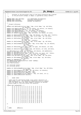91 <sup>92</sup> \* accesses to the persistent state of the block allocation map (limited et a consider the persistent bitmaps in dmaps) is guarded by (busy) buffers.<br>
<sup>94</sup> <sup>\*</sup>/  $\star$  / 95 <sup>96</sup> **#define** BMAP\_LOCK\_INIT(bmp) init\_MUTEX(&bmp−>db\_bmaplock) <sup>97</sup> **#define** BMAP\_LOCK(bmp) down(&bmp−>db\_bmaplock) <sup>98</sup> **#define** BMAP\_UNLOCK(bmp) up(&bmp−>db\_bmaplock) 99  $100$ <br> $101$  $*$  forward references 102<br>103 <sup>103</sup> **static** void dbAllocBits(struct bmap \* bmp, struct dmap \* dp, s64 blkno,<br><sup>104</sup> int nblocks);<br>
int nblocks);<br>
it is static void dbSplit(dmtree\_t \* tp, int leafno, int splitsz, int newval);<br>
it is static void dbDackSplit(dmtree\_t \* tp, int leafno);<br>
static void dbDoin(dmtree\_t \* tp, int leafno, int new <sup>111</sup> **static** int dbAllocAny(struct bmap \* bmp, s64 nblocks, int l2nb, s64 \* results); 112 **static** int dbAllocNext(struct bmap \* bmp, struct dmap \* dp, s64 blkno, 113 int nblocks);<br>114 **static** int dbAllocNear(struct bmap \* static int dbAllocNear(struct bmap \* bmp, struct dmap \* dp, s64 blkno, <sup>115</sup> int nblocks, <sup>116</sup> int l2nb, s64 \* results); <sup>117</sup> **static** int dbAllocDmap(struct bmap \* bmp, struct dmap \* dp, s64 blkno, 118 int nblocks); <sup>119</sup> **static** int dbAllocDmapLev(struct bmap \* bmp, struct dmap \* dp, int nblocks, <sup>120</sup> int l2nb, <sup>121</sup> s64 \* results); <sup>122</sup> **static** int dbAllocAG(struct bmap \* bmp, int agno, s64 nblocks, int l2nb, <sup>123</sup> s64 \* results); <sup>124</sup> **static** int dbAllocCtl(struct bmap \* bmp, s64 nblocks, int l2nb, s64 blkno, <sup>125</sup> s64 \* results); <sup>126</sup> int dbExtend(struct inode \*ip, s64 blkno, s64 nblocks, s64 addnblocks); <sup>127</sup> **static** int dbFindBits(u32 word, int l2nb); 128 **static** int dbFindCtl(struct bmap \* bmp, int l2nb, int level, s64 \* blkno);<br> **static** int dbFindLeaf(dmtree\_t \* tp, int l2nb, int \*leafidx);<br> **static** void dbFreeBits(struct bmap \* bmp, struct dmap \* dp, s64 blkno,<br> 133 int nblocks);<br>134 **static** int dbMaxBud(u8  $*$  cp); static int dbMaxBud(u8 \* cp); <sup>135</sup> s64 dbMapFileSizeToMapSize(struct inode \*ipbmap); <sup>136</sup> int blkstol2(s64 nb); <sup>137</sup> void fsDirty(void); 138 int cntlz(u32 value); <sup>140</sup> int cnttz(u32 word); 141 <sup>142</sup> **static** int dbAllocDmapBU(struct bmap \* bmp, struct dmap \* dp, s64 blkno, int nblocks);<br>144 static int dbInitDmap(struct dmap \* dp, s64 blkno, int nblocks);<br>146 static int dbInitDmapTree(struct dmap \* dp);<br>146 static int dbInitTree(struct dmaptree \* dtp);<br>147 static int dbInitDmapCtl(struct dmap <sup>148</sup> **static** int dbGetL2AGSize(s64 nblocks); 149  $150 / *$  $151 \times$  buddy table 152<br>153 153  $*$  table used for determining buddy sizes within characters of<br>154  $*$  dmap bitmap words. The characters themselves serve as inde <sup>154</sup> \* dmap bitmap words. the characters themselves serve as indexes <sup>155</sup> \* into the table, with the table elements yielding the maximum <sup>156</sup> \* binary buddy of free bits within the character.  $157$  \*/<br>158  $519$  $signed char$  budtab $[256] =$ <sup>159</sup> 3, 2, 2, 2, 2, 2, 2, 2, 2, 2, 2, 2, 2, 2, 2, 2, <sup>160</sup> 2, 1, 1, 1, 1, 1, 1, 1, 1, 1, 1, 1, 1, 1, 1, 1, 161  $\overline{2}$ ,  $\overline{1}$ ,  $\overline{1}$ ,  $\overline{1}$ ,  $\overline{1}$ ,  $\overline{1}$ ,  $\overline{1}$ ,  $\overline{1}$ ,  $\overline{1}$ ,  $\overline{1}$ ,  $\overline{1}$ ,  $\overline{1}$ ,  $\overline{1}$ ,  $\overline{1}$ ,  $\overline{1}$ ,  $\overline{1}$ ,  $\overline{1}$ ,  $\overline{1}$ ,  $\overline{1}$ ,  $\overline{1}$ ,  $\overline{1}$ ,  $\overline{1}$ <sup>162</sup> 2, 1, 1, 1, 1, 1, 1, 1, 1, 1, 1, 1, 1, 1, 1, 1, <sup>163</sup> 2, 1, 1, 1, 1, 1, 1, 1, 1, 1, 1, 1, 1, 1, 1, 1, 2, 1, 1, 1, 1, 0, 0, 0, 1, 0, 0, 0, 1, 0, 0, 0, 1, 0, 0, 2, 1, 1, 1, 1, 0, 0, 0, 1, 0, 0, 0, 1, 0, 0, <sup>165</sup> 2, 1, 1, 1, 1, 0, 0, 0, 1, 0, 0, 0, 1, 0, 0, 0, <sup>166</sup> 2, 1, 1, 1, 1, 0, 0, 0, 1, 0, 0, 0, 1, 0, 0, 0, <sup>167</sup> 2, 1, 1, 1, 1, 1, 1, 1, 1, 1, 1, 1, 1, 1, 1, 1, 168 2, 1, 1, 1, 1, 0, 0, 0, 1, 0, 0, 1, 0, 0, 0, 0<br>169 2, 1, 1, 1, 1, 0, 0, 0, 1, 0, 0, 0, 1, 0, 0, 0, 0  $2, 1, 1, 1, 1, 0, 0, 0, 1, 0, 0, 0, 1, 0, 0,$ <br>  $2, 1, 1, 1, 1, 0, 0, 0, 1, 0, 0, 0, 1, 0, 0,$ <sup>170</sup> 2, 1, 1, 1, 1, 0, 0, 0, 1, 0, 0, 0, 1, 0, 0, 0, <sup>171</sup> 2, 1, 1, 1, 1, 1, 1, 1, 1, 1, 1, 1, 1, 1, 1, 1, 172 2, 1, 1, 1, 1, 0, 0, 0, 1, 0, 0, 0, 1, 0, 0, 0<br>
173 2, 1, 1, 1, 1, 0, 0, 0, 1, 0, 0, 0, 1, 0, 0, 0  $\frac{173}{173}$  2, 1, 1, 1, 1, 0, 0, 0, 1, 0, 0, 0, 1, 0, 0, 0, 1, 0, 0, 0, 1, 0, 0, 0, 1, 0, 0, 0, 1, 0, 0, 0, 1, 0, 0, 0, 1, 0, 0, 0, 1, 0, 0, 0, 1, 0, 0, 0, 1, 0, 0, 0, 1, 0, 0, 0, 1, 0, 0, 0, 1, 0, 0, 0, 1, 0, 0, 0, 1, 174 2, 1, 1, 1, 1, 0, 0, 0, 1, 0, 0, 0, 1, 0, 0, −1<br>175 }; <sup>175</sup> }; 176 177  $178$  /\*<br>179 \* NAME: dbMount() 180 Registered Version: Linux Kernel Support for JFS **ifs dmap.c** Exhibit 12.1−1 pg 2/47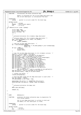```
181 * FUNCTION: initializate the block allocation map.
182
183 * memory is allocated for the in−core bmap descriptor and
                           the in-core descriptor is initialized from disk.
185<br>186
        PARAMETERS:<br>ipbmap
187 * ipbmap − pointer to in−core inode for the block map.
188<br>189
\begin{array}{ccccc}\n189 & & * & RETURN & VALUES: \\
190 & & * & 0 & -\n\end{array}190 * 0 − success<br>
191 * ENOMEM – insuffi
               T<br>
ENOMEM − insufficient memory<br>
EIO − i/o error
192 \times 193 \times 7 EIO − i/o error
193 */<br>194 int
    int dbMount(struct inode *ipbmap)
195 {
196 struct bmap *bmp;<br>197 struct dbmap *dbm
197 struct dbmap *dbmp_le;<br>198 struct metapage *mp;
198 struct metapage *mp;<br>199 int i;
                int i;
200
201 / *
202 * allocate/initialize the in-memory bmap descriptor<br>203 */
203 * /
204 /* allocate memory for the in-memory bmap descriptor */<br>205 bmp = kmalloc(sizeof(struct bmap). GFP KERNEL);
               205 bmp = kmalloc(sizeof(struct bmap), GFP_KERNEL);
206 if (bmp == NULL)
                          207 return (ENOMEM);
208
209 /* read the on-disk bmap descriptor. */<br>210 mp = read metapage(ipbmap
               mp = read_metapage(ipbmap,
211 BMAPBLKNO << JFS_SBI(ipbmap->i_sb)->l2nbperpage,<br>BIZE, 0);<br>PSIZE, 0);
                                         PSIZE, 0);
213 if (mp == \text{NULL}) {<br>
214 kfree (bmp)
214<br>
215<br>
215<br>
215<br>
216<br>
216<br>
216return (EIO);216217
<sup>218</sup> /* copy the on-disk bmap descriptor to its in-memory version. */<br>219 dbmp_le = (struct dbmap *) mp->data;
219 dbmp_le = (struct dbmap *) mp−>data;
220 bmp−>db_mapsize = le64_to_cpu(dbmp_le−>dn_mapsize);
221 bmp−>db_nfree = le64_to_cpu(dbmp_le−>dn_nfree);
222 bmp−>db_l2nbperpage = le32_to_cpu(dbmp_le−>dn_l2nbperpage);
223 bmp−>db_numag = le32_to_cpu(dbmp_le−>dn_numag);
224 bmp−>db_maxlevel = le32_to_cpu(dbmp_le−>dn_maxlevel);
bmp->db_maxag = le32_to_cpu(dbmp_le->dn_maxag);<br>
226 bmp->db_agpref = le32_to_cpu(dbmp_le->dn_agpref);<br>
227 bmp->db_aglevel = le32_to_cpu(dbmp_le->dn_agpref);<br>
228 bmp->db_agheigth = le32_to_cpu(dbmp_le->dn_agheigth);<br>
229
230 bmp−>db_agstart = le32_to_cpu(dbmp_le−>dn_agstart);
231 bmp−>db_agl2size = le32_to_cpu(dbmp_le−>dn_agl2size);
232 for (i = 0; i < MAXAG; i++)<br>233 for (i = 0; i < MAXAG; i++)
233 bmp−>db_agfree[i] = le64_to_cpu(dbmp_le−>dn_agfree[i]);<br>234 bmp->db_agsize = le64_to_cpu(dbmp_le−>dn_agsize);
234 bmp−>db_agsize = le64_to_cpu(dbmp_le−>dn_agsize);
235 bmp−>db_maxfreebud = dbmp_le−>dn_maxfreebud;
236
237 /* release the buffer. */
238 release_metapage(mp);
239
240 /* bind the bmap inode and the bmap descriptor to each other. */
241 bmp−>db_ipbmap = ipbmap;
242 JFS_SBI(ipbmap−>i_sb)−>bmap = bmp;
243<br>244244 memset(bmp−>db_active, 0, sizeof(bmp−>db_active));
245 DBINITMAP(bmp−>db_mapsize, ipbmap, &bmp−>db_DBmap);
246
247<br>248248 * allocate/initialize the bmap lock<br>249 */
249 * /
250 BMAP_LOCK_INIT(bmp);
251
252 return (0);
    \}254
255
256
257 * NAME: dbUnmount()
258<br>259FUNCTION: terminate the block allocation map in preparation for
260 * file system unmount.
261 *
262 * the in−core bmap descriptor is written to disk and<br>263 * the memory for this descriptor is freed.
                          the memory for this descriptor is freed.
264<br>265
        265 * PARAMETERS:
266 * ipbmap − pointer to in−core inode for the block map.
267<br>268
268 * RETURN VALUES:<br>
\begin{array}{ccc} 268 & * & 0 \\ 269 & * & 0 \end{array}- success
270 * EIO − i/o error
Registered Version: Linux Kernel Support for JFS ifs dmap.c Exhibit 12.1−1 pg 3/47
```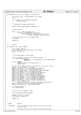```
271 */
272 int dbUnmount(struct inode *ipbmap, int mounterror)<br>273 {
273 {
274 struct bmap *bmp = JFS_SBI(ipbmap->i_sb)->bmap;<br>275 int i;
               int i;
276
<sup>277</sup> if (!(mounterror || isReadOnly(ipbmap)))<br>278 dbSync(ipbmap);
                         dbSync(ipbmap);
279
280<br>281
                * Invalidate the page cache buffers
282 */
283 truncate_inode_pages(ipbmap−>i_mapping, 0);
284
285 /*
285<br>
286 * Sanity Check<br>
287 */
287 */
288 for (i = 0; i < bmp−>db_numag; i++)
289 if (atomic_read(&bmp−>db_active[i]))
290 printk(KERN_ERR "dbUnmount: db_active[%d] = %d\n",
291 atomic_read(&bmp->db_active[i]));
292
293 /* free the memory for the in-memory bmap. */<br>294 kfree(bmp);
              kfree(bmp);
295
296 return (0);<br>297 }
    \rightarrow298
299 / *dbSync()
301 */<br>302 int
    int dbSync(struct inode *ipbmap)
303 {<br>304304 struct dbmap *dbmp_le;
305 struct bmap *bmp = JFS_SBI(ipbmap−>i_sb)−>bmap;
306 struct metapage *mp;
307 int i;
308
309 /*
310 * write bmap global control page
311 */
312 /* get the buffer for the on−disk bmap descriptor. */
313 mp = read_metapage(ipbmap,
314 BMAPBLKNO << JFS_SBI(ipbmap−>i_sb)−>l2nbperpage,
315<br>
316 if (mp == NULL) {<br>
317 jERROR(1,("dbSync: read_metapage failed!\n"));
318 return (EIO);
319<br>320
320 /* copy the in−memory version of the bmap to the on−disk version */
321 dbmp_le = (struct dbmap *) mp−>data;
322 dbmp_le−>dn_mapsize = cpu_to_le64(bmp−>db_mapsize);<br>323 dbmp_le−>dn_mapsize = cpu_to_le64(bmp−>db_nfree);
323 dbmp_le−>dn_nfree = cpu_to_le64(bmp−>db_nfree);<br>324 dbmp_le−>dn_12nbperpage = cpu_to_le32(bmp->db_1
dbmp_le->dn_12nbperpage = cpu_to_le32(bmp->db_12nbperpage);<br>
dbmp_le->dn_numag = cpu_to_le32(bmp->db_numag);<br>
dbmp_le->dn_maxlevel = cpu_to_le32(bmp->db_numag);<br>
dbmp_le->dn_maxag = cpu_to_le32(bmp->db_maxag);<br>
dbmp_le->dn
329 dbmp_le−>dn_aglevel = cpu_to_le32(bmp−>db_aglevel);
330 dbmp_le−>dn_agheigth = cpu_to_le32(bmp−>db_agheigth);
331 dbmp_le−>dn_agwidth = cpu_to_le32(bmp−>db_agwidth);
332 dbmp_le−>dn_agstart = cpu_to_le32(bmp−>db_agstart);
333 dbmp_le−>dn_agl2size = cpu_to_le32(bmp−>db_agl2size);
334 for (i = 0; i < MAXAG; i++)
335 dbmp_le−>dn_agfree[i] = cpu_to_le64(bmp−>db_agfree[i]);
336 dbmp_le−>dn_agsize = cpu_to_le64(bmp−>db_agsize);
337 dbmp_le−>dn_maxfreebud = bmp−>db_maxfreebud;
338
339 \frac{1}{2} write the buffer \frac{k}{2}<br>340 write metapage(mp);
               write_metapage(mp);
341
342<br>343
                * write out dirty pages of bmap
344345 fsync_inode_data_buffers(ipbmap);
346
347 ipbmap−>i_state |= I_DIRTY;
               diWriteSpecial(ipbmap, 0);
349
350 return (0);
    351 }
352
353
354 / *<br>355 *
       NAME: dbFree()
356<br>357
357 * FUNCTION: free the specified block range from the working block
                         allocation map.
359 *
360 * the blocks will be free from the working map one dmap
Registered Version: Linux Kernel Support for JFS interact in the Support of Support for JFS ffs_dmap.c Exhibit 12.1−1 pg 4/47
```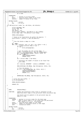```
361 \times at a time.
362<br>363
363 * PARAMETERS:<br>364 * ip
364 * ip − pointer to in−core inode;
365 * blkno − starting block number to be freed.
366 * nblocks − number of blocks to be freed.
367<br>368
368 * RETURN VALUES:<br>369 * 0 –
369 \times 0 - SUCCSS<br>370 \times ETQ - i/O err- \frac{3400 - 1}{20} error
371372 int dbFree(struct inode *ip, s64 blkno, s64 nblocks)<br>373 {
373 {
374 struct metapage *mp;<br>375 struct dmap *dp;
              struct dmap *dp;
376 int nb, rc;
377 s64 lblkno, rem;
378 struct inode *ipbmap = JFS_SBI(ip->i_sb)->ipbmap;<br>379 struct bmap *bmp = JFS SBI(ip->i_sb)->bmap;
              379 struct bmap *bmp = JFS_SBI(ip−>i_sb)−>bmap;
380
381 IREAD LOCK(ipbmap);
382
383 /* block to be freed better be within the mapsize. */<br>384 assert(blkno + nblocks <= bmp->db_mapsize);
              384 assert(blkno + nblocks <= bmp−>db_mapsize);
385
386 /*
387 * free the blocks a dmap at a time.
388 * /\begin{array}{r}\n\overline{\phantom{r}}\n\end{array} 389 mp = NULL;<br>
\begin{array}{r}\n\overline{\phantom{r}}\n\end{array} 5or (rem =
390 for (rem = nblocks; rem > 0; rem −= nb, blkno += nb) {
391 /* release previous dmap if any */
392 if (mp) {
393 write_metapage(mp);<br>394 }
394 }
395
396 /* get the buffer for the current dmap. */
397 lblkno = BLKTODMAP(blkno, bmp−>db_l2nbperpage);
398 mp = read_metapage(ipbmap, lblkno, PSIZE, 0);<br>399 if (mp == NULL) {
\mathbf{i} \cdot \mathbf{f} (mp == NULL)<br>400 iREAD IN
                                  IREAD_UNLOCK(ipbmap);
401 return (EIO);<br>402 }
402 }
403 \dot{dp} = (struct \text{dmap } *) \text{ mp }->data;
404
405 /* determine the number of blocks to be freed from
406 * this dmap.
407 * /
408 nb = min(rem, BPERDMAP - (blkno & (BPERDMAP - 1)));
409
410 DBALLOCCK(bmp−>db_DBmap, bmp−>db_mapsize, blkno, nb);
411
412 \overline{f} /* free the blocks. *<br>413 \overline{if} ((rc = dbFreeDmap)
413 if ((rc = dbFreeDmap(bmp, dp, blkno, nb))) {<br>release_metapage(mp);
414 release_metapage(mp);<br>TREAD INLOCK(iphman);
                                  IREAD_UNLOCK(ipbmap);
416 return (rc);
417 }
418
419 DBFREE(bmp−>db_DBmap, bmp−>db_mapsize, blkno, nb);
              \}421
422 /* write the last buffer. */<br>423 write metapage(mp);
              write_metapage(mp);
424
425 IREAD_UNLOCK(ipbmap);
426
427 return (0);<br>428 }
   \rightarrow429
430
431 /*<br>432 * NAME:
                        dbUpdatePMap()
433 *
       FUNCTION: update the allocation state (free or allocate) of the
435 * specified block range in the persistent block allocation map.
436<br>437
437 * the blocks will be updated in the persistent map one<br>438 * dmap at a time.
                        dmap at a time.
439440 * PARAMETERS:<br>441 * ipbmap
+ ipbmap - pointer to in-core inode for the block map.<br>+44 * free - TRUE if block range is to be freed from the
442 * free − TRUE if block range is to be freed from the persistent<br>443 * man: FALSE if it is to be allocated.
<sup>443</sup> * map; FALSE if it is to be allocated.<br><sup>444 *</sup> blkno - starting block number of the range.<br><sup>445 *</sup> tblk - transaction block;<br><sup>446 *</sup> tblk - transaction block;
447<br>448
448 * RETURN VALUES:
                        449 * 0 − success
450 * EIO − i/o error
Registered Version: Linux Kernel Support for JFS ifs dmap.c Exhibit 12.1−1 pg 5/47
```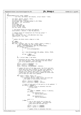```
Registered Version: Linux Kernel Support for JFS ifs dmap.c Exhibit 12.1−1 pg 6/47
```
 \*/<br> $452$  int int <sup>453</sup> dbUpdatePMap(struct inode \*ipbmap, int free, s64 blkno, s64 nblocks, struct tblock \* tblk)  $455 \left\{\n \begin{array}{c}\n 456\n \end{array}\n \right.$  $int$ nblks, dbitno, wbitno, rbits; int word, nbits, nwords; <sup>458</sup> struct bmap \*bmp = JFS\_SBI(ipbmap−>i\_sb)−>bmap; 459 s64 lblkno, rem, lastl $\overline{b}$ lkno;<br>460  $\overline{u}$ 132 mask; 460 u32 mask;<br>461 struct dm; struct dmap \*dp; <sup>462</sup> struct metapage \*mp; <sup>463</sup> struct jfs\_log \*log; <sup>464</sup> int lsn, difft, diffp; /\* the blocks better be within the mapsize. \*/ <sup>467</sup> assert(blkno + nblocks <= bmp−>db\_mapsize); <br> $469$ 469  $/*$  compute delta of transaction lsn from log syncpt  $*/$ <br>470  $\ln = \text{thk}$ ->lsn; 470  $\log$  lsn = tblk->lsn;<br>471  $\log$  = (struct if) log = (struct jfs\_log \*) JFS\_SBI(tblk−>sb)−>log; logdiff(difft, lsn, log); <br> $475$ \* update the block state a dmap at a time.  $* /$  $\exp \left( \frac{1}{2} \pi \right)$  = **NULL**; lastlblkno = 0; <sup>479</sup> **for** (rem = nblocks; rem > 0; rem −= nblks, blkno += nblks) { /\* get the buffer for the current dmap. \*/ <sup>481</sup> lblkno = BLKTODMAP(blkno, bmp−>db\_l2nbperpage); **if** (lblkno != lastlblkno) { **if** (mp) { <sup>484</sup> write\_metapage(mp); } mp = read\_metapage(bmp−>db\_ipbmap, lblkno, PSIZE, 0); 489 **if** (mp == **NULL**)<br>return return (EIO); } dp = (struct dmap \*) mp−>data; 494 /\* determine the bit number and word within the dmap of<br>495 \* the starting block. also determine how many blocks \* the starting block. also determine how many blocks <sup>496</sup> \* are to be updated within this dmap.  $*$  / 498 dbitno = blkno & (BPERDMAP − 1);<br>
499 word = dbitno >> 1,2DBWORD; 499  $\text{word} = \text{dbitno} > \text{L2DBWORD};$ nblks = min(rem, (s64)BPERDMAP - dbitno); 502 /\* update the bits of the dmap words. the first and last<br>503 \* words may only have a subset of their bits updated. i \* words may only have a subset of their bits updated. if %%<br>\* this is the case, we'll work against that word (i.e.<br>\* partial first and/or last) only in a single pass. a<br>\* single pass will also be used to update all words that<br>\* are to have all their bits updated. \*/ 509 **for** (rbits = nblks; rbits > 0;<br>thits = nbits, dbitno += rbits −= nbits, dbitno += nbits) { <sup>511</sup> /\* determine the bit number within the word and \* the number of bits within the word.<br> $\star$ /  $*$  / wbitno = dbitno & (DBWORD − 1); nbits = min(rbits, DBWORD − wbitno); 517  $\frac{1}{\sqrt{5}}$  /\* check if only part of the word is to be updated. \*/ **if** (nbits < DBWORD) { /\* update (free or allocate) the bits <sup>520</sup> \* in this word. 521  $*$  /  $\begin{array}{ccc} 522 & \text{mass} & = \\ 523 & & \text{mass} & \\ 62 & & \text{mass} & \\ 12 & & 12 & \\ 13 & & 12 & \\ 14 & & 13 & \\ 15 & & 14 & \\ 16 & & 13 & \\ 18 & & 14 & \\ 19 & & 19 & \\ 19 & & 19 & \\ 19 & & 19 & \\ 19 & & 19 & \\ 19 & & 19 & \\ 19 & & 19 & \\ 19 & & 19 & \\ 19 & & 19 & \\ 19 & & 19 & \\ 19 & & 19 & \\ 19 & & 19 & \\ 19 & &$  (ONES << (DBWORD – nbits) >> wbitno);<br> $524$  if (free) if (free) dp−>pmap[word] &=  $\frac{1}{2}$  cpu\_to\_le32( $\sim$ mask);<br>else **else**  $dp\rightarrow pmap[word]$  |=<br>528 dp ->pmap[word] |=  $\text{cpu\_to\_le32}(\text{mask}):$  word += 1; <sup>532</sup> } **else** { <sup>533</sup> /\* one or more words are to have all \* their bits updated. determine how <sup>535</sup> \* many words and how many bits. 536  $*$ / % and the mords of the state of the state of the state of the state of the state of the state of the state of the state of the state of the state of the state of the state of the state of the state of the state of the stat nbits = nwords << L2DBWORD; /\* update (free or allocate) the bits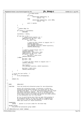```
\begin{array}{c|c}\n\ast & \ast & \ast \\
\ast & \ast \\
\end{array} these words.
542 * /
543 if (free)
544 memset(&dp−>pmap[word], 0,
545 nwords * 4);<br>546546 else
547 memset(&dp−>pmap[word], (int) ONES,
548 nwords * 4);
549
\begin{array}{c} 550 \\ 551 \end{array} \qquad \qquad \begin{array}{c} \text{word } += \text{ nwords;} \\ \textcolor{red}{\left\{ \begin{array}{cc} 250 \\ 100 \end{array} \right\}} \qquad \qquad \begin{array}{c} \text{word } += \text{ nwords;} \\ \textcolor{blue}{\left\{ \begin{array}{cc} 250 \\ 100 \end{array} \right\}} \qquad \qquad \begin{array}{c} \text{word } += \text{ nwords;} \\ \textcolor{blue}{\left\{ \begin{array}{cc} 250 \\ 100 \end{array} \right\}} \qquad \qquad \begin{array}{c}551 }
552 }
553
554 /*
<sup>554</sup> to the state of the state of the state of the state of the state of the state of the state of the state of the state of the state of the state of the state of the state of the state of the state of the state of the s
556 * /557 if (lblkno == lastlblkno)
                                   558 continue;
559
560 lastlblkno = lblkno;
561
562 if (mp−>lsn != 0) {
563 /* inherit older/smaller lsn */
564 logdiff(diffp, mp−>lsn, log);
565 if (difft < diffp) {
566 mp−>lsn = lsn;
567
568 168 /* move bp after tblock in logsync list */<br>
LOGSYNC_LOCK(log);
569 LOGSYNC_LOCK(log);
570 list_del(&mp−>synclist);
571 list_add(&mp−>synclist, &tblk−>synclist);
572 <br>
572 LOGSYNC_UNLOCK(log);<br>
573 }
573 }
574
575 /* inherit younger/larger clsn */
576 LOGSYNC_LOCK(log);
577 logdiff(difft, tblk−>clsn, log);
578 logdiff(diffp, mp−>clsn, log);
\mathbf{if} (difft > diffp)<br>\mathbf{if} mp->clsn =
                                             580 mp−>clsn = tblk−>clsn;
\begin{array}{c} \text{581} \\ \text{582} \end{array} LOGSYNC_UNLOCK(log);
582 } else {
\begin{array}{ccc} 583 & & \text{mp}&>1 \text{og} = 1 \text{og}; \\ 584 & & \text{mp}&>1 \text{sn} = 1 \text{sn}; \end{array}mp->lsn = lsn;585
586 /* insert bp after tblock in logsync list */<br>
LOGSYNC LOCK(log);
                                   587 LOGSYNC_LOCK(log);
588<br>589
\log-\text{zcount++};<br>\log-\text{zcount++};590 list_add(&mp−>synclist, &tblk−>synclist);
591
592 mp−>clsn = tblk−>clsn;
593 LOGSYNC_UNLOCK(log);<br>594 }
594 }
595 }
596
597 \begin{array}{ccc} & \text{/*} & \text{write the last buffer.} \\ & \text{if (mp) } \end{array}598 if (mp) {
              write_metapage(mp);<br>}
600 }
601
602 return (0);
603 }
604605
606 /*<br>607 *
        NAME: dbNextAG()
608 *
        FUNCTION: find the preferred allocation group for new allocations.
610
\begin{array}{ll}\n\text{611} & \star \\
\text{612} & \star \\
\text{613} & \star\n\end{array} = Within the allocation groups, we maintain a preferred a qroup with at le
612 * allocation group which consists of a group with at least<br>613 * average free space. It is the preferred group that we t
613 * average free space. It is the preferred group that we target
614 * new inode allocation towards. The tie−in between inode
615 * allocation and block allocation occurs as we allocate the
616 * first (data) block of an inode and specify the inode (block)
<sup>617</sup> * as the allocation hint for this block.
618We try to avoid having more than one open file growing in
620 * an allocation group, as this will lead to fragmentation.
621 * This differs from the old OS/2 method of trying to keep
622 * empty ags around for large allocations.
623<br>624
624 * PARAMETERS:<br>625 * iphman
              ipbmap − pointer to in-core inode for the block map.
626<br>627
627 * RETURN VALUES:<br>628 * the prefe
     * the preferred allocation group number.
629
630 int dbNextAG(struct inode *ipbmap)
Registered Version: Linux Kernel Support for JFS ifs dmap.c Exhibit 12.1−1 pg 7/47
```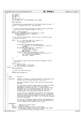## Registered Version: Linux Kernel Support for JFS **ifs dmap.c** Exhibit 12.1−1 pg 8/47

<sup>631</sup> { <sup>632</sup> s64 avgfree; 633 int agpref;<br>634 564 hwm = 0  $s64$  hwm = 0;  $\begin{array}{ccc}\n 635 & \text{int } \text{it} \\
 636 & \text{int } \text{net}\n \end{array}$ int next\_best =  $-1$ ; <sup>637</sup> struct bmap \*bmp = JFS\_SBI(ipbmap−>i\_sb)−>bmap; 638 639 BMAP LOCK(bmp); 640 <sup>641</sup> /\* determine the average number of free blocks within the ags. \*/ <sup>642</sup> avgfree = (u32)bmp−>db\_nfree / bmp−>db\_numag; 643  $644$  $*$  if the current preferred ag does not have an active allocator \* and has at least average freespace, return it<br>\*/ \*/ 647 <sup>648</sup> agpref = bmp−>db\_agpref; <sup>649</sup> **if** ((atomic\_read(&bmp−>db\_active[agpref]) == 0) &&  $650$  (bmp->db\_agfree[agpref] >= avgfree))<br> $651$  **and a** and an analog and a set of the set of the set of the set of the set of the set of the set of the set of the set of the set of the set of the set of the set of the <sup>651</sup> **goto** unlock; 652  $\frac{653}{654}$  /\* From the last preferred ag, find the next one with at least<br> $\frac{4}{564}$  \* average free space.  $654$  \* average free space. 655  $* /$ <sup>656</sup> **for** (i = 0 ; i < bmp−>db\_numag; i++, agpref++) { <sup>657</sup> **if** (agpref == bmp−>db\_numag) <sup>658</sup> agpref = 0; 659 <sup>660</sup> **if** (atomic\_read(&bmp−>db\_active[agpref])) <sup>661</sup> /\* open file is currently growing in this ag \*/ <sup>662</sup> **continue**; <sup>663</sup> **if** (bmp−>db\_agfree[agpref] >= avgfree) { <sup>664</sup> /\* Return this one \*/ <sup>665</sup> bmp−>db\_agpref = agpref; <sup>666</sup> **goto** unlock; <sup>667</sup> } **else if** (bmp−>db\_agfree[agpref] > hwm) { <sup>668</sup> /\* Less than avg. freespace, but best so far \*/ <sup>669</sup> hwm = bmp−>db\_agfree[agpref]; next\_best = agpref;<br>} 671 } <sup>672</sup> } 673 674<br>675 \* If no inactive ag was found with average freespace, use the  $\begin{array}{ccc}\n\text{676} \\
\text{676} \\
\text{677} \\
\text{677}\n\end{array}$  \* next best 677  $* /$  $\begin{array}{ll}\n\mathbf{678} \\
\mathbf{679}\n\end{array}$  **if** (next\_best != -1)<br>  $\begin{array}{ll}\n\mathbf{679}\n\end{array}$ <sup>679</sup> bmp−>db\_agpref = next\_best; <sup>680</sup> /\* else leave db\_agpref unchanged \*/ <sup>681</sup> unlock: 682 BMAP UNLOCK(bmp); 683 <sup>684</sup> /\* return the preferred group. <sup>685</sup> \*/ <sup>686</sup> **return** (bmp−>db\_agpref); } 688 689  ${\tiny \begin{array}{cc} \text{\#} \ 690 & \text{\#} \end{array}}$  MAME: dbAlloc() 691  $692$  \* FUNCTION: attempt to allocate a specified number of contiguous free<br> $693$  \*  $\phantom{1}$  blocks from the working allocation block map. blocks from the working allocation block map. 694 <sup>695</sup> \* the block allocation policy uses hints and a multi−step <sup>696</sup> \* approach. 697<br>698  $698$  \* for allocation requests smaller than the number of blocks<br> $699$  \* per dmap, we first try to allocate the new blocks <sup>699</sup> \* per dmap, we first try to allocate the new blocks <sup>700</sup> \* immediately following the hint. if these blocks are not <sup>701</sup> \* available, we try to allocate blocks near the hint. if <sup>702</sup> \* no blocks near the hint are available, we next try to <sup>703</sup> \* allocate within the same dmap as contains the hint. <sup>704</sup> \* <sup>705</sup> \* if no blocks are available in the dmap or the allocation <sup>706</sup> \* request is larger than the dmap size, we try to allocate 707 \* within the same allocation group as contains the hint. if<br>708 \* this does not succeed, we finally try to allocate anywher 708 \* this does not succeed, we finally try to allocate anywhere within the aggregate. 710<br>711  $\begin{array}{lll} \text{711} & * & \text{712} \\ & * & \text{713} \end{array}$  we also try to allocate anywhere within the aggregate for allocation requests larger than the allocation group  $712$  \* for allocation requests larger than the allocation group<br> $713$  \* size or requests that specify no hint value. size or requests that specify no hint value.  $714$ <br> $715$ PARAMETERS: 716 \* ip − pointer to in-core inode;<br>717 \* hint – allocation hint. <sup>717</sup> \* hint − allocation hint. <sup>718</sup> \* nblocks − number of contiguous blocks in the range. results - on successful return, set to the starting block number <sup>11</sup>/<sub>720</sub> \* courses the newly allocated contiguous range.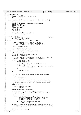\* RETURN VALUES: <sup>723</sup> \* 0 − success \* ENOSPC − insufficient disk resources \* EIO -  $i$ /o error  $\star$  / 727 int dbAlloc(struct inode \*ip, s64 hint, s64 nblocks, s64 \* results) { int rc, agno; <sup>730</sup> struct inode \*ipbmap = JFS\_SBI(ip−>i\_sb)−>ipbmap; <sup>731</sup> struct bmap \*bmp; <sup>732</sup> struct metapage \*mp; s64 lblkno, blkno; struct dmap  $*dp$ ;<br> $735$   $int$  12nb; int l2nb; 736 s64 mapSize;<br>737 *int* writers; int writers; /\* assert that nblocks is valid \*/<br> $740$  assert(nblocks > 0); assert(nblocks > 0); **#ifdef** \_STILL\_TO\_PORT <sup>743</sup> /\* DASD limit check F226941 \*/ **if** (OVER\_LIMIT(ip, nblocks)) <sup>745</sup> **return** ENOSPC; **#endif** /\* \_STILL\_TO\_PORT \*/ /\* get the log2 number of blocks to be allocated. \* if the number of blocks is not a log2 multiple, <sup>750</sup> \* it will be rounded up to the next log2 multiple.  $*$  l2nb = BLKSTOL2(nblocks); bmp = JFS\_SBI(ip−>i\_sb)−>bmap; //retry: /\* serialize w.r.t.extendfs() \*/ mapSize = bmp−>db\_mapsize; 759  $\frac{759}{760}$  /\* the hint should be within the map \*/  $assert(hint < mapSize)$ ; The mass of blocks to be allocated is greater than the really the number of blocks to be allocated is greater than the really the standard mean of the standard mean of the standard mean of the standard mean of the standard \* allocation group size, try to allocate anywhere. 764<br>765 **if** (l2nb > bmp−>db\_agl2size) { **IWRITE\_LOCK(ipbmap);**  768  $rc = db\text{AllocAny}(bmp, nblocks, 12nb, results);$ <br>  $\text{if } (rc == 0)$  { **if** (rc == 0) { DBALLOC(bmp−>db\_DBmap, bmp−>db\_mapsize, \*results, <sup>771</sup> nblocks); } **goto** write\_unlock;  $\}$  \* If no hint, let dbNextAG recommend an allocation group  $*$ /  $*$ <br> $780$   $\textbf{if}$  $if$  (hint  $== 0)$  **goto** pref\_ag; /\* we would like to allocate close to the hint. adjust the <sup>784</sup> \* hint to the block following the hint since the allocators \* will start looking for free space starting at this point.<br> $786$  \*/ blkno = hint + 1; **if** (blkno >= bmp−>db\_mapsize) <sup>790</sup> **goto** pref\_ag; agno = blkno >> bmp−>db\_agl2size; /\* check if blkno crosses over into a new allocation group. \* if so, check if we should allow allocations within this <sup>796</sup> \* allocation group. <sup>797</sup><br>
798 **if** ((blkno & (bmp->db\_agsize - 1)) == 0)<br>
799 /\* check if the AG is currenly being written to.<br>
800 \* *if so, call dbNextAG()* to find a non-busy<br>
\* AG with sufficient free space.<br>
\*/ 803 **if** (atomic\_read(&bmp->db\_active[agno]))<br>**404 and and a goto** pref\_ag; /\* check if the allocation request size can be satisfied from a <sup>807</sup> \* single dmap. if so, try to allocate from the dmap containing  $\frac{*}{\text{the}}$  the hint using a tiered strategy. Registered Version: Linux Kernel Support for JFS **interact in the Support of Support for JFS fS\_dmap.c** Exhibit 12.1−1 pg 9/47

```
809 */
810 if (nblocks <= BPERDMAP) {
```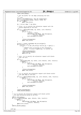```
811 IREAD LOCK(ipbmap);
812
813 /* get the buffer for the dmap containing the hint.<br>814 \star/
815 rc = EIO;
816 lblkno = BLKTODMAP(blkno, bmp−>db_l2nbperpage);
817 mp = read_metapage(ipbmap, lblkno, PSIZE, 0);
818 if (mp == NULL)
819 goto read_unlock;
820
821 dp = (struct dmap *) mp−>data;
822
823 /* first, try to satisfy the allocation request with the<br>824 * blocks beginning at the hint.
\frac{824}{\ast} \frac{\ast}{\ast} blocks beginning at the hint.
825 * /\textbf{if} ((rc = dbAllocNext(bmp, dp, blkno, (int) nblocks))<br>
\text{g}_{27} = ENOSPC) {
                         != ENOSPC) \left\{ \right.\mathbf{if} (\mathbf{r} \mathbf{c} = 0)<br>
\mathbf{if} (\mathbf{r} \mathbf{c} = 0)<br>
\mathbf{if} \mathbf{r} \in \mathbb{R}829 * results = blkno;<br>830 * PBALLOC(bmp->db D
830 DBALLOC(bmp−>db_DBmap, bmp−>db_mapsize,<br>*results, nblocks);
832 mark_metapage_dirty(mp);<br>833 mark_metapage_dirty(mp);
833 }
834
835 release_metapage(mp);
836 goto read_unlock;
837 }
838
839 writers = atomic_read(&bmp->db_active[agno]);<br>if ((writers > 1) ||
840 if ((writers > 1) ||
841 ((writers == 1) && (JFS_IP(ip)−>active_ag != agno))) {
842 / *
843 * Someone else is writing in this allocation
844 * group. To avoid fragmenting, try another ag
845 * /
ended and the set of the release_metapage(mp);
847 IREAD_UNLOCK(ipbmap);<br>848 goto pref_aq;
848 goto \overline{pref\_ag};
849 }
850
851 /* next, try to satisfy the allocation request with blocks
852 * near the hint.
853 * /854 if ((rc =
                          dbAllocNear(bmp, dp, blkno, (int) nblocks, l2nb, results))
856<br>856 \qquad != ENOSPC) {<br>857 \qquad \qquad \qquad \qquad \qquad \qquad \qquad \qquad \qquad \qquad \qquad \qquad \qquad \qquad \qquad \qquad \qquad \qquad \qquad \qquad \qquad \qquad \qquad \qquad \qquad \qquad \qquad \qquad \qquad \qquad \qquad 857 if (\text{rc} = 0) {<br>858 DBALLC
858 DBALLOC(bmp->db_DBmap, bmp->db_mapsize,<br>*results.nblocks);
\begin{array}{c}\n\text{859} \\
\text{859} \\
\text{860} \\
\text{860} \\
\text{860}\n\end{array}mark_metapage_dirty(mp);
861 }
862
863 release_metapage(mp);<br>864 goto read_unlock;
864 goto read_unlock;
865 }
866
867 /* try to satisfy the allocation request with blocks within
868 * the same dmap as the hint.
869 * /
870 if ((rc = dbAllocDmapLev(bmp, dp, (int) nblocks, l2nb, results))
871 != ENOSPC) {
872 if (rc == 0) {
873 DBALLOC(bmp->db_DBmap, bmp->db_mapsize,<br>*results, nblocks);
                                              *results, nblocks;
875 mark_metapage_dirty(mp);<br>876 mark_metapage_dirty(mp);
876 \Big\}877
878 release_metapage(mp);<br>879 goto read unlock;
879 goto read_unlock;
880 }
881
882 release_metapage(mp);<br>883 READ UNLOCK(ipbmap);
883 IREAD_UNLOCK(ipbmap);
            \}885
886 /* try to satisfy the allocation request with blocks within<br>887 * the same allocation group as the hint.
887 * the same allocation group as the hint.
888 */
889 IWRITE_LOCK(ipbmap);
\textbf{if} \left( \text{rc} = \text{dballocAG}(\text{bmp}, \text{ agno}, \text{ nblocks}, \text{ 12nb}, \text{ results}) \right)<br>
\text{1 = EMOSPC} \left\{ \text{f}(\text{c} = \text{dhallocAG}(\text{bmp}, \text{ agno}, \text{ nblocks}, \text{ 12nb}, \text{ results}) \right\}!= ENOSPC) \{892 if (rc == 0)<br>893 DBAL
893 DBALLOC(bmp->db_DBmap, bmp->db_mapsize,<br>*results.nblocks);
\frac{1}{894} *results, nblocks);<br>\frac{1}{895}goto write unlock;
896 }
897 IWRITE_UNLOCK(ipbmap);
898
899
900 pref_ag:
Registered Version: Linux Kernel Support for JFS interact in the Support of Support for JFS ffS_dmap.c Exhibit 12.1−1 pg 10/47
```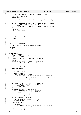```
901 /*
902 * Let dbNextAG recommend a preferred allocation group
903 */
904 agno = dbNextAG(ipbmap);<br>905 1WRITE LOCK(ipbmap);
             IWRITE_LOCK(ipbmap);
906
907 /* Try to allocate within this allocation group. if that fails, try to
908 * allocate anywhere in the map.
909 * /
910 if ((rc = dbAllocAG(bmp, agno, nblocks, l2nb, results)) == ENOSPC)<br>911 rc = dbAllocAnv(bmp, nblocks, l2nb, results);
911 rc = dbAllocAny(bmp, nblocks, l2nb, results);<br>
912 if (rc == 0) {
913 DBALLOC(bmp->db_DBmap, bmp->db_mapsize, *results, nblocks);<br>914 }
914 }
915
916 write_unlock:
917 IWRITE_UNLOCK(ipbmap);
918
919 return (rc);
920
921 read_unlock:
922 IREAD_UNLOCK(ipbmap);
923
924 return (rc);<br>925 }
   \}926
927
928 /*<br>929 * NAME:
929 * NAME: dbAllocExact()
930931 * FUNCTION: try to allocate the requested extent;
932 *
933 * PARAMETERS:<br>
934 * ip<br>
935 * blkno
934 * ip − pointer to in-core inode;<br>935 * blkno – extent address:
935 * blkno − extent address;
936 * nblocks − extent length;
937<br>938
\begin{array}{ccc} 938 & * & \text{RETURN} & \text{VALUES:} \\ 939 & * & 0 & - \end{array}939 * 0 − success
940 * ENOSPC − insufficient disk resources
^{941} * EIO - i/o error
942 */
    int dbAllocExact(struct inode *ip, s64 blkno, int nblocks)
944 \quad \{<br>945
             int rc;
946 struct inode *ipbmap = JFS_SBI(ip−>i_sb)−>ipbmap;
947 struct bmap *bmp = JFS_SBI(ip−>i_sb)−>bmap;
948 struct dmap *dp;
\begin{array}{ccc}\n 949 & & & \text{S64 lb} \n\hline\n 950 & & & \text{struct met} \n\end{array}struct metapage *mp;
951
952 IREAD LOCK(ipbmap);
953
954 /*
955 * validate extent request:
956 *
957 * note: defragfs policy:
958 * max 64 blocks will be moved.<br>959 * allocation request size must
959 * allocation request size must be satisfied from a single dmap.<br>960 */
960 * /
961 if (nblocks <= 0 || nblocks > BPERDMAP || blkno >= bmp−>db_mapsize) {
962 IREAD_UNLOCK(ipbmap);<br>963 Teturn EINVAL;
963 return EINVAL;
             \}965
966 if (nblocks > ((s64) 1 << bmp−>db_maxfreebud)) {
967 / the free space is no longer available */<br>968 / TREAD UNLOCK (ipbmap);
968 IREAD_UNLOCK(1pbmap);<br>
PELUTE ENOSPC;
969 return ENOSPC;
             \left\{ \right\}971
972 /* read in the dmap covering the extent */<br>973 1blkno = BLKTODMAP(blkno, bmp->db l2nbperp
973 lblkno = BLKTODMAP(blkno, bmp−>db_l2nbperpage);
974 mp = read_metapage(ipbmap, lblkno, PSIZE, 0);
975 if (mp == NULL) {
975 if (mp == NULL) {<br>976 IREAD_UNLOCK(ipbmap);
977 return (EIO);
978 }
             979 dp = (struct dmap *) mp−>data;
980981 /* try to allocate the requested extent */
982 rc = dbAllocNext(bmp, dp, blkno, nblocks);
983
984 IREAD_UNLOCK(ipbmap);
985
986 if (rc == 0)<br>987 DBAL
987 DBALLOC(bmp->db_DBmap, bmp->db_mapsize, blkno, nblocks);<br>988 mark_metapage_dirty(mp);
988 mark_metapage_dirty(mp);<br>989 mark_metapage_dirty(mp);
989 }
990 release_metapage(mp);
Registered Version: Linux Kernel Support for JFS ifs dmap.c Exhibit 12.1−1 pg 11/47
```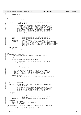```
991
992 return (rc);
993 }
994
995
996 /*<br>997 *
997 * NAME: dbReAlloc()
998 *
999 * FUNCTION: attempt to extend a current allocation by a specified<br>1000 * \cdot number of blocks.
                          number of blocks.
1001 *
<sup>1002</sup> * this routine attempts to satisfy the allocation request<br><sup>1003</sup> * by first trying to extend the existing allocation in
1003 * by first trying to extend the existing allocation in<br>
1004 * by place by allocating the additional blocks as the blo
1004 * place by allocating the additional blocks as the blocks
                          immediately following the current allocation. if these
1006 * blocks are not available, this routine will attempt to
1007 * allocate a new set of contiguous blocks large enough
1008 * to cover the existing allocation plus the additional
1009 * number of blocks required.
1010<br>1011PARAMETERS:
1012 * ip − pointer to in−core inode requiring allocation.
1013 * blkno − starting block of the current allocation.
1014 * nblocks − number of contiguous blocks within the current<br>1015 *
               allocation.<br>addublocks - number of b
1016 * addnblocks − number of blocks to add to the allocation.
1017 * results − on successful return, set to the starting block number
1018 * of the existing allocation if the existing allocation
1019 * was extended in place or to a newly allocated contiguous
1020 * range if the existing allocation could not be extended
1021 * in place.
1022 +1023 * RETURN VALUES:<br>
1024 * 0 -
1024 * 0 − success<br>
1025 * \overline{ENOSPC} – insuffic
1025 * ENOSPC – insufficient disk resources<br>1025 * ETO – i/o error
     \frac{1}{\ast} EIO − i/o error
1027<br>1028
1028 int
1029 dbReAlloc(struct inode *ip<sub>1030</sub> s64 blkno. s64 ml
                 164 blkno, 564 nblocks, 564 addnblocks, 564 * results)
1031 {
1032 int rc;
1033
1034 /* try to extend the allocation in place.
1035
1036 if ((rc = dbExtend(ip, blkno, nblocks, addnblocks)) == 0) {<br>*results = blkno;
1038 return (0);<br>1038 return (0);
1039 } else {
                          if (rc != ENOSPC)
1041 return (rc);
1042 }
1043
1044 /* could not extend the allocation in place, so allocate a<br>\frac{1045}{100} * new set of blocks for the entire request (i.e. try to go
1045 * new set of blocks for the entire request (i.e. try to get
1046 * a range of contiguous blocks large enough to cover the
1047 * existing allocation plus the additional blocks.)
1048<br>1049
1049 return (dbAlloc<br>1050 (ip, bl)
                          (ip, blkno + nblocks - 1, addnblocks + nblocks, results));
1051 }
1052
1053
   /*
1055 * NAME: dbExtend()
1056<br>1057
<sup>1057</sup> * FUNCTION: attempt to extend a current allocation by a specified<br><sup>1058</sup> * 2010 number of blocks.
                          number of blocks.
1059<br>1060
                          this routine attempts to satisfy the allocation request
1061 * by first trying to extend the existing allocation in<br>1062 * place by allocating the additional blocks as the bloc
<sup>1062</sup> * place by allocating the additional blocks as the blocks<br><sup>1063</sup> * immediately following the current allocation.
                          immediately following the current allocation.
1064
1065 * PARAMETERS .
<sup>1066</sup> * ip - pointer to in-core inode requiring allocation.<br><sup>1067</sup> * blkno - starting block of the current allocation.
1067 * blkno − starting block of the current allocation.
1068 * nblocks − number of contiguous blocks within the current
                                   allocation.
1070 * addnblocks − number of blocks to add to the allocation.
1071 *
1072 * RETURN VALUES:
1073 * 0 − success
1074 * ENOSPC − insufficient disk resources
1075 * EIO − i/o error
1076<br>1077
    int dbExtend(struct inode *ip, s64 blkno, s64 nblocks, s64 addnblocks)
1078 \{<br>1079struct jfs_sb_info *sbi = JFS_SBI(ip->i_sb);
1080 s64 lblkno, lastblkno, extblkno;
Registered Version: Linux Kernel Support for JFS ifs dmap.c Exhibit 12.1−1 pg 12/47
```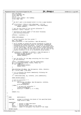```
1081 uint rel_block;
1082 struct metapage *mp;
1083 struct dmap *dp;<br>
1084 int rc;
1084 int rc;<br>1085 struct
1085 struct inode *ipbmap = sbi−>ipbmap;
1086 struct bmap *bmp;
1087
1088<br>1089
1089 * We don't want a non−aligned extent to cross a page boundary
1090 */
1091 if (((rel_block = blkno & (sbi−>nbperpage − 1))) &&
1092 (rel_block + nblocks + addnblocks > sbi−>nbperpage))
1093 return (ENOSPC);
1094
1095 /* get the last block of the current allocation */
1096 lastblkno = blkno + nblocks - 1;
1097
1098 \frac{100}{100} /* determine the block number of the block following
                 * the existing allocation.
1100<br>1101extblkno = lastblkno + 1;1102
1103 IREAD_LOCK(ipbmap);
1104
1105 /* better be within the file system */
1106 bmp = sbi−>bmap;
1107 assert(lastblkno >= 0 && lastblkno < bmp−>db_mapsize);
1108
1109 /* we'll attempt to extend the current allocation in place by<br>
1110 * allocating the additional blocks as the blocks immediately<br>
1111 * following the current allocation. we only try to extend the
1112 * current allocation in place if the number of additional blocks
1113 * can fit into a dmap, the last block of the current allocation
1114 * is not the last block of the file system, and the start of the
1115 * inplace extension is not on an allocation group boundry.
1116 */
1117 if (addnblocks > BPERDMAP || extblkno >= bmp−>db_mapsize ||
1118 (extblkno & (bmp−>db_agsize − 1)) == 0) {
1119 IREAD_UNLOCK(ipbmap);<br>1120 return (ENOSPC);
               \begin{aligned} & \textbf{return} \ (\text{ENOSPC}): \\ \end{aligned}1121 }
1122
1123 /* get the buffer for the dmap containing the first block<br>
\uparrow to the extension.
                 * of the extension.
1125
1126 lblkno = BLKTODMAP(extblkno, bmp−>db_l2nbperpage);
1127 mp = read_metapage(ipbmap, lblkno, PSIZE, 0);
1128 \mathbf{i} \cdot \mathbf{f} (mp == NULL)<br>
1129 TREAD IN
1129 IREAD_UNLOCK(ipbmap);<br>1130 IREAD_UNLOCK(ipbmap);
               return (EIO);
1131 }
1132
               1133 DBALLOCCK(bmp−>db_DBmap, bmp−>db_mapsize, blkno, nblocks);
1134 dp = (struct \cdot dmap * ) mp \cdot >data;1135
1136 \frac{1}{x} try to allocate the blocks immediately following the<br>1137 \frac{x}{1} current allocation.
                 * current allocation.
1138<br>1139
               rc = dbAllocNext(bmp, dp, extblkno, (int) addnblocks);1140
1141 IREAD UNLOCK(ipbmap);
1142
1143 \frac{1}{4} were we successful ? */<br>1144 \frac{1}{4} \frac{1}{2} \frac{1}{2} \frac{1}{2} \frac{1}{2} \frac{1}{2} \frac{1}{2} \frac{1}{2} \frac{1}{2} \frac{1}{2} \frac{1}{2} \frac{1}{2} \frac{1}{2} \frac{1}{2} \frac{1}{2} \frac{1}{2} \frac{1}{2} \frac{1}{2if (rc == 0) {
1145 DBALLOC(bmp−>db_DBmap, bmp−>db_mapsize, extblkno,
1146 addnblocks);<br>
1146 addnblocks);<br>
1147 write metapage(mp);
1147 write_metapage(mp);<br>1148 } else {
1148 } else {
1149 f^* we were not successful */<br>1149 f^* we were not successful */<br>1150 r = \frac{1}{2} release metapage(mp);
                           release_metapage(mp);
1151 assert(\overline{rc} == \overline{ENOSPC} || \overline{rc} == \overline{EIO});
1152 }
1153
1154 return (rc);
1155 }
1156
1157
1158<br>1159NAME: dbAllocNext()1160<br>1161
         FUNCTION: attempt to allocate the blocks of the specified block
1162 * range within a dmap.
1163<br>1164
1164 * PARAMETERS:<br>1165 * bmp- pointer to bmap descriptor
1166 * dp − pointer to dmap.
1167 * blkno − starting block number of the range.
1168 * nblocks − number of contiguous free blocks of the range.
1169 *
Registered Version: Linux Kernel Support for JFS ifs dmap.c Exhibit 12.1−1 pg 13/47
```
<sup>1170</sup> \* RETURN VALUES: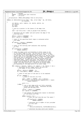<sup>1171</sup> \* 0 − success \* ENOSPC − insufficient disk resources \* EIO − i/o error \* serialization: IREAD\_LOCK(ipbmap) held on entry/exit; **static** int dbAllocNext(struct bmap \* bmp, struct dmap \* dp, s64 blkno, int nblocks) { 1180 int dbitno, word, rembits, nb, nwords, wbitno, nw;<br>1181 int l2size; int l2size; <sup>1182</sup> s8 \*leaf; u32 mask; /\* pick up a pointer to the leaves of the dmap tree. <sup>1186</sup> \*/ leaf = dp−>tree.stree + le32\_to\_cpu(dp−>tree.leafidx); 1189  $\frac{1}{190}$  /\* determine the bit number and word within the dmap of the  $\frac{1}{190}$  \* starting block.  $\int_{t}^{t}$  starting block. dbitno = blkno & (BPERDMAP − 1); <sup>1193</sup> word = dbitno >> L2DBWORD; /\* check if the specified block range is contained within \* this dmap. \*/ **if** (dbitno + nblocks > BPERDMAP) **return** (ENOSPC); /\* check if the starting leaf indicates that anything<br> $1202$  \* is free.  $*$  is free. 1203<br>1204 1204 **if**  $\begin{bmatrix} \text{leaf} \text{word} \end{bmatrix}$  == NOFREE) return (ENOSPC); /\* check the dmaps words corresponding to block range to see <sup>1208</sup> \* if the block range is free. not all bits of the first and 1209  $*$  last words may be contained within the block range. if this<br>1210  $*$  is the case, we'll work against those words (i.e. partial fi \* is the case, we'll work against those words (i.e. partial first <sup>1211</sup> \* and/or last) on an individual basis (a single pass) and examine 1212 \* the actual bits to determine if they are free. a single pass<br>
\* the actual bits to determine if they are free. a single pass<br>
\* will be used for all dmap words fully contained within the \* will be used for all dmap words fully contained within the <sup>1214</sup> \* specified range. within this pass, the leaves of the dmap \* tree will be examined to determine if the blocks are free. a <sup>1216</sup> \* single leaf may describe the free space of multiple dmap <sup>1217</sup> \* words, so we may visit only a subset of the actual leaves \* corresponding to the dmap words of the block range. <br> $1220$ 1220 **for** (rembits = nblocks; rembits > 0; rembits -= nb, dbitno += nb) {<br>1221 /\* determine the bit number within the word and <br>  $*$  the number of bits within the word.<br>  $*$ /  $*$  / 1224 wbitno = dbitno & (DBWORD − 1);<br>
1225 nb = min(rembits, DBWORD - wbitno); 1227 /\* check if only part of the word is to be examined.  $*$  / 1229 **if** (nb < DBWORD) {<br>  $\uparrow$  + check i  $\frac{1}{230}$  /\* check if the bits are free.<br> $\frac{1}{231}$ 1232 mask = (ONES << (DBWORD − nb) >> wbitno);<br>1233 **if** ((mask & ~1e32 to cpu(dp->wmap[word])) **if** ((mask & ~le32\_to\_cpu(dp−>wmap[word])) != mask) **return** (ENOSPC); word += 1; <sup>1237</sup> } **else** { <sup>1238</sup> /\* one or more dmap words are fully contained <sup>1239</sup> \* within the block range. determine how many 1239 \* within the block range. determine how many<br>
\* within the block range. determine how many<br>
\* words and how many bits. **\***/ 1242 1242 nwords = rembits >> L2DBWORD;<br>1243 1243 nb = nwords << L2DBWORD; nb = nwords << L2DBWORD; /\* now examine the appropriate leaves to determine <sup>1246</sup> \* if the blocks are free.  $*$  / 1248 **while** (nwords > 0) {<br>
1249 */\* does the leaf describe any free space ?*<br>
1250 *\**/ **if** (leaf[word] < BUDMIN) **return** (ENOSPC); 1254  $\prime$  \* determine the 12 number of bits provided  $\prime$  to this leaf. \* by this leaf. 1256  $*$  /  $\frac{12}{57}$  1257  $\frac{12}{57}$  1258  $\frac{12}{57}$  1258 min((int)leaf[word], NLSTOL2BSZ(nwords)); 1260 1260 /\* determine how many words were handled. Registered Version: Linux Kernel Support for JFS **ifs dmap.c** Exhibit 12.1−1 pg 14/47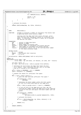```
1261 */
\mu<sup>251</sup> nw = BUDSIZE(l2size, BUDMIN);
1263
1264 nwords −= nw;<br>1265 nword += nw;
1265 word += nw; 1266\left\{\right\}\left\{\n \begin{array}{ccc}\n 1267 & & \\
 \end{array}\n \right\}1268 }
1269
1270 /* allocate the blocks.
1271
1272 return (dbAllocDmap(bmp, dp, blkno, nblocks));
1273 }
1274
1275
1276 / *1277 * NAME: dbAllocNear()
1278<br>1279
1279 * FUNCTION: attempt to allocate a number of contiguous free blocks near<br>1280 * \qquad \qquad a specified block (hint) within a dmap.
                      a specified block (hint) within a dmap.
1281 *
1282 * starting with the dmap leaf that covers the hint, we'll
1283 * check the next four contiguous leaves for sufficient free
1284 * space. if sufficient free space is found, we'll allocate<br>1285 * the desired free space.
                      the desired free space.
1286 *
\begin{array}{ccc} \n 1287 & \ast & \text{PARAMETERS:} \\ \n 1288 & \ast & \text{bmp} \n \end{array}- pointer to bmap descriptor
1289 * dp − pointer to dmap.<br>1290 * blkno − block number to allocate near.<br>1291 *   nblocks − actual number of contiguous free blocks desired.<br>1292 *   l2nb − log2 number of contiguous free blocks desired.
1293 * results − on successful return, set to the starting block number
1294 * of the newly allocated range.
1295<br>1296
       RETURN VALUES:
1297 * 0 − success<br>
1298 * ENOSPC – insuffi
1298 * ENOSPC − insufficient disk resources<br>1299 * EIO − i/o error
                      - i/o error
1300 *
1301 * serialization: IREAD_LOCK(ipbmap) held on entry/exit;<br>
**
1302
1303 static int
1304 dbAllocNear(struct bmap * bmp,<br>1305 struct dmap * dp,
    \frac{1}{2} struct dmap * dp, s64 blkno, int nblocks, int 12nb, s64 * results)
1306 {
1307 int word, lword, rc;<br>1308 s8 *leaf = dp->tree.
             1308 s8 *leaf = dp−>tree.stree + le32_to_cpu(dp−>tree.leafidx);
1309
1310 /* determine the word within the dmap that holds the hint
1311 * (i.e. blkno). also, determine the last word in the dmap
1312 * that we'll include in our examination.
1313
1314 word = (blkno & (BPERDMAP − 1)) >> L2DBWORD;
1315 lword = min(word + 4, LPERDMAP);
1316
1317 /* examine the leaves for sufficient free space.
1318<br>1319
1319 for (; word < lword; word++) {<br>1320 for (; does the leaf descr
1320 /* does the leaf describe sufficient free space ?
1321 */
1322 if (leaf[word] < l2nb)<br>1323 continue;
                                continue;
1324
1325 /* determine the block number within the file system
1326 * of the first block described by this dmap word.
1327 * /
1328 blkno = le64_to_cpu(dp−>start) + (word << L2DBWORD);
1329
\frac{1330}{1330} /* if not all bits of the dmap word are free, get the
1331 * starting bit number within the dmap word of the required
1332 * string of free bits and adjust the block number with the
1333 * value.<br>1334 */
1334 * /
1335 if (leaf[word] < BUDMIN)
1336 blkno +=
1337 dbFindBits(le32_to_cpu(dp−>wmap[word]), l2nb);
1338
1339 /* allocate the blocks.
1340 * /
1341 if ((rc = dbAllocDmap(bmp, dp, blkno, nblocks)) == 0)
1342 *results = blkno;
1343
1344 return (rc);<br>1345 }
1345 }
1346
1347 return (ENOSPC);
1348 }
1349
1350
Registered Version: Linux Kernel Support for JFS ifs dmap.c Exhibit 12.1−1 pg 15/47
```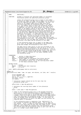| Registered Version: Linux Kernel Support for JFS                                                                                     |                                                                                                                                                                                                                                                                                                                                                                                                                                                                                                                                                                                                                                                                                                                                                                                                                                                                                                                                                                                             | jfs_dmap.c | Exhibit 12.1-1 pg 16/47 |
|--------------------------------------------------------------------------------------------------------------------------------------|---------------------------------------------------------------------------------------------------------------------------------------------------------------------------------------------------------------------------------------------------------------------------------------------------------------------------------------------------------------------------------------------------------------------------------------------------------------------------------------------------------------------------------------------------------------------------------------------------------------------------------------------------------------------------------------------------------------------------------------------------------------------------------------------------------------------------------------------------------------------------------------------------------------------------------------------------------------------------------------------|------------|-------------------------|
| 1351<br>$^\star$<br><i>NAME :</i><br>1352                                                                                            | dbAllocAG()                                                                                                                                                                                                                                                                                                                                                                                                                                                                                                                                                                                                                                                                                                                                                                                                                                                                                                                                                                                 |            |                         |
| 1353<br>FUNCTION:<br>1354<br>1355                                                                                                    | attempt to allocate the specified number of contiguous<br>free blocks within the specified allocation group.                                                                                                                                                                                                                                                                                                                                                                                                                                                                                                                                                                                                                                                                                                                                                                                                                                                                                |            |                         |
| 1356<br>1357<br>1358<br>1359<br>1360<br>1361<br>1362<br>1363<br>1364<br>1365<br>1366<br>1367<br>1368<br>1369<br>1370<br>1371<br>1372 | unless the allocation group size is equal to the number<br>of blocks per dmap, the dmap control pages will be used to<br>find the required free space, if available. we start the<br>search at the highest dmap control page level which<br>distinctly describes the allocation group's free space<br>(i.e. the highest level at which the allocation group's<br>free space is not mixed in with that of any other group).<br>in addition, we start the search within this level at a<br>height of the dmapctl dmtree at which the nodes distinctly<br>describe the allocation group's free space.  at this height,<br>the allocation group's free space may be represented by 1<br>or two sub-trees, depending on the allocation group size.<br>we search the top nodes of these subtrees left to right for<br>sufficient free space. if sufficient free space is found,<br>the subtree is searched to find the leftmost leaf that<br>has free space. once we have made it to the leaf, we |            |                         |
| 1373<br>1374<br>1375<br>1376<br>1377                                                                                                 | move the search to the next lower level dmap control page<br>corresponding to this leaf. we continue down the dmap control<br>pages until we find the dmap that contains or starts the<br>sufficient free space and we allocate at this dmap.                                                                                                                                                                                                                                                                                                                                                                                                                                                                                                                                                                                                                                                                                                                                               |            |                         |
| 1378<br>1379<br>1380<br>1381                                                                                                         | if the allocation group size is equal to the dmap size,<br>we'll start at the dmap corresponding to the allocation<br>group and attempt the allocation at this level.                                                                                                                                                                                                                                                                                                                                                                                                                                                                                                                                                                                                                                                                                                                                                                                                                       |            |                         |
| 1382<br>1383<br>1384<br>1385<br>1386<br>1387<br>1388                                                                                 | the dmap control page search is also not performed if the<br>allocation group is completely free and we go to the first<br>dmap of the allocation group to do the allocation. this is<br>done because the allocation group may be part (not the first<br>part) of a larger binary buddy system, causing the dmap<br>control pages to indicate no free space (NOFREE) within<br>the allocation group.                                                                                                                                                                                                                                                                                                                                                                                                                                                                                                                                                                                        |            |                         |
| 1389<br>PARAMETERS:<br>1390                                                                                                          |                                                                                                                                                                                                                                                                                                                                                                                                                                                                                                                                                                                                                                                                                                                                                                                                                                                                                                                                                                                             |            |                         |
| bmp<br>1391                                                                                                                          | pointer to bmap descriptor                                                                                                                                                                                                                                                                                                                                                                                                                                                                                                                                                                                                                                                                                                                                                                                                                                                                                                                                                                  |            |                         |
| agno<br>1392                                                                                                                         | - allocation group number.                                                                                                                                                                                                                                                                                                                                                                                                                                                                                                                                                                                                                                                                                                                                                                                                                                                                                                                                                                  |            |                         |
| 1393<br>12nb<br>1394                                                                                                                 | nblocks –<br>actual number of contiguous free blocks desired.<br>log2 number of contiguous free blocks desired.<br>$\sim$                                                                                                                                                                                                                                                                                                                                                                                                                                                                                                                                                                                                                                                                                                                                                                                                                                                                   |            |                         |
| 1395                                                                                                                                 | results -<br>on successful return, set to the starting block number                                                                                                                                                                                                                                                                                                                                                                                                                                                                                                                                                                                                                                                                                                                                                                                                                                                                                                                         |            |                         |
| 1396                                                                                                                                 | of the newly allocated range.                                                                                                                                                                                                                                                                                                                                                                                                                                                                                                                                                                                                                                                                                                                                                                                                                                                                                                                                                               |            |                         |
| 1397                                                                                                                                 |                                                                                                                                                                                                                                                                                                                                                                                                                                                                                                                                                                                                                                                                                                                                                                                                                                                                                                                                                                                             |            |                         |
| RETURN VALUES:<br>1398<br>0<br>1399                                                                                                  | - success                                                                                                                                                                                                                                                                                                                                                                                                                                                                                                                                                                                                                                                                                                                                                                                                                                                                                                                                                                                   |            |                         |
| ENOSPC<br>1400                                                                                                                       | - insufficient disk resources                                                                                                                                                                                                                                                                                                                                                                                                                                                                                                                                                                                                                                                                                                                                                                                                                                                                                                                                                               |            |                         |
| <i>EIO</i><br>1401                                                                                                                   | - i/o error                                                                                                                                                                                                                                                                                                                                                                                                                                                                                                                                                                                                                                                                                                                                                                                                                                                                                                                                                                                 |            |                         |
| 1402                                                                                                                                 | * note: IWRITE_LOCK(ipmap) held on entry/exit;                                                                                                                                                                                                                                                                                                                                                                                                                                                                                                                                                                                                                                                                                                                                                                                                                                                                                                                                              |            |                         |
| 1403<br>$^{\star}$ /<br>1404                                                                                                         |                                                                                                                                                                                                                                                                                                                                                                                                                                                                                                                                                                                                                                                                                                                                                                                                                                                                                                                                                                                             |            |                         |
| static int<br>1405<br>1406                                                                                                           | dbAllocAG(struct bmap * bmp, int agno, s64 nblocks, int l2nb, s64 * results)                                                                                                                                                                                                                                                                                                                                                                                                                                                                                                                                                                                                                                                                                                                                                                                                                                                                                                                |            |                         |
| 1407<br>1408                                                                                                                         | struct metapage *mp;                                                                                                                                                                                                                                                                                                                                                                                                                                                                                                                                                                                                                                                                                                                                                                                                                                                                                                                                                                        |            |                         |
| 1409                                                                                                                                 | struct dmapctl *dcp;                                                                                                                                                                                                                                                                                                                                                                                                                                                                                                                                                                                                                                                                                                                                                                                                                                                                                                                                                                        |            |                         |
| 1410                                                                                                                                 | int rc, ti, i, k, m, n, agperlev;                                                                                                                                                                                                                                                                                                                                                                                                                                                                                                                                                                                                                                                                                                                                                                                                                                                                                                                                                           |            |                         |
| 1411                                                                                                                                 | s64 blkno, lblkno;<br><i>int</i> budmin;                                                                                                                                                                                                                                                                                                                                                                                                                                                                                                                                                                                                                                                                                                                                                                                                                                                                                                                                                    |            |                         |
| 1412<br>1413                                                                                                                         |                                                                                                                                                                                                                                                                                                                                                                                                                                                                                                                                                                                                                                                                                                                                                                                                                                                                                                                                                                                             |            |                         |
| 1414                                                                                                                                 | /* allocation request should not be for more than the                                                                                                                                                                                                                                                                                                                                                                                                                                                                                                                                                                                                                                                                                                                                                                                                                                                                                                                                       |            |                         |
| 1415                                                                                                                                 | * allocation group size.                                                                                                                                                                                                                                                                                                                                                                                                                                                                                                                                                                                                                                                                                                                                                                                                                                                                                                                                                                    |            |                         |
| $^*/$<br>1416<br>1417                                                                                                                | $assert(12nb \le bmp \ge db_aql2size);$                                                                                                                                                                                                                                                                                                                                                                                                                                                                                                                                                                                                                                                                                                                                                                                                                                                                                                                                                     |            |                         |
| 1418                                                                                                                                 |                                                                                                                                                                                                                                                                                                                                                                                                                                                                                                                                                                                                                                                                                                                                                                                                                                                                                                                                                                                             |            |                         |
| 1419                                                                                                                                 | /* determine the starting block number of the allocation                                                                                                                                                                                                                                                                                                                                                                                                                                                                                                                                                                                                                                                                                                                                                                                                                                                                                                                                    |            |                         |
| 1420                                                                                                                                 | * group.                                                                                                                                                                                                                                                                                                                                                                                                                                                                                                                                                                                                                                                                                                                                                                                                                                                                                                                                                                                    |            |                         |
| $^*/$<br>1421                                                                                                                        | blkno = $(s64)$ agno << bmp->db_agl2size;                                                                                                                                                                                                                                                                                                                                                                                                                                                                                                                                                                                                                                                                                                                                                                                                                                                                                                                                                   |            |                         |
| 1422<br>1423                                                                                                                         |                                                                                                                                                                                                                                                                                                                                                                                                                                                                                                                                                                                                                                                                                                                                                                                                                                                                                                                                                                                             |            |                         |
| 1424                                                                                                                                 | $\prime\star$ check if the allocation group size is the minimum allocation                                                                                                                                                                                                                                                                                                                                                                                                                                                                                                                                                                                                                                                                                                                                                                                                                                                                                                                  |            |                         |
| 1425                                                                                                                                 | * group size or if the allocation group is completely free. if                                                                                                                                                                                                                                                                                                                                                                                                                                                                                                                                                                                                                                                                                                                                                                                                                                                                                                                              |            |                         |
| 1426<br>1427                                                                                                                         | * the allocation group size is the minimum size of BPERDMAP (i.e.<br>* 1 dmap), there is no need to search the dmap control page (below)                                                                                                                                                                                                                                                                                                                                                                                                                                                                                                                                                                                                                                                                                                                                                                                                                                                    |            |                         |
| 1428                                                                                                                                 | * that fully describes the allocation group since the allocation                                                                                                                                                                                                                                                                                                                                                                                                                                                                                                                                                                                                                                                                                                                                                                                                                                                                                                                            |            |                         |
| 1429                                                                                                                                 | * group is already fully described by a dmap. in this case, we                                                                                                                                                                                                                                                                                                                                                                                                                                                                                                                                                                                                                                                                                                                                                                                                                                                                                                                              |            |                         |
| 1430                                                                                                                                 | * just call dbAllocCtl() to search the dmap tree and allocate the                                                                                                                                                                                                                                                                                                                                                                                                                                                                                                                                                                                                                                                                                                                                                                                                                                                                                                                           |            |                         |
| 1431                                                                                                                                 | required space if available.                                                                                                                                                                                                                                                                                                                                                                                                                                                                                                                                                                                                                                                                                                                                                                                                                                                                                                                                                                |            |                         |
| 1432<br>1433                                                                                                                         | * if the allocation group is completely free, dbAllocCtl() is                                                                                                                                                                                                                                                                                                                                                                                                                                                                                                                                                                                                                                                                                                                                                                                                                                                                                                                               |            |                         |
| 1434                                                                                                                                 | * also called to allocate the required space.  this is done for                                                                                                                                                                                                                                                                                                                                                                                                                                                                                                                                                                                                                                                                                                                                                                                                                                                                                                                             |            |                         |
| 1435                                                                                                                                 | * two reasons. first, it makes no sense searching the dmap control                                                                                                                                                                                                                                                                                                                                                                                                                                                                                                                                                                                                                                                                                                                                                                                                                                                                                                                          |            |                         |
| 1436                                                                                                                                 | pages for free space when we know that free space exists. second,                                                                                                                                                                                                                                                                                                                                                                                                                                                                                                                                                                                                                                                                                                                                                                                                                                                                                                                           |            |                         |
| 1437                                                                                                                                 | * the dmap control pages may indicate that the allocation group                                                                                                                                                                                                                                                                                                                                                                                                                                                                                                                                                                                                                                                                                                                                                                                                                                                                                                                             |            |                         |
| 1438<br>1439                                                                                                                         | * has no free space if the allocation group is part (not the first<br>* part) of a larger binary buddy system.                                                                                                                                                                                                                                                                                                                                                                                                                                                                                                                                                                                                                                                                                                                                                                                                                                                                              |            |                         |
| $\star/$<br>1440                                                                                                                     |                                                                                                                                                                                                                                                                                                                                                                                                                                                                                                                                                                                                                                                                                                                                                                                                                                                                                                                                                                                             |            |                         |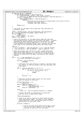```
1441 if (bmp−>db_agsize == BPERDMAP
1442 || bmp−>db_agfree[agno] == bmp−>db_agsize) {
1443 rc = dbAllocCtl(bmp, nblocks, l2nb, blkno, results);
1444 /* assert(!(rc == ENOSPC && bmp−>db_agfree[agno] == bmp−>db_agsize)); */
1445 if ((rc == ENOSPC) &&
                             1446 (bmp−>db_agfree[agno] == bmp−>db_agsize)) {
\begin{array}{c}\n\text{1447} \\
\text{1447} \\
\text{1448}\n\end{array}1448 ("dbAllocAG: removed assert, but still need to debug here\nblkno = 0x\%Lx, nblocks = 0x\%Lx\ln y,<br>(unsigned long long) blkno,
1449 (unsigned long long) blkno,
1450 (unsigned long long) nblocks));
\left\{\n \begin{array}{ccc}\n 1451 & & \\
 1451 & & \\
 \end{array}\n \right\}1452 return (rc);<br>1453 }
1453 }
1454
1455 /* the buffer for the dmap control page that fully describes the
1456 * allocation group.
1457<br>1458
1458 lblkno = BLKTOCTL(blkno, bmp−>db_l2nbperpage, bmp->db_aglevel);<br>1459 mp = read metapage(bmp->db_ipbmap, lblkno, PSTZE, 0);
1459 mp = read_metapage(bmp->db_ipbmap, lblkno, PSIZE, 0);<br>1460 if (mp == NIII,)
1460 if (\text{mp} = \text{NULL})<br>1461 return
                       1461 return (EIO);
1462 dcp = (struct dmapctl *) mp−>data;<br>1463 budmin = dcp−>budmin;
              1463 budmin = dcp−>budmin;
1464
1466 /* search the subtree(s) of the dmap control page that describes<br>* the allocation group, looking for sufficient free space. to begin,<br>1467           * determine how many allocation groups are represented in a dmap<br>* c
1469 * fully describes an allocation group. next, determine the starting
1470 * tree index of this allocation group within the control page.
1471 *<br>1472 1472aqperlev =1473 (1 << (L2LPERCTL − (bmp−>db_agheigth << 1))) / bmp−>db_agwidth;
1474 ti = bmp−>db_agstart + bmp−>db_agwidth * (agno & (agperlev − 1));
1475
1476 /* dmap control page trees fan−out by 4 and a single allocation 
1477 * group may be described by 1 or 2 subtrees within the ag level
1478 * dmap control page, depending upon the ag size. examine the ag's
1479 * subtrees for sufficient free space, starting with the leftmost * subtree.
               * subtree.
1481<br>1482
1482 for (i = 0; i < bmp->db_agwidth; i++, ti++) {<br>1483   1483   for (i = 0; i < bmp->db_agwidth; i++, ti++) {
1483 /* is there sufficient free space ?
1484 */
1485 if (l2nb > dcp−>stree[ti])
1486 continue;
1487
1488 /* sufficient free space found in a subtree. now search down
1489 * the subtree to find the leftmost leaf that describes this
1490 * free space.
1491 * /
1492 for (k = bmp->db_agheigth; k > 0; k−−) {<br>
for (n = 0, m = (ti << 2) + 1; n < 4; n++) {
1494 if (l2nb <= dcp−>stree[m + n]) {<br>
ti = m + n;
1496 break;
\{1497\}\{1498\}1499 \overrightarrow{1800} assert(n < 4);
\left\{\right\}1501
1502 /* determine the block number within the file system<br>1503 * that corresponds to this leaf.
1503 * that corresponds to this leaf.
1504 * /
1505 if (bmp−>db_aglevel == 2)
1506 blkno = 0;<br>
\frac{1506}{1507} blkno = 0;<br>
else if (bmp->db a
1507 else if (bmp−>db_aglevel == 1)<br>1508 else if (bmp−>db_aglevel == 1)<br>1508 blkno &= ~(MAXL1SIZE -
1508 blkno &= ~(MAXL1SIZE − 1);<br>
1509 else /* bmp−>db_aglevel == 0 */<br>
1510 blkno &= ~(MAXL0SIZE − 1);
1511
1512 blkno +=<br>1513 ((S6
                             1513 ((s64) (ti − le32_to_cpu(dcp−>leafidx))) << budmin;
1514
1515 /* release the buffer in preparation for going down
1516 * the next level of dmap control pages.
1517 * /1518 release_metapage(mp);
1519
1520 1520 /* check if we need to continue to search down the lower<br>1521 1521 1521 1521 1522 1523 1624 1625 1627 1628 1629 1621 1622 1624 1628 1629 1621 1622 1622 1628 1629 1629
1521 * level dmap control pages. we need to if the number of
1522 * blocks required is less than maximum number of blocks
\frac{1}{1523} * described at the next lower level.
+ /\mathbf{f} (12nb < budmin) {
1526
1527 /* search the lower level dmap control pages to get
<sup>1528</sup> * the starting block number of the the dmap that<br><sup>1529</sup> * Contains or starts off the free space
                                    * contains or starts off the free space.<br>*/
1530 * /
Registered Version: Linux Kernel Support for JFS ifs dmap.c Exhibit 12.1−1 pg 17/47
```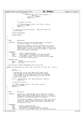<sup>1531</sup> **if** ((rc = 11 (1)<br>dbFindCtl(bmp, l2nb, bmp->db\_aglevel - 1,<br>kblkno))) {  $\frac{1533}{1533}$   $\frac{1533}{1534}$   $\frac{1533}{1534}$   $\frac{1533}{1534}$   $\frac{1533}{1534}$   $\frac{1533}{1534}$  $assert(rc := ENOSPC)$ ; 1535 **return** (rc);<br>1536 **f**  $\left\{\right\}$  $\left\{\right. \right\}$ 1538 1539  $\frac{1}{\sqrt{t}}$  allocate the blocks. 1540  $*$  / <sup>1541</sup> rc = dbAllocCtl(bmp, nblocks, l2nb, blkno, results); <sup>1542</sup> assert(rc != ENOSPC); 1543 **return** (rc);<br>1544 **for the set of the set of the set of the set of the set of the set of the set of the set of the set of the set of the set of the set of the set of the set of the set of the set of the set of the s** <sup>1544</sup> } 1545 1546  $\frac{1}{\sqrt{5}}$  mo space in the allocation group. release the buffer and  $\frac{1}{\sqrt{5}}$  return ENOSPC.  $*$  return ENOSPC. 1548<br>1549 <sup>1549</sup> release\_metapage(mp); 1550 <sup>1551</sup> **return** (ENOSPC); <sup>1552</sup> } 1553 1554 1555  $/*$ <sup>1556</sup> \* NAME: dbAllocAny() <sup>1557</sup> \* FUNCTION: attempt to allocate the specified number of contiguous <sup>1559</sup> \* free blocks anywhere in the file system. <sup>1560</sup> \* 1561 \* dbAllocAny() attempts to find the sufficient free space by<br>1562 \* Searching down the dmap control pages, starting with the <sup>1562</sup> \* searching down the dmap control pages, starting with the <sup>1563</sup> \* highest level (i.e. L0, L1, L2) control page. if free space <sup>1564</sup> \* large enough to satisfy the desired free space is found, the <sup>1565</sup> \* desired free space is allocated. <sup>1566</sup> \* 1567  $*$  PARAMETERS:<br>1568  $*$  bmp <sup>1568</sup> \* bmp - pointer to bmap descriptor<br>
<sup>1569 \*</sup> nblocks - actual number of contiguous free blocks desired.<br>
<sup>1570 \*</sup> 12nb - log2 number of contiguous free blocks desired.<br>
<sup>1571</sup> \* results - on successful return, set t <sup>1573</sup> \* 1574 \* RETURN VALUES:<br>1575 \* 0 -<sup>1575</sup> \* 0 − success <sup>1576</sup> \* ENOSPC − insufficient disk resources <sup>1577</sup> \* EIO − i/o error 1578<br>1579 serialization: IWRITE LOCK(ipbmap) held on entry/exit; 1580 <sup>1581</sup> **static** int dbAllocAny(struct bmap \* bmp, s64 nblocks, int l2nb, s64 \* results)  $1582$   $\{$ <br>1583 int rc; <sup>1584</sup> s64 blkno = 0; 1585 <sup>1586</sup> /\* starting with the top level dmap control page, search <sup>1587</sup> \* down the dmap control levels for sufficient free space. 1588  $*$  if free space is found, dbFindCtl() returns the starting<br>the starts of the dman that contains or starts off the 1589 \* block number of the dmap that contains or starts off the<br>1590 \* range of free space. <sup>1590</sup> \* range of free space. <sup>1591</sup> \*/ <sup>1592</sup> **if** ((rc = dbFindCtl(bmp, l2nb, bmp−>db\_maxlevel, &blkno))) return (rc); 1594 1595  $\frac{1}{4}$  allocate the blocks. 1596<br>1597 1597  $rc = dbA1locCL(lomp, nblocks, 12nb, blkno, results);$ <br>1598 assert( $rc$ != ENOSPC); 1598 assert(rc !=  $ENOSPC$ );<br>1599 **return** (rc); return (rc);  $1600$  } 1601 1602 1603  $/*$ <br>1604 \* NAME:  $dbFindCt1()$ <sup>1605</sup> \* <sup>1606</sup> \* FUNCTION: starting at a specified dmap control page level and block <sup>1607</sup> \* number, search down the dmap control levels for a range of <sup>1608</sup> \* contiguous free blocks large enough to satisfy an allocation <sup>1609</sup> \* request for the specified number of free blocks. 1610<br>1611 if sufficient contiguous free blocks are found, this routine <sup>1612</sup> \* returns the starting block number within a dmap page that <sup>1613</sup> \* contains or starts a range of contiqious free blocks that 1614 \* is sufficient in size. <sup>1615</sup> \* 1616 \* *PARAMETERS*:<br>1617 \* *bmp* <sup>1617</sup> \* bmp − pointer to bmap descriptor <sup>1618</sup> \* level − starting dmap control page level. <sup>1619</sup> \* l2nb − log2 number of contiguous free blocks desired. <sup>1620</sup> \* \*blkno − on entry, starting block number for conducting the search. Registered Version: Linux Kernel Support for JFS **interact in the Support of Support for JFS fS\_dmap.c** Exhibit 12.1−1 pg 18/47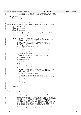```
1621 * on successful return, the first block within a dmap page
1622 * that contains or starts a range of contiguous free blocks.
\begin{array}{cc}\n1623 & * \\
1624 & * \\
\end{array}RETURN VALUES:
1625 * 0 − success
1626 * ENOSPC − insufficient disk resources
1627 * EIO − i/o error
1628<br>1629
     * serialization: IWRITE_LOCK(ipbmap) held on entry/exit;
1630
1631 static int dbFindCtl(struct bmap * bmp, int l2nb, int level, s64 * blkno)
1632 {
1633 int rc, leafidx, lev;<br>1634 564 b, lblkno;
1634 s64 b, lblkno;
1635 struct dmapctl *dcp;
1636 int budmin;
1637 struct metapage *mp;
1638
1639 /* starting at the specified dmap control page level and block
1640 * number, search down the dmap control levels for the starting
1641 * block number of a dmap page that contains or starts off 
1642 * sufficient free blocks.
1643<br>1644
1644 for (lev = level, b = *blkno; lev >= 0; lev−−) {
1645 /* get the buffer of the dmap control page for the block
1646 * number and level (i.e. L0, L1, L2).
1647 * /1648 lblkno = BLKTOCTL(b, bmp−>db_l2nbperpage, lev);
1649 mp = read_metapage(bmp->db_ipbmap, lblkno, PSIZE, 0);<br>
if (mp == NIII.I.)
                         i\overline{f} (mp == NULL)
1651 return (EIO);<br>1652 return (EIO);<br>dcp = (struct dmapctl
                        dep = (struct \text{dmapct1} *) mp->data;
1653 budmin = dcp−>budmin;
1654
1655 /* search the tree within the dmap control page for
1656 * sufficent free space. if sufficient free space is found,
1657 * dbFindLeaf() returns the index of the leaf at which
1658 \star free space was found.<br>1659 \star /
1659 * /
1660 rc = dbFindLeaf((dmtree_t *) dcp, l2nb, &leafidx);
1661
<sup>1662</sup> /* release the buffer.<br>1663 */
1663 * /
1664 release_metapage(mp);
1665
1666 \frac{7}{1667} /* space found ?
1667 * /1668 if (rc) {
1669 \overrightarrow{assert}(\text{lev} == \text{level});return (ENOSPC);
1671 \Big\}1672<br>1673
1673 /* adjust the block number to reflect the location within<br>1674 * the dmap control page (i.e. the leaf) at which free
1674 \star the dmap control page (i.e. the leaf) at which free<br>\star space was found
                          * space was found.
1676 * /
1677 b += ((s64) leafidx) << budmin);
1678
1679 \frac{1}{160} \frac{1}{160} \frac{1}{160} \frac{1}{160} \frac{1}{160} \frac{1}{160} \frac{1}{160} \frac{1}{160} \frac{1}{160} \frac{1}{160} \frac{1}{160} \frac{1}{160} \frac{1}{160} \frac{1}{160} \frac{1}{160} \frac{1}{160} \frac{1}{160} \frac{1}{160} 
1680 * the number of blocks required is greater than or equal
1681 * to the maximum number of blocks described at the next
<sup>1682</sup> * (lower) level.<br><sup>1682</sup> * /
1683 */
1684 if (l2nb >= budmin)
1685 break;
1686 }
1687
1688 *blkno = bi<br>1689 *elurn (0);1689 return (0);
1690 }
1691
1692
1693<br>1694
       NAME: dbAllocCtl()1695 *
1696 * FUNCTION: attempt to allocate a specified number of contiguous
1697 * blocks starting within a specific dmap.
1698<br>1699
                        this routine is called by higher level routines that search
1700 * the dmap control pages above the actual dmaps for contiguous
1701 * free space. the result of successful searches by these
1702 * routines are the starting block numbers within dmaps, with<br>1703 * The dmaps themselves containing the desired contiguous free
1703 * the dmaps themselves containing the desired contiguous free<br>1704 * Space or starting a contiguous free space of desired size
1704 * space or starting a contiguous free space of desired size
1705 * that is made up of the blocks of one or more dmaps. these
1706 * calls should not fail due to insufficent resources.
1707<br>1708
1708 * this routine is called in some cases where it is not known
1709 * whether it will fail due to insufficient resources. more
1710 * specifically, this occurs when allocating from an allocation
Registered Version: Linux Kernel Support for JFS interact in the Support of Support for JFS fS_dmap.c Exhibit 12.1−1 pg 19/47
```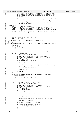```
1711 * group whose size is equal to the number of blocks per dmap.
1712 * in this case, the dmap control pages are not examined prior
1713 * to calling this routine (to save pathlength) and the call
1714 * might fail.
1715<br>1716
                        for a request size that fits within a dmap, this routine relies
1717 * upon the dmap's dmtree to find the requested contiguous free
1718 * space. for request sizes that are larger than a dmap, the
1719 * requested free space will start at the first block of the \frac{1}{270} * first dmap (i.e. blkno).
                        first dmap (i.e. blkno).
1721 *
1722 * PARAMETERS:<br>1723 * bmp
1723 * bmp − pointer to bmap descriptor
1724 * nblocks − actual number of contiguous free blocks to allocate.
1725 * l2nb − log2 number of contiguous free blocks to allocate.
1726 * blkno – starting block number of the dmap to start the allocation 1727 *
1727 * from.<br>1728 * results - on such
1728 * results − on successful return, set to the starting block number<br>1729 * of the newly allocated range
                            of the newly allocated range.
1730<br>1731
        RETURN VALUES:
1732 * 0 − success
1733 * ENOSPC − insufficient disk resources
1734 * EIO − i/o error
1735 *
1736 * serialization: IWRITE_LOCK(ipbmap) held on entry/exit;
1737
1738 static int
1739 dbAllocCtl(struct bmap * bmp, s64 nblocks, int l2nb, s64 blkno, s64 * results)
1740 {
1741 int rc, nb;
1742 s64 b, lblkno, n;
1743 struct metapage *mp;
1744 struct dmap *dp;
1745
1746 /* check if the allocation request is confined to a single dmap.
1747<br>1748
<sup>11748</sup> if (12nb \leq L2BPERDMAP) {<br>1749 * get the buffer
1749 /* get the buffer for the dmap.<br>1750 */
1751 lblkno = BLKTODMAP(blkno, bmp−>db_l2nbperpage);
1752 mp = read_metapage(bmp−>db_ipbmap, lblkno, PSIZE, 0);
1753 if (mp == NULL)<br>1754 return
1754 return (EIO);<br>1755 dp = (Strue t \text{ dmap } *)dp = (struct dmap *) mp->data;
1756
<sup>1757</sup> /* try to allocate the blocks.
1758 \star /<br>1759 \star /
1759 rc = dbA1locDmapLev(bmp, dp, (int) nblocks, 12nb, results);<br>
1760 if (rc == 0)if (rc == 0)1761 mark metapage dirty(mp);
1762
                        release metapage(mp);
1764
1765 return (rc);<br>1766 }
1766
1767
1768 \frac{1}{3} /* allocation request involving multiple dmaps. it must start on \frac{1}{3} a dmap boundary.
               \begin{array}{c} 176 \times 10^{-14} \\ \hline 1 \times 10^{-14} \end{array}1770
1771 assert((blkno & (BPERDMAP - 1)) == 0);
1772
1773 /* allocate the blocks dmap by dmap.
1774 */
1775 for (n = nblocks, b = blkno; n > 0; n −= nb, b += nb) {<br>
/* get the buffer for the dmap.
1777 *1778 lblkno = BLKTODMAP(b, bmp->db_l2nbperpage);<br>1779 mp = read metapage(bmp->db_ipbmap, lblkno, 1
1779 mp = read_metapage(bmp−>db_ipbmap, lblkno, PSIZE, 0);
1780 if (mp == NULL) {
1781<br>1782<br>1782<br>1782<br>qoto back
1782 goto backout;
\left\{ \right. 1783 \left. \right\}dp = (struct \text{ dmap } *) mp->data;
1785
1786 \frac{1}{1787} /* the dmap better be all free.
1787 * /1788 assert(dp−>tree.stree[ROOT] == L2BPERDMAP);
1789
1790 /* determine how many blocks to allocate from this dmap.<br>\frac{1}{2}1791 * /
1792 nb = min(n, (s64)BPERDMAP);
1793
1794 /* allocate the blocks from the dmap.<br>\frac{1795}{4}1795 *1796 if ((rc = dbAllocDmap(bmp, dp, b, nb))) {<br>
1797 if ((rc = dbAllocDmap(bmp, dp, b, nb))) {<br>
release metapage(mp);
1797 release_metapage(mp);<br>
1798 release_metapage(mp);<br>
1798 goto backout;
1798 goto backout;<br>
1799 a
\left.\begin{array}{ccc} \texttt{1799} & \texttt{1799} \end{array}\right\}1800
Registered Version: Linux Kernel Support for JFS interact in the Support of Support for JFS ffS_dmap.c Exhibit 12.1−1 pg 20/47
```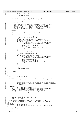```
\frac{1801}{\star} /* write the buffer.
1802 * /
1803 write_metapage(mp);<br>
1804 }
1804 }
1805
1806 /* set the results (starting block number) and return.
1807<br>1808
1808 *results = blkno;<br>
1809 return (0);return (0);
1810
1811 /* something failed in handling an allocation request involving
1812 * multiple dmaps. we'll try to clean up by backing out any
1813 * allocation that has already happened for this request. if
1814 * we fail in backing out the allocation, we'll mark the file
1815 * system to indicate that blocks have been leaked.
1816<br>1817
              backout:
1818
                  1<sup>*</sup> try to backout the allocations dmap by dmap.
1820<br>1821
1821 for (n = nblocks − n, b = blkno; n > 0;<br>
1822 n −= BPERDMAP, b += BPERDMAP) {<br>
1823 /* get the buffer for this dmap.
1824 * /
1825 lblkno = BLKTODMAP(b, bmp−>db_l2nbperpage);
1826 mp = read_metapage(bmp−>db_ipbmap, lblkno, PSIZE, 0);
1827 if (mp == NULL) {<br>
<sup>1828</sup> * could not back out. mark the file system<br>
* to indicate that we have leaked blocks.<br>
*/
1831 fsDirty(); /* !!! */<br>
1832 fsDirty(); /* !!! */<br>
<sup>1833</sup> continue; continue<sup>; continue</sup>; in the set of the set of the set of the set of the set of the set of the set of the set of the set of the set of the set of the s
\left\{\n \begin{array}{ccc}\n 1835 & & \\
 1835 & & \\
 1855 & & \\
 1855 & & \\
 1855 & & \\
 1855 & & \\
 1855 & & \\
 1855 & & \\
 1855 & & \\
 1855 & & \\
 1855 & & \\
 1855 & & \\
 1855 & & \\
 1855 & & \\
 1855 & & \\
 1855 & & \\
 1855 & & \\
 181836 dp = (struct \text{dmap }*) \text{ mp }->data;
1837
<sup>1838</sup> /* free the blocks is this dmap.<br><sup>1839</sup> //
1839 * /
1840 if (dbFreeDmap(bmp, dp, b, BPERDMAP)) {<br>1841 /* could not back out. mark the file system<br>1842 the system of the mark of the system of the system to indicate that we have leaked blocks.
1843 */
1844 release_metapage(mp);<br>1845 fsDirty(); /*!!
1845 fsDirty(); /* !!! */
1846 jERROR(1, ("dbAllocCtl: Block Leakage.\n"));
1847 continue;<br>1848 continue;
1848 }
1849
1850 /* write the buffer.
1851 * /
1852 write_metapage(mp);<br>1853 }
1853 }
1854
1855 return (rc);
1856 }
1857
1858
\begin{array}{ccc} 1859 & \diagup\star & & \\ 1860 & \ast & NAME \: ; \end{array}dbAllocDmapLev()
1861 *
<sup>1862</sup> * FUNCTION: attempt to allocate a specified number of contiguous blocks<br><sup>1863</sup> * from a specified dmap.
                              from a specified dmap.
1964
1865 * this routine checks if the contiguous blocks are available.
1866 * if so, nblocks of blocks are allocated; otherwise, ENOSPC is
1867 * returned.
1868<br>1869
1869 * PARAMETERS:<br>1870 * mp
                              - pointer to bmap descriptor
1871 * dp − pointer to dmap to attempt to allocate blocks from. 
1872 * l2nb − log2 number of contiguous block desired.
1873 * nblocks − actual number of contiguous block desired.
1874 * results − on successful return, set to the starting block number
1875 * of the newly allocated range.
1876 *
1877 * RETURN VALUES:
1878 * 0 − success
1879 * ENOSPC − insufficient disk resources
1880 * EIO − i/o error
1881 *
1882 * serialization: IREAD_LOCK(ipbmap), e.g., from dbAlloc(), or 
1883 * IWRITE_LOCK(ipbmap), e.g., dbAllocCtl(), held on entry/exit;
1884 */
1885 static int
1886 dbAllocDmapLev(struct bmap * bmp,<br>1887 struct dmap * dp, int nblocks, int l2nb, s64 * results)
1888 \{<br>1889s64 blkno;
1890 int leafidx, rc;
Registered Version: Linux Kernel Support for JFS ifs dmap.c Exhibit 12.1−1 pg 21/47
```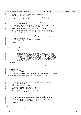1891  $1892$  /\* can't be more than a dmaps worth of blocks \*/ 1893 **assert**(l2nb <= L2BPERDMAP); 1894 1895 /\* search the tree within the dmap page for sufficient<br>1896 \* free space. if sufficient free space is found, dbFindLeaf()<br>1897 \* returns the index of the leaf at which free space was found.  $\frac{1898}{1899}$  \*/ <sup>1899</sup> **if** (dbFindLeaf((dmtree\_t \*) & dp−>tree, l2nb, &leafidx)) return (ENOSPC); 1901 1902 /\* determine the block number within the file system corresponding<br>1903 \* to the leaf at which free space was found. to the leaf at which free space was found. 1904<br>1905 <sup>1905</sup> blkno = le64\_to\_cpu(dp−>start) + (leafidx << L2DBWORD); 1906 1907 /\* if not all bits of the dmap word are free, get the starting<br>1908 \* bit number within the dmap word of the required string of f <sup>1908</sup> \* bit number within the dmap word of the required string of free<br><sup>1909</sup> \* bits and adjust the block number with this value \* bits and adjust the block number with this value. 1910<br>1911 <sup>1911</sup> **if** (dp−>tree.stree[leafidx + LEAFIND] < BUDMIN) <sup>1912</sup> blkno += dbFindBits(le32\_to\_cpu(dp−>wmap[leafidx]), l2nb); 1913 1914  $\frac{1}{12}$  /\* allocate the blocks \*/<br>1915 **if** ((rc = dbAllocDmap(bmp) <sup>1915</sup> **if** ((rc = dbAllocDmap(bmp, dp, blkno, nblocks)) == 0) <sup>1916</sup> \*results = blkno; 1917 1918 **return** (rc); <sup>1919</sup> } 1920 1921 1922 /\*<br>1923 \* NAME: <sup>1923</sup> \* NAME: dbAllocDmap() 1924<br>1925 <sup>1925</sup> \* FUNCTION: adjust the disk allocation map to reflect the allocation <sup>1926</sup> \* of a specified block range within a dmap. 1927<br>1928 <sup>1928</sup> \* this routine allocates the specified blocks from the dmap<br>1929 \* through a call to dbAllocBits(). if the allocation of the <sup>1929</sup> \* through a call to dbAllocBits(). if the allocation of the <sup>1930</sup> \* block range causes the maximum string of free blocks within <sup>1931</sup> \* the dmap to change (i.e. the value of the root of the dmap's 1932 \* dmtree), this routine will cause this change to be reflected<br>1933 \* The up through the appropriate levels of the dmap control pages 1933 \* The up through the appropriate levels of the dmap control pages<br>1934 \* The acall to dbAdjCtl() for the LO dmap control page that <sup>1934</sup> \* by a call to dbAdjCtl() for the L0 dmap control page that covers this dmap. 1936<br>1937 1937 \* PARAMETERS:<br>1938 \* bmp <sup>1938</sup> \* bmp − pointer to bmap descriptor <sup>1939</sup> \* dp − pointer to dmap to allocate the block range from. <sup>1940</sup> \* blkno − starting block number of the block to be allocated. <sup>1941</sup> \* nblocks − number of blocks to be allocated. 1942<br>1943 RETURN VALUES: <sup>1944</sup> \* 0 − success <sup>1945</sup> \* EIO − i/o error 1946<br>1947 serialization: IREAD\_LOCK(ipbmap) or IWRITE\_LOCK(ipbmap) held on entry/exit; <sup>1948</sup> \*/ <sup>1949</sup> **static** int dbAllocDmap(struct bmap \* bmp, struct dmap \* dp, s64 blkno, 1950 *int* nblocks) <sup>1951</sup> { 1952  $\begin{array}{ccc} 1952 & \text{S8 oldroot}; \\ 1953 & \text{int} \text{rc}; \end{array}$ int rc; 1954 <sup>1955</sup> /\* save the current value of the root (i.e. maximum free string) <sup>1956</sup> \* of the dmap tree. 1957<br>1958 <sup>1958</sup> oldroot = dp−>tree.stree[ROOT]; 1959 <sup>1960</sup> /\* allocate the specified (blocks) bits \*/ 1961 dbAllocBits(bmp, dp, blkno, nblocks); 1962 1963  $/*$  if the root has not changed, done.  $*/$ <br>1964  $\text{if (do-}\text{three}. \text{stree[ROOT] == oldroot)}$ <sup>1964</sup> **if** (dp−>tree.stree[ROOT] == oldroot) <sup>1965</sup> **return** (0); 1966 <sup>1967</sup> /\* root changed. bubble the change up to the dmap control pages. <sup>1968</sup> \* if the adjustment of the upper level control pages fails, <sup>1969</sup> \* backout the bit allocation (thus making everything consistent). 1970<br>1971 <sup>1971</sup> **if** ((rc = dbAdjCtl(bmp, blkno, dp−>tree.stree[ROOT], 1, 0))) 1972 dbFreeBits(bmp, dp, blkno, nblocks); 1973 <sup>1974</sup> **return** (rc);  $1975$  } 1976 1977  $\begin{array}{ccc} &\text{{\it 1978}} &\text{{\it \diagup\!}}\\ \text{{\it 1979}} &\text{{\it *}} &\text{{\it NAME:}}\\ \end{array}$ dbFreeDmap() <sup>1980</sup> \* Registered Version: Linux Kernel Support for JFS **ifs dmap.c** Exhibit 12.1−1 pg 22/47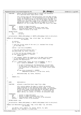\* FUNCTION: adjust the disk allocation map to reflect the allocation 1982 \* cherion: adjace the disk arrocation map to itinet \* this routine frees the specified blocks from the dmap through \* a call to dbFreeBits(). if the deallocation of the block range <sup>1986</sup> \* causes the maximum string of free blocks within the dmap to <sup>1987</sup> \* change (i.e. the value of the root of the dmap's dmtree), this <sup>1988</sup> \* routine will cause this change to be reflected up through the<br><sup>1989</sup> \* appropriate levels of the dmap control pages by a call to 1989 \* appropriate levels of the dmap control pages by a call to<br>
dhad-intl() for the L0 dmap control page that covers this dbAdjCtl() for the L0 dmap control page that covers this dmap. \* 1992 \* PARAMETERS:<br>1993 \* bmp \* bmp − pointer to bmap descriptor <sup>1994</sup> \* dp − pointer to dmap to free the block range from. <sup>1995</sup> \* blkno − starting block number of the block to be freed. \* nblocks − number of blocks to be freed. 1997  $*$ <br>1998  $*$ 1998 \* RETURN VALUES:  $\begin{array}{ccc} 1999 & * & 0 & -SUCC \ \hline 2000 & * & FTO & -i/O & \ \hline \end{array}$ - i/o error \* \* serialization: IREAD\_LOCK(ipbmap) or IWRITE\_LOCK(ipbmap) held on entry/exit; 2003<br>2004 **static** int dbFreeDmap(struct bmap \* bmp, struct dmap \* dp, s64 blkno,  $\begin{array}{c} int \; \texttt{nblocks)} \end{array}$  { <sup>2007</sup> s8 oldroot;<br><sup>2008</sup> int rc, wor int rc, word; /\* save the current value of the root (i.e. maximum free string) \* of the dmap tree. <br> $2013$  oldroot = dp−>tree.stree[ROOT]; /\* free the specified (blocks) bits \*/ <sup>2016</sup> dbFreeBits(bmp, dp, blkno, nblocks); /\* if the root has not changed, done. \*/<br> $2019$  **if** (dp->tree.stree[ROOT] == oldroot) 2019 **if** (dp−>tree.stree[ROOT] == oldroot)<br>2020 **return** (0); **return** (0); /\* root changed. bubble the change up to the dmap control pages.<br> $2023$  \* if the adjustment of the upper level control pages fails, \* if the adjustment of the upper level control pages fails,<br> $2024$  \* backout the deallocation \* backout the deallocation. **if** ((rc = dbAdjCtl(bmp, blkno, dp−>tree.stree[ROOT], 0, 0))) { <sup>2027</sup> word = (blkno & (BPERDMAP − 1)) >> L2DBWORD;  $\frac{1}{2029}$  /\* as part of backing out the deallocation, we will have<br>
\* to back split the dman tree if the deallocation cause \* to back split the dmap tree if the deallocation caused <sup>2031</sup> \* the freed blocks to become part of a larger binary buddy \* system.<br>2033 \* /  $*$  / 2034 **if** (dp−>tree.stree[word] == NOFREE)<br>2035 dbBackSplit((dmtree t \*) & dbBackSplit((dmtree\_t \*) & dp−>tree, word); 2037 dbAllocBits(bmp, dp, blkno, nblocks);<br>2038 } } **return** (rc); } 2044  $/*$ <br>2045 \* NAME: \*  $NAME$ : dbAllocBits() 2046<br>2047 FUNCTION: allocate a specified block range from a dmap. <br> $2049$  \* this routine updates the dmap to reflect the working <sup>2050</sup> \* state allocation of the specified block range. it directly <sup>2051</sup> \* updates the bits of the working map and causes the adjustment \* of the binary buddy system described by the dmap's dmtree <sup>2053</sup> \* leaves to reflect the bits allocated. it also causes the <sup>2054</sup> \* dmap's dmtree, as a whole, to reflect the allocated range. \* 2056 \* PARAMETERS:<br>2057 \* bmp <sup>2057</sup> \* bmp − pointer to bmap descriptor \* dp − pointer to dmap to allocate bits from. <sup>2059</sup> \* blkno − starting block number of the bits to be allocated. \* nblocks − number of bits to be allocated. 2061<br>2062 RETURN VALUES: none serialization: IREAD\_LOCK(ipbmap) or IWRITE\_LOCK(ipbmap) held on entry/exit; **static** void dbAllocBits(struct bmap \* bmp, struct dmap \* dp, s64 blkno,  $int \text{ nblocks}$  { int dbitno, word, rembits, nb, nwords, wbitno, nw, agno; <sup>2070</sup> dmtree\_t \*tp = (dmtree\_t \*) & dp−>tree; Registered Version: Linux Kernel Support for JFS **interact in the Support of Support for JFS ffS\_dmap.c** Exhibit 12.1−1 pg 23/47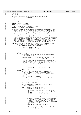<sup>2071</sup> int size; <sup>2072</sup> s8 \*leaf; 2074  $\frac{1}{2075}$  /\* pick up a pointer to the leaves of the dmap tree \*/<br>2075 and leaf = dp->tree stree + LEAFIND; leaf = dp->tree.stree + LEAFIND;  $207$  /\* determine the bit number and word within the dmap of the  $2078$  \* starting block. \* starting block. 2080 dbitno = blkno & (BPERDMAP − 1);<br>2081 vord = dbitno >> L2DBWORD; word = dbitno >> L2DBWORD; <sup>2083</sup> /\* block range better be within the dmap \*/  $assert(dbitno + nblocks <= BPERDMAP)$ ; <sup>2086</sup> /\* allocate the bits of the dmap's words corresponding to the block <sup>2087</sup> \* range. not all bits of the first and last words may be contained %% \* within the block range. if this is the case, we'll work against<br>\* those words (i.e. partial first and/or last) on an individual basis<br>%% \* (a single pass), allocating the bits of interest by hand and<br>\* updating the le <sup>2092</sup> \* will be used for all dmap words fully contained within the <sup>2093</sup> \* specified range. within this pass, the bits of all fully contained <sup>2094</sup> \* dmap words will be marked as free in a single shot and the leaves <sup>2095</sup> \* will be updated. a single leaf may describe the free space of <sup>2096</sup> \* multiple dmap words, so we may update only a subset of the actual <sup>2097</sup> \* leaves corresponding to the dmap words of the block range. **for** (rembits = nblocks; rembits > 0; rembits -= nb, dbitno += nb) {<br>
2100 /\* determine the bit number within the word and<br>
2101 \* the number of bits within the word. 2102  $*$  / <sup>2103</sup> wbitno = dbitno & (DBWORD − 1); <sup>2104</sup> nb = min(rembits, DBWORD − wbitno); 2106 /\* check if only part of a word is to be allocated. 2107  $*$  / 2108 **if** (nb < DBWORD) {<br>2109 /\* allocat <sup>2109</sup> /\* allocate (set to 1) the appropriate bits within <sup>2110</sup> \* this dmap word. 2111  $*$  / 2112 dp–>wmap[word] |= cpu\_to\_le32(ONES << (DBWORD – nb)<br>2113 >> wbitno); >> wbitno); <sup>2115</sup> /\* update the leaf for this dmap word. in addition <sup>2116</sup> \* to setting the leaf value to the binary buddy max <sup>2117</sup> \* of the updated dmap word, dbSplit() will split 2118 **and the binary system of the leaves if need be.**<br>  $\star$ /<br>
2119 2119  $*$  / 2120 dbSplit(tp, word, BUDMIN,<br>2121 dbMaxBud((u8 \*) & dp−>wmap[word])); word  $+= 1;$ <sup>2124</sup> } **else** { <sup>2125</sup> /\* one or more dmap words are fully contained <sup>2126</sup> \* within the block range. determine how many <sup>2127</sup> \* words and allocate (set to 1) the bits of these 2128  $*$  words.<br>
2129  $*$  / 2129  $*$  / <sup>2130</sup> nwords = rembits >> L2DBWORD; <sup>2131</sup> memset(&dp−>wmap[word], (int) ONES, nwords \* 4); 2133  $\frac{1}{2}$  determine how many bits. 2134  $*$  /  $2135$  nb = nwords << L2DBWORD;  $\frac{2137}{12137}$  /\* now update the appropriate leaves to reflect  $\frac{1}{2138}$  the allocated words.  $*$  the allocated words. 2139  $*$  / <sup>2140</sup> **for** (; nwords > 0; nwords −= nw) {  $2141$  assert(leaf[word] >= BUDMIN); 2143 /\* determine what the leaf value should be<br>  $\frac{x}{2144}$  /\* updated to as the minimum of the 12 num updated to as the minimum of the 12 number <sup>2145</sup> \* of bits being allocated and the l2 number <sup>2146</sup> \* of bits currently described by this leaf. 2147  $*$  / <sup>2148</sup> size = min((int)leaf[word], NLSTOL2BSZ(nwords)); 2150 *<sup>2150</sup>* /\* update the leaf to reflect the allocation.<br>2151 2151 *t* in addition to setting the leaf value to <sup>2151</sup> \* in addition to setting the leaf value to <sup>2152</sup> \* NOFREE, dbSplit() will split the binary <sup>2153</sup><br>
<sup>2153</sup><br>
<sup>2154</sup> <sup>2154</sup> <sup>2154</sup> <sup>2154</sup> <sup>2154</sup> <sup>2154</sup> <sup>2154</sup> 2154  $*$  allocation (size). 2155  $*$  / <sup>2156</sup> dbSplit(tp, word, size, NOFREE); 2158  $\frac{1}{2}$  /\* get the number of dmap words handled \*/<br>2159  $\frac{1}{2}$  2159 Registered Version: Linux Kernel Support for JFS **ifs dmap.c** Exhibit 12.1−1 pg 24/47

 $nw = BUDSIZE(size, BUDMIN);$ 

<sup>2160</sup> word += nw;

2073

2076

 $2079$ <br>2080

2082

2085

2098

2105

2114

2122<br>2123

2132

2136

2142

2149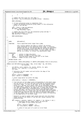$\Big\}$  $\Big\}$  } /\* update the free count for this dmap \*/ <sup>2166</sup> dp−>nfree = cpu\_to\_le32(le32\_to\_cpu(dp−>nfree) − nblocks); 2168 BMAP LOCK(bmp); 2170  $\frac{1}{2}$  /\* if this allocation group is completely free,<br>2171  $\frac{1}{2}$  \* update the maximum allocation group number i \* update the maximum allocation group number if this allocation  $\frac{1}{2}$ <br>
2172  $\frac{1}{2}$   $\frac{1}{2}$   $\frac{1}{2}$   $\frac{1}{2}$   $\frac{1}{2}$   $\frac{1}{2}$   $\frac{1}{2}$   $\frac{1}{2}$   $\frac{1}{2}$   $\frac{1}{2}$   $\frac{1}{2}$   $\frac{1}{2}$   $\frac{1}{2}$   $\frac{1}{2}$   $\frac{1}{2}$   $\frac{1}{2}$   $\frac{1}{2}$   $\frac{1}{2}$   $\frac{1}{2}$   $\frac{1}{2}$   $\frac{1$ 2173<br>2174 agno = blkno >> bmp->db\_agl2size;<br>2175 **if** (agno > bmp->db\_maxag) **if** (agno > bmp−>db\_maxag) bmp−>db\_maxag = agno; /\* update the free count for the allocation group and map \*/ 2179 bmp−>db\_agfree[agno] -= nblocks;<br>2180 bmp->db nfree -= nblocks; bmp->db\_nfree -= nblocks; 2182 BMAP\_UNLOCK(bmp); } 2186  $/*$ <br>2187 \* NAME: \* NAME: dbFreeBits() \* \* FUNCTION: free a specified block range from a dmap. \* 2191 \* this routine updates the dmap to reflect the working<br>2192 \* State allocation of the specified block range. it di \* state allocation of the specified block range. it directly 2193 \* updates the bits of the working map and causes the adjustment<br>2193 \* updates the bits of the working map and causes the adjustment \* of the binary buddy system described by the dmap's dmtree \* leaves to reflect the bits freed. it also causes the dmap's <sup>2196</sup> \* dmtree, as a whole, to reflect the deallocated range. 2197<br>2198 \* PARAMETERS:<br> $2199$  \*  $bmp$ <sup>2199</sup> \* bmp − pointer to bmap descriptor <sup>2200</sup> \* dp − pointer to dmap to free bits from. \* blkno − starting block number of the bits to be freed. \* nblocks − number of bits to be freed. 2203<br>2204 RETURN VALUES: none \* <sup>2206</sup> \* serialization: IREAD\_LOCK(ipbmap) or IWRITE\_LOCK(ipbmap) held on entry/exit;<br>2207 \*/ \*/ <sup>2208</sup> **static** void dbFreeBits(struct bmap \* bmp, struct dmap \* dp, s64 blkno, int nblocks) { 2211 int dbitno, word, rembits, nb, nwords, wbitno, nw, agno;<br>2212 dmtree\_t \*tp = (dmtree\_t \*) & dp−>tree; int size; /\* determine the bit number and word within the dmap of the \* starting block. dbitno = blkno & (BPERDMAP − 1); <sup>2219</sup> word = dbitno >> L2DBWORD;  $\begin{array}{ccc}\n\frac{2221}{\cancel{1}} & \text{black range better be within the } \text{dmap}.\n\end{array}$ 2222<br>2223 assert(dbitno + nblocks <= BPERDMAP); /\* free the bits of the dmaps words corresponding to the block range. <sup>2226</sup> \* not all bits of the first and last words may be contained within \* the block range. if this is the case, we'll work against those <sup>2228</sup> \* words (i.e. partial first and/or last) on an individual basis \* (a single pass), freeing the bits of interest by hand and updating<br> $2290$  \* the leaf corresponding to the dmap word, a single pass will be use \* the leaf corresponding to the dmap word. a single pass will be used <sup>2231</sup> \* for all dmap words fully contained within the specified range. \* within this pass, the bits of all fully contained dmap words will \* be marked as free in a single shot and the leaves will be updated. a<br> $2234$  \* single leaf may describe the free space of multiple dmap words. \* single leaf may describe the free space of multiple dmap words, <sup>2235</sup> \* so we may update only a subset of the actual leaves corresponding <sup>2236</sup> \* to the dmap words of the block range. 2237<br>2238 \* dbJoin() is used to update leaf values and will join the binary <sup>2239</sup> \* buddy system of the leaves if the new leaf values indicate this <sup>2240</sup> \* should be done. **for** (rembits = nblocks; rembits > 0; rembits -= nb, dbitno += nb) {<br> $2243$  /\* determine the bit number within the word and /\* determine the bit number within the word and<br> $*$  the number of hits within the word  $\begin{array}{c}\n \text{2244} \\
 \text{2245}\n \end{array}$   $\begin{array}{c}\n \text{*} \text{the number of bits within the word.} \\
 \text{2245}\n \end{array}$  $*$  / wbitno = dbitno & (DBWORD − 1); <sup>2247</sup> nb = min(rembits, DBWORD − wbitno); /\* check if only part of a word is to be freed. Registered Version: Linux Kernel Support for JFS **ifs dmap.c** Exhibit 12.1−1 pg 25/47

 $*$  /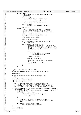```
2251 if (nb < DBWORD) {<br>
2252<br>
2252<br>
2253<br>
2254 */<br>
2254 */
2255 dp−>wmap[word] &=
2256 cpu_to_le32(~(ONES << (DBWORD − nb)
\frac{1}{2257} \rightarrow \text{ubitno});
2258
----<br>2259 /* update the leaf for this dmap word.<br>2260
2260 * /
2261 dbJoin(tp, word,
2262 dbMaxBud((u8 *) & dp−>wmap[word]));
2263
2264 word + = 1;
                   2265 } else {
z<sub>266</sub> /* one or more dmap words are fully contained<br>2267 * within the block range. determine how many
* words and free (zero) the bits of these words.<br>*/
2269 * /
2270 nwords = rembits >> L2DBWORD;
2271 memset(&dp−>wmap[word], 0, nwords * 4);
2272
2273 \frac{7}{10} /* determine how many bits.
2274 * /
2275 nb = nwords << L2DBWORD;
2276
2277 /* now update the appropriate leaves to reflect 2278<br>2278
                            * the freed words.
2279 * /
2280 for (; nwords > 0; nwords −= nw) {
2281 /* determine what the leaf value should be
2282 * updated to as the minimum of the l2 number
\begin{array}{c}\n \star \text{ of } \text{bits being freed and the 12 (max) number} \\
 \star \text{ of } \text{bits that can be described by this leaf.}\n \end{array}2284 * of bits that can be described by this leaf.<br>2284 */
2285 * /
2286 size =
2287 min(LITOL2BSZ
2288 (word, L2LPERDMAP, BUDMIN),
                                           NLSTOL2BSZ(nwords));
2290
\frac{2291}{2292} /* update the leaf.
2292 * /
2293 dbJoin(tp, word, size);
2294
2295 2295 /* get the number of dmap words handled.
2296 * /
2297 nw = BUDSIZE(size, BUDMIN);
\begin{array}{cccc}\n\text{word} & + = & \text{nw}; \\
\text{2299} & & \text{120} & \text{121} & \text{122} & \text{123} \\
\end{array}2299 and \}2300 \}2301 }
2302
           4 update the free count for this dmap.
23042305 dp−>nfree = cpu_to_le32(le32_to_cpu(dp−>nfree) + nblocks);
2306
2307 BMAP_LOCK(bmp);
2308
\frac{2309}{4} /* update the free count for the allocation group and<br>\frac{2310}{4} * map.
            * map.
2311 *2312 agno = blkno >> bmp->db_agl2size;<br>2313 bmp->db nfree += nblocks;
2313 bmp−>db_nfree += nblocks;<br>2314 bmp−>db_agfree[agno] += r
           2314 bmp−>db_agfree[agno] += nblocks;
2315
2316 /* check if this allocation group is not completely free and<br>2317 * if it is currently the maximum (rightmost) allocation gro
2317 * if it is currently the maximum (rightmost) allocation group.
2318 * if so, establish the new maximum allocation group number by
2319 * searching left for the first allocation group with allocation.
2320
2321 if ((bmp−>db_agfree[agno] == bmp−>db_agsize && agno == bmp−>db_maxag) ||
2322 (agno == bmp−>db_numag − 1 &&
2323 bmp−>db_agfree[agno] == (bmp−> db_mapsize & (BPERDMAP − 1)))) {
2324 while (bmp−>db_maxag > 0) {
2325 bmp−>db_maxag −= 1;
2326 if (bmp−>db_agfree[bmp−>db_maxag] !=
2327 bmp->db_agsize)<br>2328 break;
2328 break;
2329 \Big\}2330
2331 /* re−establish the allocation group preference if the
<sup>2332</sup><br>
<sup>*</sup> current preference is right of the maximum allocation<br>
* group
\begin{array}{ccccc}\n & \times & \text{group.} & \\
 & \times & \text{group.} & \\
 & & \times & \end{array}2334 * /
2335 if (bmp−>db_agpref > bmp−>db_maxag)
2336 bmp−>db_agpref = bmp−>db_maxag;
2337 }
2338
2339 BMAP UNLOCK(bmp);
2340 }
Registered Version: Linux Kernel Support for JFS ifs dmap.c Exhibit 12.1−1 pg 26/47
```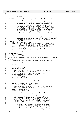$\begin{matrix} 2343 & \text{\Huge $\rightthreetimes$} \cr 2344 & \text{\Huge $\star$} \cr \end{matrix}$ NAME: dbAdjCtl() 2345<br>2346 FUNCTION: adjust a dmap control page at a specified level to reflect \* the change in a lower level dmap or dmap control page's <sup>2348</sup> \* maximum string of free blocks (i.e. a change in the root <sup>2349</sup> \* of the lower level object's dmtree) due to the allocation \* or deallocation of a range of blocks with a single dmap. \* %2352 \* The lower level dmap or dmap control page root and the<br>2353 \* the lower level dmap or dmap control page root and the<br>2354 \* starting block number of the block range whose allocation \* or deallocation resulted in the root change. this range <sup>2356</sup> \* is respresented by a single leaf of the current dmapctl <sup>2357</sup> \* and the leaf will be updated with this value, possibly \* causing a binary buddy system within the leaves to be <sup>2359</sup> \* split or joined. the update may also cause the dmapctl's \* dmtree to be updated. \* \* if the adjustment of the dmap control page, itself, causes its <sup>2363</sup> \* root to change, this change will be bubbled up to the next dmap \* control level by a recursive call to this routine, specifying <sup>2365</sup> \* the new root value and the next dmap control page level to \* be adjusted. \* PARAMETERS:<br> $2368$  \*  $bmp$   $-$  pointer to bmap descriptor<br>blkno  $-$  the first block of a block <sup>2369</sup> \* blkno − the first block of a block range within a dmap. it is \* the allocation or deallocation of this block range that <sup>2371</sup> \* requires the dmap control page to be adjusted. <sup>2372</sup> \* newval − the new value of the lower level dmap or dmap control \*  $2373$  \* page root.<br> $2374$  \* alloc - TRIIE if ad \* alloc − TRUE if adjustment is due to an allocation. \* level − current level of dmap control page (i.e. L0, L1, L2) to  $be$   $ad$  $justed$ . 2377<br>2378 \* RETURN VALUES:<br> $2379$  \* 0 \* 0 − success<br> $2380$  \*  $FIO$  − i/0 err - i/o error \* \* serialization: IREAD\_LOCK(ipbmap) or IWRITE\_LOCK(ipbmap) held on entry/exit; 2383<br>2384 **static** int dbAdjCtl(struct bmap \* bmp, s64 blkno, int newval, int alloc, int level)  $\{2387$ 2387 struct metapage \*mp;<br>2388 s8 oldroot; 2388 s8 oldroot;<br>2280 int oldval: 2389 int oldval;<br>2390 564 lblkno; s64 lblkno; struct dmapctl \*dcp; int rc, leafno, ti; /\* get the buffer for the dmap control page for the specified<br> $2395$ <br> $*$  block number and control page level \* block number and control page level. 2396<br>2397 lblkno = BLKTOCTL(blkno, bmp−>db\_l2nbperpage, level); 2398 mp = read\_metapage(bmp->db\_ipbmap, lblkno, PSIZE, 0);<br>2399 **if** (mp == **NULL**) **if** (mp == **NULL**) return (EIO); dcp = (struct dmapctl \*) mp->data; /\* determine the leaf number corresponding to the block and<br>\* the index within the dman control tree the index within the dmap control tree <br> $2406$ <sup>2406</sup> leafno = BLKTOCTLLEAF(blkno, dcp->budmin);<br>2407 ti = leafno + le32 to cpu(dcp->leafidx); ti = leafno + le32\_to\_cpu(dcp−>leafidx); /\* save the current leaf value and the current root level (i.e. <sup>2410</sup> \* maximum l2 free string described by this dmapctl). 2411<br>2412 oldval = dcp−>stree[ti]; oldroot = dcp−>stree[ROOT]; /\* check if this is a control page update for an allocation. <sup>2416</sup> \* if so, update the leaf to reflect the new leaf value using \* dbSplit(); otherwise (deallocation), use dbJoin() to udpate <sup>2418</sup> \* the leaf with the new value. in addition to updating the <sup>2419</sup> \* leaf, dbSplit() will also split the binary buddy system of \* the leaves, if required, and bubble new values within the<br>\* dmapctl tree, if required. similarly, dbJoin() will join<br>\* the binary buddy system of leaves and bubble new values up<br>\* the dmapctl tree as required by the new <br> $2425$  $if (a]$ loc) { /\* check if we are in the middle of a binary buddy <sup>2427</sup> \* system. this happens when we are performing the  $\star$  first allocation out of an allocation group that<br> $\star$  is part (not the first part) of a larger binary is part (not the first part) of a larger binary

\* buddy system. if we are in the middle, back split

Registered Version: Linux Kernel Support for JFS **ifs dmap.c** Exhibit 12.1−1 pg 27/47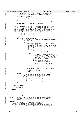```
2431 * the system prior to calling dbSplit() which assumes
2432 * that it is at the front of a binary buddy system.
2433 * /
2434 if (oldval == NOFREE) {
2435 dbBackSplit((dmtree_t *) dcp, leafno);
2436 oldval = dcp−>stree[ti];
2437 \Big\}2438 dbSplit((dmtree_t *) dcp, leafno, dcp−>budmin, newval);
2439 } else {
              \left\{\begin{array}{c}\n a & b & c \\
 d & b & d\n \end{array}\right.24412442
2443 /* check if the root of the current dmap control page changed due<br>2444 * to the update and if the current dmap control page is not at
* to the update and if the current dmap control page is not at<br>* the current top level (i.e. L0, L1, L2) of the map. if so (i.e.<br>2446 * root changed and this is not the top level), call this routine<br>* again (recursion) for
2448 * reflect the change in root for the current dmap control page.
2449<br>24502450 if (dcp−>stree[ROOT] != oldroot) {
2451 /* are we below the top level of the map. if so,
<sup>2452</sup> * bubble the root up to the next higher level.<br>
2453
2453 * /
2454 if (level < bmp−>db_maxlevel) {<br>2455 if \frac{1}{2} if \frac{1}{2} i \frac{1}{2} in the new ro
2455 /* bubble up the new root of this dmap control page to
2456 * the next level.
2457 * /
2458 if ((rc =
2459 dbAdjCtl(bmp, blkno, dcp−>stree[ROOT], alloc,
2460 level + 1))) {
2461 /* something went wrong in bubbling up the new
2462<br>
2462<br>
2462<br>
2463<br>
2463<br>
2463<br>
2463<br>
2463<br>
2463<br>
2463<br>
2462<br>
2462<br>
2462<br>
2462<br>
2462<br>
2462<br>
2462<br>
2462<br>
2462<br>
2462<br>
2462<br>
2462<br>
2462<br>
2462<br>
2462<br>
2462<br>
2462<br>
2462<br>
2462<br>
2462<br>
2462<br>
2462<br>
2462<br>
2462<br>
2462<br>
2462<br>
2462<br>

- current dmap control page.<br>
* current dmap control page.
2464 * /
2465 if (alloc) {
2466 dbJoin((dmtree_t *) dcp, leafno,
2467 oldval);
2468 } else {
2469 / the dbJoin() above might have a set of the dbJoin() above might have a set of the dbJoin() above might have \frac{1}{240} and \frac{1}{240} and \frac{1}{240} and \frac{1}{240} and \frac{1}{240} and \frac{1}{240} and \frac{1}{240}2000 2000 2011, 2012 2022 2023<br>A caused a larger binary buddy system<br>* to form and we may now be in the
2471 * to form and we may now be in the
2472 * middle of it. if this is the case,
\frac{1}{2473} \frac{1}{2474} \frac{1}{2474} back split the buddies.
2474 * /
2475 if (dcp−>stree[ti] == NOFREE)
2476 dbBackSplit((dmtree_t *)
2477 dcp, leafno);
2478 dbSplit((dmtree_t *) dcp, leafno,
_{2479} dcp−>budmin, oldval);<br>_{2480}2480 \Big\}2481
2482 \overrightarrow{A} release the buffer and return the error.
2483 */
2484<br>
Properties and Solution Contract Security Properties (PC);<br>
Properties r \cdot r \cdot r;
                                           2485 return (rc);
2486 \Big\}2487 } else {
2488 /* we're at the top level of the map. update
2489 * the bmap control page to reflect the size
2490 * of the maximum free buddy system.
2491 * /
2492 assert(level == bmp−>db_maxlevel);
2493 assert(bmp−>db_maxfreebud == oldroot);
                       2494 bmp−>db_maxfreebud = dcp−>stree[ROOT];
2495 \Big\}2496 }
2497
2498 /* write the buffer.
2499<br>2500
              wite_metapage(mp);
2501
2502 return (0);<br>2503 }
   \}25042505
2506<br>2507
       NAME: dbSplit()
2508<br>2509FUNCTION: update the leaf of a dmtree with a new value, splitting
2500 * the leaf from the binary buddy system of the dmtree's<br>2511 * leaves, as required.
                       enc fear from the Bi
2512<br>2513
2513 * PARAMETERS:<br>
2513 * \uparrow tn
2514 * tp − pointer to the tree containing the leaf.
2515 * leafno − the number of the leaf to be updated.
2516 * splitsz − the size the binary buddy system starting at the leaf
2517 * must be split to, specified as the log2 number of blocks.
2518 * newval − the new value for the leaf.
2519 *
2520 * RETURN VALUES: none
Registered Version: Linux Kernel Support for JFS interact in the Support of Support for JFS fS_dmap.c Exhibit 12.1−1 pg 28/47
```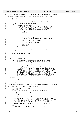----<br>2522 \* serialization: IREAD\_LOCK(ipbmap) or IWRITE\_LOCK(ipbmap) held on entry/exit;<br>2550 \* \* / 2523<br>2524 static void dbSplit(dmtree\_t \* tp, int leafno, int splitsz, int newval) {<br>2526 int budsz; 2532 **if** (leaf[leafno] > tp->dmt\_budmin)<br>2533 /\* the split occurs by cutt  $*$  / cursz = leaf[leafno] – 1;<br> $2539$  cursz = RIDSIZE(cursz, tp  $*$  / Registered Version: Linux Kernel Support for JFS **ifs dmap.c** Exhibit 12.1−1 pg 29/47

```
2527 int cursz;
2528 s8 *leaf = tp−>dmt_stree + le32_to_cpu(tp−>dmt_leafidx);
2530 /* check if the leaf needs to be split.
2533 1252 /* the split occurs by cutting the buddy system in half<br>
2534 12534 /* the specified leaf until we reach the specified
<sup>2534</sup> * at the specified leaf until we reach the specified<br><sup>2534</sup> * size pick up the starting split size (current size
                            * size. pick up the starting split size (current size
* - 1 in 12) and the corresponding buddy size.<br>2537 */
                          2539 budsz = BUDSIZE(cursz, tp−>dmt_budmin);
2541 /* split until we reach the specified size.
2543 while (cursz >= splitsz) {<br>2544 /* update the budd
254 254 254 254 254 254 254 254 254 254 254 254 254 254 254 254 254 254 254 254 254 254 254 254 254 254 254 254 254 254 254 254 254 254 254 254 2542545 * /
2546 dbAdjTree(tp, leafno ^ budsz, cursz);
2547
2548 \overrightarrow{A} on to the next size and buddy.
2549 * /
2550 cursz -1;
2551 budsz >>= 1; budsz >>= 1;2552 \Big\}2553 }
25542555 /* adjust the dmap tree to reflect the specified leaf's new 
2556 * value.
2557<br>2558
    dbAdjTree(tp, leafno, newval);
2559 }
2560
2561
2562 /*<br>2563 *
        NAME: dbBackSplit()
2564
2565 * FUNCTION: back split the binary buddy system of dmtree leaves
2566 * that hold a specified leaf until the specified leaf
2567 * starts its own binary buddy system.
25682569 * the allocators typically perform allocations at the start<br>
2570 * of binary buddy systems and dbSplit() is used to accompli
2570 * of binary buddy systems and dbSplit() is used to accomplish
2571 * any required splits. in some cases, however, allocation
2572 * any occur in the middle of a binary system and requires a<br>2573 * and negative and requires a back split, with the split proceeding out from the middle
                          back split, with the split proceeding out from the middle of
2574 * the system (less efficient) rather than the start of the
2575 * system (more efficient). the cases in which a back split
2576 * is required are rare and are limited to the first allocation
2577 * within an allocation group which is a part (not first part)<br>2578 * Of a larger binary buddy system and a few exception cases
2578 * of a larger binary buddy system and a few exception cases
2579 * in which a previous join operation must be backed out.
2580 *
2581 * PARAMETERS:
2582 * tp − pointer to the tree containing the leaf.
2583 * leafno − the number of the leaf to be updated.
25842585 * RETURN VALUES: none
2586<br>2587
      * serialization: IREAD_LOCK(ipbmap) or IWRITE_LOCK(ipbmap) held on entry/exit;
2588
2589 static void dbBackSplit(dmtree_t * tp, int leafno)
2590 {
2591 int budsz, bud, w, bsz, size;<br>
2592 int cursz;
2592 int cursz;<br>2593 58 *leaf =
               2593 s8 *leaf = tp−>dmt_stree + le32_to_cpu(tp−>dmt_leafidx);
25942595 /* leaf should be part (not first part) of a binary
2596 * buddy system.
2597 *<br>2598 ass
               assert(leaf[leafn] == NOFREE);2599
2600 /* the back split is accomplished by iteratively finding the leaf
2601 * that starts the buddy system that contains the specified leaf and
2602 * splitting that system in two. this iteration continues until
2603 * the specified leaf becomes the start of a buddy system. 
2604 *
                   determine maximum possible 12 size for the specified leaf.
2606<br>2607
2607 <br>
2608 <br>
2608 <br>
LI
2608 LITOL2BSZ(leafno, le32_to_cpu(tp->dmt_l2nleafs),<br>2609 tp->dmt_budmin);
                                  tp->dmt_budmin);
2610
```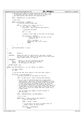```
2611 /* determine the number of leaves covered by this size. this
2612 * is the buddy size that we will start with as we search for
2613 * the buddy system that contains the specified leaf.
2614<br>26152615 budsz = BUDSIZE(size, tp−>dmt_budmin);
2616
2617 /* back split.
2618<br>2619
2619 while (leaf[leafno] == NOFREE) {
2620 /* find the leftmost buddy leaf.
2621 */
2622 for (w = leafno, bsz = budsz;; bsz <<= 1,<br>
w = (w < bud) ? w : bud) {
2624 assert(bsz < le32_to_cpu(tp−>dmt_nleafs));
2625
2626 \frac{7}{100} /* determine the buddy.
2627 * /
2628 bud = w \sim bsz;
2629
2630 \frac{7}{100} /* check if this buddy is the start of the system.
2631 * /
2632 if (leaf[bud] != NOFREE) {
2633 /* split the leaf at the start of the
2633<br>2634<br>2634<br>* /<br>2752<br>*/<br>*/
2635 */
2636 cursz = leaf[bud] − 1;
2637 dbSplit(tp, bud, cursz, cursz);
2638 break;
2639 }
2640 }
2641 }
2642
2643 assert(leaf[leafno] == size);<br>2644 }
2644 }
26452646
2647 /*<br>2648 * NAME:
                      dbJoin()
2649<br>2650
       FUNCTION: update the leaf of a dmtree with a new value, joining
2651 * the leaf with other leaves of the dmtree into a multi−leaf
2652 * binary buddy system, as required.
2653<br>2654
2654 * PARAMETERS:<br>2655 * tp
2655 * tp − pointer to the tree containing the leaf.
2656 * leafno − the number of the leaf to be updated.
2657 * newval − the new value for the leaf.
26582659 * RETURN VALUES: none
26602661 static void dbJoin(dmtree_t * tp, int leafno, int newval)
2662 \n{2663}2663 int budsz, buddy;<br>2664 s8 *leaf;
             s8 *leaf;
2665
2666 /* can the new leaf value require a join with other leaves ?
2667<br>2668
2668 if (newval >= tp->dmt_budmin) {<br>
2669 /* pickup a pointer to the leaves of the tree.<br>
2670 */
2671 leaf = tp−>dmt_stree + le32_to_cpu(tp−>dmt_leafidx);
2672
2673 /* try to join the specified leaf into a large binary<br>
2674 * buddy system the join proceeds by attempting to
2674 * buddy system. the join proceeds by attempting to join
2675 * the specified leafno with its buddy (leaf) at new value.
2676 * if the join occurs, we attempt to join the left leaf
267<br>
2677 * of the joined buddies with its buddy at new value + 1.<br>
2678 * we continue to join until we find a buddy that cannot
2678 * we continue to join until we find a buddy that cannot be<br>2679 * joined (does not have a value equal to the size of the
2679 * joined (does not have a value equal to the size of the
2680 * last join) or until all leaves have been joined into a
2681 * single system.
2682 \star2683 * get the buddy size (number of words covered) of
2684 * the new value.
2685 * /
2686 budsz = BUDSIZE(newval, tp−>dmt_budmin);
2687
2688 \overrightarrow{y} try to join.
2689 * /
2690 while (budsz < le32_to_cpu(tp->dmt_nleafs)) {<br>
2691 /* get the buddy leaf.<br>
2692 */
2693 buddy = leafno ^ budsz;
26942695 /* if the leaf's new value is greater than its
2696 * buddy's value, we join no more.<br>
26972697 * /
2698 if (newval > leaf[buddy])<br>
hreak:
                                        break;
2700
Registered Version: Linux Kernel Support for JFS interact in the Support of Support for JFS ffS_dmap.c Exhibit 12.1−1 pg 30/47
```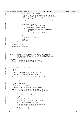```
2701 assert(newval == leaf[buddy]);
2702
2703 /* check which (leafno or buddy) is the left buddy.
2704 * the left buddy gets to claim the blocks resulting
2705 * from the join while the right gets to claim none.
2706 * the left buddy is also eligable to participate in
<sup>2707</sup> * a join at the next higher level while the right<br><sup>2708</sup> * is not.
2708 * is not.<br>2708 *
2709 \star2710 * /
2711 if (leafno < buddy) {
2712 /* leafno is the left buddy.
2713 * /
^{2714} dbAdjTree(tp, buddy, NOFREE);
                            2715 } else {
2716<br>2716 2717 \star buddy is the left buddy and becomes
2717 \star leafno.<br>2718 \star / leafno.
2718 * /
2719 dbAdjTree(tp, leafno, NOFREE);<br>2720 1eafno = buddy;
2720 leafno = buddy;
2721 \Big\}2722
\begin{array}{cc}\n\chi^* \text{ on to try the next join.} \\
\star / \end{array}2724 * /
2725 newval += 1;
2726 budsz <<= 1;
2727 }
2728 }
2729
<sup>2730</sup> /* update the leaf value.
2731<br>2732
   dbAdjTree(tp, leafno, newval);
2733 }
2734
2735
2736 / *2737 * NAME: dbAdjTree()
2738<br>2739
2739 * FUNCTION: update a leaf of a dmtree with a new value, adjusting
2740 * the dmtree, as required, to reflect the new leaf value.
2741 * the combination of any buddies must already be done before<br>2742 * this is called.
                    this is called.
2743<br>2744
2744 * PARAMETERS:<br>
2745 * tp<br>
2746 * leafno
2745 * tp − pointer to the tree to be adjusted.
2746 * leafno − the number of the leaf to be updated.
2747 * newval − the new value for the leaf.
2748<br>2749
      2749 * RETURN VALUES: none
27502751 static void dbAdjTree(dmtree_t * tp, int leafno, int newval)
2752 {<br>2753
rac{2753}{2754} int lp, pp, k;<br>rac{2754}{2754}int max;
2755
2756 /* pick up the index of the leaf for this leafno.
2757<br>2758
            2758 lp = leafno + le32_to_cpu(tp−>dmt_leafidx);
2759
2760 /* is the current value the same as the old value ? if so,
2761 * there is nothing to do.
2762<br>2763
2763 if (tp−>dmt_stree[lp] == newval)
                    2764 return;
2765
2766 /* set the new value.
2767<br>2768
            2768 tp−>dmt_stree[lp] = newval;
2769
2770 /* bubble the new value up the tree as required.
2771<br>2772
2772 for (k = 0; k < le32_to_cpu(tp->dmt_height); k++) {<br>2773 /* get the index of the first leaf of the 4
2773 /* get the index of the first leaf of the 4 leaf
2774 * group containing the specified leaf (leafno).
2775 * /
2776 lp = ((lp - 1) & ~0x03) + 1;
2777
2778 /* get the index of the parent of this 4 leaf group.
2779 */
2780 pp = (lp - 1) >> 2;
2781
2782 /* determine the maximum of the 4 leaves.
2783 * /
2784 max = TREEMAX(&tp−>dmt_stree[lp]);
2785
\frac{2786}{12787} /* if the maximum of the 4 is the same as the same \frac{1}{2787} * parent's value. We're done.
2787 * parent's value, we're done.<br>2788 * /
2788 * /2789 if (tp−>dmt_stree[pp] == max)
2790 break;
Registered Version: Linux Kernel Support for JFS ifs dmap.c Exhibit 12.1−1 pg 31/47
```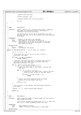Registered Version: Linux Kernel Support for JFS **ifs dmap.c** Exhibit 12.1−1 pg 32/47

  $\begin{array}{ccc}\n & \text{if } 2792 \\
 & \text{if } 2793\n \end{array}$  /\* parent gets new value.  $*$  / tp−>dmt\_stree[pp] = max; /\* parent becomes leaf for next go−round.  $*$  /  $1p = pp;$  } } 2803<br>2804 NAME: dbFindLeaf() \* \* FUNCTION: search a dmtree\_t for sufficient free blocks, returning <sup>2807</sup> \* the index of a leaf describing the free blocks if \* sufficient free blocks are found. 2809<br>2810 \* the search starts at the top of the dmtree\_t tree and <sup>2811</sup> \* proceeds down the tree to the leftmost leaf with sufficient \* free space. 2813<br>2814 2814 \*  $PARAMETERS:$ <br>2815 \* tp <sup>2815</sup> \* tp − pointer to the tree to be searched. <sup>2816</sup> \* l2nb − log2 number of free blocks to search for. \* leafidx − return pointer to be set to the index of the leaf \* describing at least l2nb free blocks if sufficient \* free blocks are found. \* \* RETURN VALUES:<br> $2822$  \* 0 -2822 \* 0 − success<br>
2823 \* ENOSPC – insuffi \* ENOSPC − insufficient free blocks. 2825 **static** int dbFindLeaf(dmtree\_t  $*$  tp, int l2nb, int  $*$ leafidx)<br>2826 { { int ti,  $n = 0$ ,  $k$ ,  $x = 0$ ; /\* first check the root of the tree to see if there is <sup>2830</sup> \* sufficient free space. \*/<br>2832 **if** <sup>2832</sup> **if** (l2nb > tp->dmt\_stree[ROOT])<br>
2833 **if** the sturn (ENOSPC); **return** (ENOSPC); /\* sufficient free space available. now search down the tree <sup>2836</sup> \* starting at the next level for the leftmost leaf that <sup>2837</sup> \* describes sufficient free space. 2839 **for** (k = le32\_to\_cpu(tp->dmt\_height), ti = 1;<br>2840 k > 0; k -- ti = ((ti + n) << 2) + 1) { k > 0; k−−, ti = ((ti + n) << 2) + 1) { <sup>2841</sup> /\* search the four nodes at this level, starting from  $\star$  the left.<br>  $2843$   $\star$ /  $*$  /  $for$   $(x = ti, n = 0; n < 4; n++)$  {<br>  $\neq$  sufficient free space found. move to the next<br>  $\neq$  level (or quit if this is the last level).  $*$  / 2848 **if** (12nb <= tp−>dmt\_stree[x + n])<br>
2849 **break**: **break**;  $\Big\}$  /\* better have found something since the higher <sup>2853</sup> \* levels of the tree said it was here.  $*$  / 2855 **assert(n < 4);**<br>2856 **}**  } 2858  $\frac{1}{2858}$  /\* set the return to the leftmost leaf describing sufficient<br>2859  $\frac{1}{2859}$  \* free space. \* free space. \*leafidx = x + n - le32\_to\_cpu(tp->dmt\_leafidx); **return** (0); } 2867  $/*$ <br>2868 \* NAME:  $dbFindBit(s()$  \* \* FUNCTION: find a specified number of binary buddy free bits within a<br> $2871$  \* dmap bitmap word value. dmap bitmap word value. 2872<br>2873 2873 \* this routine searches the bitmap value for  $(1 \lt \lt l2nb)$  free<br>2874 \* hits at  $(1 \lt \lt l2nb)$  alignments within the value bits at  $(1 \ll 12nb)$  alignments within the value. \* 2876 \* PARAMETERS:<br>2877 \* word 2877 \* word − dmap bitmap word value.<br>2878 \* 12nb − number of free bits spe - number of free bits specified as a log2 number. \* \* RETURN VALUES: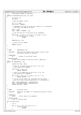```
2881 * starting bit number of free bits.
2882
2883 static int dbFindBits(u32 word, int l2nb)
2884 {
2885 int bitno, nb;<br>2886 132 mask;
              u32 mask;
2887
2888 \frac{7}{2889} /* get the number of bits.
2889
2890 nb = 1 << 12nb;<br>
2891 assert (nb \lt = DB
               assert(nb \leq DBWORD);
2892
2893 /* complement the word so we can use a mask (i.e. 0s represent
2894 * free bits) and compute the mask.
               * /
2896 word = ~word;<br>2897 mask = ONES <
               \frac{20}{3} mask = ONES << (DBWORD – nb);
2898
               4<sup>*</sup> scan the word for nb free bits at nb alignments.
2900<br>2901
               \overrightarrow{for} (bitno = 0; mask != 0; bitno += nb, mask >>= nb) {
2902 if ((mask & word) == mask)<br>2903 break;
               2903 break;
2904 }
2905
2906 ASSERT(bitno < 32);
2907
2908 /* return the bit number.
2909 */
2910 return (bitno);
2911 }
2912
2913
2914 /*<br>2915 * NAME:dbMaxBud( u8 *cp)2916 *<br>2917 * FUNCTION:
2917 * FUNCTION: determine the largest binary buddy string of free<br>2918 * bits within 32-bits of the map.
                         bits within 32−bits of the map.
2919<br>2920
     * PARAMETERS:
2921 * cp − pointer to the 32−bit value.
2922 *
2923 * RETURN VALUES:<br>2924 * largest h
     * largest binary buddy of free bits within a dmap word.<br>*/
2925
2926 static int dbMaxBud(u8 * cp)
2927 \quad \left\{ \right. \\ 2928signed char tmp1, tmp2;
2020
2930 /* check if the wmap word is all free. if so, the
2931 * free buddy size is BUDMIN.
2932 */<br>2932 */
\mathbf{if}^{\prime} (*((uint *) cp) == 0)<br>2934 if (*((uint *) cp) == 0)
                         return (BUDMIN);
2935
2936 /* check if the wmap word is half free. if so, the
2937 * free buddy size is BUDMIN−1.
2938<br>2939
2930 if (*((\text{ul}6 \*) \text{ cp}) == 0 || *((\text{ul}6 \*) \text{ cp} + 1) == 0)<br>
2940 return (BIDMIN - 1);
                         return (BUDMIN − 1);
2941
2942 /* not all free or half free. determine the free buddy
2943 * size thru table lookup using quarters of the wmap word.
2944 */
2945 tmp1 = max(budtab[cp[2]], budtab[cp[3]]);
2946 tmp2 = max(budtab[cp[0]], budtab[cp[1]]);
2947 return (max(tmp1, tmp2));
2948 }
2949
2950
2951 /*<br>2952 * NAME:
                        cntz (uint word)2953 *<br>2954 * FUNCTION:
                        determine the number of trailing zeros within a 32-bit
2955 * value.
2956 *
2957 * PARAMETERS:<br>2958 * value
                        - 32−bit value to be examined.
2959 *
2960 * RETURN VALUES:<br>2961 * count of
      x<br>
\begin{array}{ccc}\n\star & \text{count of } \text{training } \text{zeros}\n\end{array}2962<br>2963int cnttz(u32 word)
2964 \{<br>2965
               int n;
2966
2967 for (n = 0; n < 32; n++), word >>= 1 {<br>
2968 if (word & 0x01)
2968 if (word & 0x01)
               2969 break;
2970 }
Registered Version: Linux Kernel Support for JFS ifs dmap.c Exhibit 12.1−1 pg 33/47
```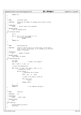```
2971
2972 return (n);
2973 }
2974
2975
2976 {\tiny \begin{array}{ccc} \star \ * \ \star \end{array}} NAME :
2977 * NAME: cntlz(u32 value)
2978 *<br>2979 *2979 * FUNCTION: determine the number of leading zeros within a 32-bit<br>2980 * value.
                        value.
2981 *2982 * PARAMETERS:<br>2983 * value
                        - 32-bit value to be examined.
2984<br>2985
2985 * RETURN VALUES:
2986 * count of leading zeros
2987 */<br>2988 int
    int cntlz(u32 value) {
2989 {
              int n;
2991
2992 for (n = 0; n < 32; n++, value <<= 1) {
2993 if (value & HIGHORDER)
2994 break;
2995 }
2996 return (n);
2997 }
2998
2999
3000 / *3001 * NAME: blkstol2(s64 nb)
3002<br>3003
3003 * FUNCTION: convert a block count to its log2 value. if the block
3004 * count is not a l2 multiple, it is rounded up to the next
3005 * larger l2 multiple.
3006 *
\begin{array}{cc}\n\text{3007} & * & \text{PARAMETERS:} \\
\text{3008} & * & \text{nb}\n\end{array}- number of blocks
3009<br>3010
       RETURN VALUES:
3011 * log2 number of blocks
3012<br>3013
    int blkstol2(s64 nb)<br>{
3014 {
              int l2nb;<br>s64 mask;
\frac{3016}{3016} s64 mask; \frac{1}{3016} /* meant to be signed */
3017
3018 mask = (s64) 1 << (64 − 1);
3019
3020 /* count the leading bits.
3021 */<br>
for (l2nb = 0; l2nb < 64; l2nb++, mask >>= 1) {<br>
/* leading bit found.<br>
*/
3025 if (nb & mask) {
3026<br>3026<br>3027<br>* determine the 12 value.
3027 * /
3028 l2nb = (64 − 1) − l2nb;
3029
3030 /* check if we need to round up.
\frac{1}{2} 3031
if (\simmask & nb)<br>3032 if (\simmask & nb)<br>3033 i 2nb++;
                                             12nb++3034
3035 return (l2nb);
3036 }
3037 }
3038 assert(0);<br>3039 return 0;
                                            /* fix compiler warning */
3040 }
3041
3042
3043 /*<br>3044 * NAME:
                        fsDirty()
3045
3046 * FUNCTION: xxx
3047<br>3048
3048 * PARAMETERS:<br>3049 * ipmnt
      * ipmnt − mount inode
3050 *<br>3051 *
3051 * RETURN VALUES:<br>3052 * none
     \begin{array}{cc} \star & \text{none} \\ \star & \end{array}3053
3054 void fsDirty()
3055 {
3056 printk("fsDirty(): bye-bye\n");<br>3057 assert(0);
    \begin{array}{c} \texttt{assert}(0); \\ \texttt{assert}(0); \end{array}3058 }
3059
3060
Registered Version: Linux Kernel Support for JFS ifs dmap.c Exhibit 12.1−1 pg 34/47
```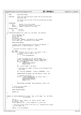$\begin{array}{ccc}\n3061 & / * & \longrightarrow \\
3062 & * & NAME:\n\end{array}$ <sup>3062</sup> \* NAME: dbAllocBottomUp() 3063<br>3064 3064 \* FUNCTION: alloc the specified block range from the working block<br>3065 \* allocation map. allocation map. <sup>3066</sup> \* 3067 \* the blocks will be alloc from the working map one dmap<br>3068 \* at a time. at a time. 3069<br>3070 3070  $*$  PARAMETERS:<br>3071  $*$  in <sup>3071</sup> \* ip − pointer to in−core inode; <sup>3072</sup> \* blkno − starting block number to be freed. <sup>3073</sup> \* nblocks − number of blocks to be freed.  $3074$ <sup>3075</sup> \* RETURN VALUES: 3076 \* 0 − success<br>3077 \* EIO − i/o err  $\frac{1}{\ast}$  EIO − i/o error 3078<br>3079 int dbAllocBottomUp(struct inode \*ip, s64 blkno, s64 nblocks)  $3080$  {<br> $3081$ struct metapage \*mp; 3082 struct dmap \*dp;<br>3083 int nb. rc; 3083 int nb, rc;<br>3084 564 lblkno, rem; 3084 s64 lblkno,<br>3085 struct inoc <sup>3085</sup> struct inode \*ipbmap = JFS\_SBI(ip−>i\_sb)−>ipbmap; <sup>3086</sup> struct bmap \*bmp = JFS\_SBI(ip−>i\_sb)−>bmap; 3087 <sup>3088</sup> IREAD\_LOCK(ipbmap); 3089 <sup>3090</sup> /\* block to be allocated better be within the mapsize. \*/ <sup>3091</sup> ASSERT(nblocks <= bmp−>db\_mapsize − blkno); 3092 3093<br>3094 <sup>3094</sup> \* allocate the blocks a dmap at a time. <sup>3095</sup> \*/ <sup>3096</sup> mp = **NULL**; <sup>3097</sup> **for** (rem = nblocks; rem > 0; rem −= nb, blkno += nb) { <sup>3098</sup> /\* release previous dmap if any \*/ <sup>3099</sup> **if** (mp) { <sup>3100</sup> write\_metapage(mp);  $3101$  } 3102 3103 /\* get the buffer for the current dmap. \*/<br>3104 1blkno = BLKTODMAP(blkno, bmp->db\_l2nbperp <sup>3104</sup> lblkno = BLKTODMAP(blkno, bmp−>db\_l2nbperpage); <sup>3105</sup> mp = read\_metapage(ipbmap, lblkno, PSIZE, 0); <sup>3106</sup> **if** (mp == **NULL**) { 3107 **IREAD\_UNLOCK(ipbmap);**<br>3108 **Teturn** (EIO); 3108 **return** (EIO);<br>3109 **1**  $3109$  }  $\text{d}p = (struct \text{dmap }*) \text{ mp }$ ->data; 3111  $3112$  /\* determine the number of blocks to be allocated from<br> $3113$  \* this dmap. \* this dmap. 3114  $*$  / 3115  $\text{nb} = \text{min}(\text{rem}, \text{BPERDMAP} - (\text{blk} \& \text{BPERDMAP} - 1)))$ ; 3116 <sup>3117</sup> DBFREECK(bmp−>db\_DBmap, bmp−>db\_mapsize, blkno, nb); 3118 3119  $\frac{3}{15}$  /\* allocate the blocks. \*/<br>3120  $\frac{15}{15}$  ( $\frac{1}{15}$  ( $\frac{1}{15}$  = dbAllocDmapRII(bm <sup>3120</sup> **if** ((rc = dbAllocDmapBU(bmp, dp, blkno, nb))) { <sup>3121</sup> release\_metapage(mp); 3122 **IREAD\_UNLOCK(ipbmap);**<br>3123 **Teturn** (rc); <sup>3123</sup> **return** (rc);  $3124$  } 3125 <sup>3126</sup> DBALLOC(bmp−>db\_DBmap, bmp−>db\_mapsize, blkno, nb); <sup>3127</sup> } 3128 3129  $/*$  write the last buffer.  $*/$ <br>3130 write metapage(mp);  $w$ rite\_metapage(mp); 3131 3132 IREAD\_UNLOCK(ipbmap); 3133 <sup>3134</sup> **return** (0); <sup>3135</sup> } 3136 3137 <sup>3138</sup> **static** int dbAllocDmapBU(struct bmap \* bmp, struct dmap \* dp, s64 blkno,  $int$ nhlocks)  $3140 \quad \left\{$   $3141 \quad$ int rc; <sup>3142</sup> int dbitno, word, rembits, nb, nwords, wbitno, agno; <sup>3143</sup> s8 oldroot, \*leaf; <sup>3144</sup> struct dmaptree \*tp = (struct dmaptree \*) & dp−>tree; 3145 3146  $\frac{1}{3}$  /\* save the current value of the root (i.e. maximum free string)<br>3147 \* of the dmap tree.

Registered Version: Linux Kernel Support for JFS **interact in the Support of Support for JFS ffs\_dmap.c** Exhibit 12.1−1 pg 35/47

3148<br>3149

3150

 $*$  of the dmap tree.

<sup>3149</sup> oldroot = tp−>stree[ROOT];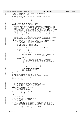```
3151 /* pick up a pointer to the leaves of the dmap tree */
3152 leaf = tp−>stree + LEAFIND;
3153
3154 /* determine the bit number and word within the dmap of the
3155 * starting block.
3156
3157 dbitno = blkno & (BPERDMAP − 1);
               word = dbitno >> L2DBWORD;
3159
3160 /* block range better be within the dmap */<br>3161 * assert (dbitno + nblocks \leq BPERDMAP);
               assert(dbitno + nblocks <= BPERDMAP);
3162<br>3163
<sup>3163</sup> /* allocate the bits of the dmap's words corresponding to the block<br>3164 <sup>*</sup> range. not all bits of the first and last words may be contained
3164 * range. not all bits of the first and last words may be contained<br>3165 * within the block range if this is the case we'll work against
3165 * within the block range. if this is the case, we'll work against
3166 * those words (i.e. partial first and/or last) on an individual basis
3167 * (a single pass), allocating the bits of interest by hand and
3168 * updating the leaf corresponding to the dmap word. a single pass
3169 * will be used for all dmap words fully contained within the
3170 * specified range. within this pass, the bits of all fully contained
3171 * dmap words will be marked as free in a single shot and the leaves
3172 * will be updated. a single leaf may describe the free space of
3173 * multiple dmap words, so we may update only a subset of the actual
* leaves corresponding to the dmap words of the block range.
3175for (rembits = nblocks; rembits > 0; rembits -= nb, dbitno += nb) {<br>3177 /* determine the bit number within the word and<br>3178 * the number of bits within the word.
3179 * /
3180 wbitno = dbitno & (DBWORD − 1);
3181 nb = min(rembits, DBWORD − wbitno);
3182
3183 \frac{1}{2} /* check if only part of a word is to be allocated.
3184 * /
3185 if (nb < DBWORD) {
                                     3/* allocate (set to 1) the appropriate bits within
3187 * this dmap word.
3188 * /
3189 dp−>wmap[word] |= cpu_to_le32(ONES << (DBWORD − nb)
                                                                              \gg whitno);
3191
3192 word++;<br>3193 else {
3193 } else {
3194 /* one or more dmap words are fully contained
3195 * within the block range. determine how many
3196 * words and allocate (set to 1) the bits of these
3197 * words.<br>3198 *3198 * /
2200<br>2200<br>3199<br>3200<br>3200<br>3200<br>32003200 memset(&dp−>wmap[word], (int) ONES, nwords * 4);
3201
\frac{3202}{3203} /* determine how many bits */<br>\frac{1}{2003} is not the new set of \frac{1}{200} in the new set of \frac{1}{200} in the new set of \frac{1}{200} is \frac{1}{200} in the new set of \frac{1}{200} is \frac{1}{200} in the n
                                     nb = nwords << L2DBWORD;
\begin{aligned} \text{word} & + = \text{nwords} \, i \\ \text{3205} & \end{aligned}3205 }
3206 }
3207
3208 \frac{1}{200} /* update the free count for this dmap */<br>3209 \frac{1}{200} dp->nfree = cpu to le32(le32 to cpu(dp->n
               3209 dp−>nfree = cpu_to_le32(le32_to_cpu(dp−>nfree) − nblocks);
3210
3211 /* reconstruct summary tree */
3212 dbInitDmapTree(dp);
3213<br>2214
               BMAP_LOCK(bmp);
3215
3216 /* if this allocation group is completely free,
3217 \rightarrow 12 update the highest active allocation group number<br>3218 \rightarrow if this allocation group is the new max.
                 * if this allocation group is the new max.
3219<br>3220
                3220 agno = blkno >> bmp−>db_agl2size;
3221 if (agno > bmp−>db_maxag)
                          bmp->db_maxag = agno;
3223
3224 /* update the free count for the allocation group and map */
3225 bmp−>db_agfree[agno] −= nblocks;
3226 bmp−>db_nfree −= nblocks;
3227
3228 BMAP_UNLOCK(bmp);
3229
3230 /* if the root has not changed, done. */
3231 if (tp−>stree[ROOT] == oldroot)
3232 return (0);
3233
3234 /* root changed. bubble the change up to the dmap control pages.
3235 * if the adjustment of the upper level control pages fails,
3236 * backout the bit allocation (thus making everything consistent).
3237<br>3238
3238 if ((rc = dbAdjCtl(bmp, blkno, tp−>stree[ROOT], 1, 0)))
                          dbFree{\texttt{Bits}}(\texttt{bmp},\texttt{dp},\texttt{blkno},\texttt{nblocks});3240
Registered Version: Linux Kernel Support for JFS ifs dmap.c Exhibit 12.1−1 pg 36/47
```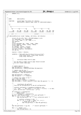**return** (rc); } /\*<br> $3246$  \* NAME: dbExtendFS() 3247<br>3248 \* FUNCTION: extend bmap from blkno for nblocks;  $dbExtendFS()$  updates bmap ready for dbAllocBottomUp(); 3250<br>3251  $7.2$  \*  $\Big\}$ <br>3253 \*  $L1-$  \* L1−−−−−−−−−−−−−−−−−−−−−−−−−−−−−−−−−L1 \*  $/$  \* L0−−−−−−−−−L0−−−−−−−−−L0 L0−−−−−−−−−L0−−−−−−−−−L0 \* | | | | | | <sup>3257</sup> \* d0,...,dn d0,...,dn d0,...,dn d0,...,dn d0,...,dn d0,.,dm; \* L2L1L0d0,...,dnL0d0,...,dnL0d0,...,dnL1L0d0,...,dnL0d0,...,dnL0d0,..dm 3259<br>3260 \* <−−−old−−−><−−−−−−−−−−−−−−−−−−−−−−−−−−−−extend−−−−−−−−−−−−−−−−−−−−−−−> int dbExtendFS(struct inode \*ipbmap, s64 blkno, s64 nblocks)<br> $3263$  { { 3264 struct jfs\_sb\_info \*sbi = JFS\_SBI(ipbmap->i\_sb);<br>3265 struct phoerpage = sbi->phoerpage; int nbperpage = sbi−>nbperpage; int i, i0 = TRUE, j, j0 = TRUE, k, n;  $564$  newsize;<br> $3268$   $564$  p; s64 p; 3269 struct metapage \*mp, \*l2mp, \*l1mp, \*l0mp;<br>
3270 struct dmapctl \*l2dcp, \*l1dcp, \*l0dcp;<br>
3272 s8 \*l0leaf, \*lleaf, \*l2leaf;<br>
3273 struct bmap \*bmp = sbi->bmap;<br>
3274 int agno, l2agsize, oldl2agsize; s64 ag\_rem; newsize = blkno + nblocks; jEVENT(0, ("dbExtendFS: blkno:%Ld nblocks:%Ld newsize:%Ld\n", (long long) blkno, (long long) nblocks, (long long) newsize)); /\*<br>3284 \* initialize bmap control page. \* 3286 \* all the data in bmap control page should exclude<br>3287 \* the mkfs hidden dmap page. \* the mkfs hidden dmap page. \*/ /\* update mapsize \*/ <sup>3291</sup> bmp−>db\_mapsize = newsize; bmp−>db\_maxlevel = BMAPSZTOLEV(bmp−>db\_mapsize); /\* compute new AG size \*/ <sup>3295</sup> l2agsize = dbGetL2AGSize(newsize); oldl2agsize = bmp−>db\_agl2size; bmp−>db\_agl2size = l2agsize; <sup>3299</sup> bmp−>db\_agsize = 1 << l2agsize; /\* compute new number of AG \*/ agno = bmp−>db\_numag; bmp−>db\_numag = newsize >> l2agsize; bmp−>db\_numag += ((u32) newsize % (u32) bmp−>db\_agsize) ? 1 : 0; /\*<br>3307 \* 3307 \* reconfigure db\_agfree[]<br>3308 \* from old AG configuration to \* from old AG configuration to new AG configuration; 3309<br>3310 \* coalesce contiguous k (newAGSize/oldAGSize) AGs;<br>\* i e (AGi aCi) where i = k\*n and i = k\*(n \* i.e., (AGi, ..., AGj) where i = k\*n and j = k\*(n+1) − 1 to AGn; <sup>3312</sup> \* note: new AG size = old AG size \* (2\*\*x). <br> $3314$  **if** (l2agsize == oldl2agsize) **goto** extend; <sup>3316</sup> k = 1 << (l2agsize − oldl2agsize); 3317 ag\_rem = bmp->db\_agfree[0]; /\* save agfree[0] \*/<br>3318 **for** (i = 0, n = 0; i < agno; n++) {<br>bmp->db\_agfree[n] = 0; /\* init collection point \*/ 3321  $\frac{3321}{3322}$  /\* coalesce cotiguous k AGs; \*/<br>3322 **for** (j = 0; j < k & k i < agno; **for** (j = 0; j < k && i < agno; j++, i++) { <sup>3323</sup> /\* merge AGi to AGn \*/ bmp−>db\_agfree[n] += bmp−>db\_agfree[i]; } } bmp−>db\_agfree[0] += ag\_rem; /\* restore agfree[0] \*/ **for** (; n < MAXAG; n++) bmp−>db\_agfree[n] = 0; Registered Version: Linux Kernel Support for JFS **ifs dmap.c** Exhibit 12.1−1 pg 37/47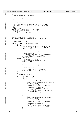```
3331
3332<br>3333
             * update highest active ag number
3334
3335
3336 bmp->db maxag = bmp->db maxag / k;
3337
3338 /*<br>3339 *
                   extend bmap
3340<br>3341
3341 * update bit maps and corresponding level control pages;
3342 * global control page db_nfree, db_agfree[agno], db_maxfreebud;
3343 */
3344 extend:<br>7* and 7*3345 /* get L2 page */
3346 p = BMAPBLKNO + nbperpage; /* L2 page */
3347 l2mp = read_metapage(ipbmap, p, PSIZE, 0);
3348 \overline{assert}(12mp);<br>3349 \overline{12}dcp = (stru)3349 l2dcp = (struct dmapctl *) l2mp−>data;
3350
3351 /* compute start L1 */
3352 k = blkno >> L2MAXL1SIZE;
3353 l2leaf = l2dcp−>stree + CTLLEAFIND + k;
3354 p = BLKTOL1(blkno, sbi−>l2nbperpage); /* L1 page */
3355
3356
3356 * extend each L1 in L2
3358
3359 for (; k < LPERCTL; k++, p += nbperpage) {<br>3360 /* get L1 page */<br>3361 if (j0) {<br>/* read in L1 page: (blkno & (MAXL1SIZE − 1)) */
3363 l1mp = read_metapage(ipbmap, p, PSIZE, 0);
3364 if (l1mp == NULL)
3365 goto errout;
3366 l1dcp = (struct dmapctl *) l1mp−>data;
3367
3368 <br>3368 /* compute start L0 */<br>3369 <br>j = (blkno & (MAXL1SIZ)
3369 j = (blkno & (MAXL1SIZE − 1)) >> L2MAXL0SIZE;
3370 l1leaf = l1dcp−>stree + CTLLEAFIND + j;
3371 p = BLKTOL0(bl̃kno, sbi->l2nbperpage);<br>3372 do = FALSE;
3372 j0 = \text{FALSE};<br>3373 } else {
3373 } else {
3374 /* assign/init L1 page */
3375 l1mp = get_metapage(ipbmap, p, PSIZE, 0);
3376 if (l1mp == NULL)
3377 goto errout;
3378<br>3379
                            3379 l1dcp = (struct dmapctl *) l1mp−>data;
3380
\frac{3381}{3382} /* compute start L0 */<br>\frac{1}{3382} = 0;
3382 j = 0;
3383 l1leaf = l1dcp−>stree + CTLLEAFIND;
3384 p += nbperpage; /* 1st L0 of L1.k */
3385 }
3386
3387 / *
3388 * extend each L0 in L1<br>3389 *3389 * /
3390 for (; j < LPERCTL; j++) {<br>3391 /* get L0 page */
3392 if (i0) {
3393 /* read in L0 page: (blkno & (MAXL0SIZE − 1)) */
3394
3395 l0mp = read_metapage(ipbmap, p, PSIZE, 0);
3396 if (l0mp == NULL)
3397 goto errout;
3398 l0dcp = (struct dmapctl *) l0mp−>data;
3399
3400 /* compute start dmap */
3401 i = (blkno & (MAXL0SIZE − 1)) >>
\frac{1}{2}BPERDMAP;<br>\frac{1}{2}BPERDMAP;<br>\frac{1}{2}BPERDMAP;
3403<br>D = BLKTODMAP(b)kno.<br>D = BLKTODMAP(b)kno.
                                    p = BLKTODMAP(blkno,3405 sbi−>l2nbperpage);<br>3406 i0 = FALSE;
3406 i0 = FALSE;
3407 } else {
3408 /* assign/init L0 page */
Registered Version: Linux Kernel Support for JFS ifs dmap.c Exhibit 12.1−1 pg 38/47
```
 $10 \text{mp} = \text{get\_metapage}(\text{ipbmap}, p, \text{PSIZE}, 0);$ 

3417 10leaf = l0dcp−>stree + CTLLEAFIND;<br>3418 3418 9 + p bperpage; /\* 1st dmap of L0.j 3418  $\qquad p \qquad += \n *n* \n *p* \n  $+ = \n *n* \n *p* \n  $+ = \n *n* \n *p* \n  $+ = \n *n* \n *p* \n  $+ = \n *n* \n *p* \n  $+ = \n *n* \n *p* \n  $+ = \n *n* \n *p* \n  $+ = \n *n* \n *p* \n  $+ = \n *n*$$$$$$$$$ 

goto errout;

l0dcp = (struct dmapctl \*) l0mp−>data;

 $\mathbf{if} \quad (\text{10mp} = \textbf{NULL})$ <br>3411 **a**  $\mathbf{g}(\mathbf{to} \text{error})$ 

 $i = 0;$ 

 $\Big\}$ 

 $\frac{3415}{45}$  /\* compute start dmap \*/

3412<br>3413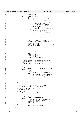/\*  $\frac{3421}{3422}$  \* extend each dmap in L0<br> $\frac{3422}{4}$  \* extend each dmap in L0  $*$  / 3424 **for** (; i < LPERCTL; i++) {<br>  $3425$  /\* \* reconstruct the dmap page, and \* initialize corresponding parent L0 leaf  $\frac{1}{2}$  3428 <sup>3429</sup> **if** ((n = blkno & (BPERDMAP − 1))) { /\* read in dmap page: \*/ <sup>3431</sup> mp = read\_metapage(ipbmap, p, PSIZE, 0); <sup>3433</sup> **if** (mp == **NULL**)<br>3433 **goto** er  $\begin{array}{c}\n3434 \\
3434\n\end{array}$  **goto** errout;  $n = min(nblocks, (s64)BPERDMAP - n);$  } **else** { <br> $3437$ <br> $3438$ <br> $3438$ <br> $3438$ <br> $3438$ <br> $3438$ <br> $3438$ <br> $3436$ <br> $3436$ <br> $3436$ <br> $3436$ <br> $3436$ <br> $3436$ <br> $3436$ <br> $3436$ <br> $3436$ <br> $3436$ <br> $3436$ <br> $3436$ <br> $3436$ <br> $3436$ <br> $3436$ <br> $3436$ <br> $3436$ <br> $3436$ <br> $3436$ <br> $3436$ <br> $3436$ <br> $3436$ <br> $3436$ <br> $343$ <sup>3438</sup> mp = read\_metapage(ipbmap, p, PSIZE, 0);  $\mathbf{if}$  (mp == **NULL**)<br>3441 **order** extended to the state of  $\mathbf{if}$  (mp = **NULL**) goto errout;  $n = min(nblocks, (s64) BPERDMAP);$ <br>3444  $\}$  dp = (struct dmap \*) mp−>data; <sup>3447</sup> \*l0leaf = dbInitDmap(dp, blkno, n); <sup>3449</sup> bmp−>db\_nfree += n; <sup>3450</sup> agno = le64\_to\_cpu(dp−>start) >> l2agsize; bmp−>db\_agfree[agno] += n; write\_metapage(mp); l0leaf++;<br> $n + \text{in } n$  hppe p += nbperpage; blkno += n;<br> $3458$  blocks -= nblocks −= n;<br> $3460$  if (nblocks =  $if (nblocks == 0)$  **break**; }  $\frac{3462}{3462}$  }  $\frac{3462}{3462}$   $\frac{1}{2}$   $\frac{3462}{3462}$   $\frac{1}{2}$   $\frac{3462}{3462}$   $\frac{1}{2}$   $\frac{3462}{3462}$   $\frac{1}{2}$   $\frac{3462}{3462}$   $\frac{1}{2}$   $\frac{1}{2}$   $\frac{1}{2}$   $\frac{1}{2}$   $\frac{1}{2}$   $\frac{1}{2}$   $\frac{1}{2}$   $\frac{$  /\* \* build current L0 page from its leaves, and <sup>3466</sup> \* initialize corresponding parent L1 leaf \*/  $*11$ leaf = dbInitDmapCtl(l0dcp, 0, ++i);<br> $*11$ eaf = dbInitDmapCtl(l0dcp, 0, ++i); write\_metapage(l0mp);  $\inf$  (nblocks)<br> $\inf$  (nblocks)<br> $\text{11leaf++}$ ;  $\frac{3472}{3473}$  lleaf++;  $\frac{1}{3473}$  else {<br>3473 **else** { <br> $3475$ <br> $3475$ <br> $3475$ <br> $3475$ <br> $3475$ <br> $3475$ **if**  $(j > 0)$  **break**; /\* build L1 page \*/ **else** { <sup>3478</sup> /\* summarize in global bmap page \*/ bmp−>db\_maxfreebud = \*l1leaf; <sup>3480</sup> release\_metapage(l1mp); release\_metapage(l2mp); **goto** finalize;  $\Big\}$  } } /\* for each L0 in a L1 \*/ 3487<br>3488 348<br>3488 \* build current L1 page from its leaves, and<br>3489 \* initialize corresponding parent L2 leaf 3489 \* initialize corresponding parent L2 leaf<br>3480 \* / \* / \*/ \*12leaf = dbInitDmapCtl(l1dcp, 1, ++j);<br> $3492$  write\_metapage(l1mp); write\_metapage(l1mp); **if** (nblocks) l2leaf++; /\* continue for next L1 \*/ **else** { 3497  $\overrightarrow{A}$  more than 1 L1 ? \*/<br>3498  $\overrightarrow{if}$  (k > 0)  $\mathbf{if} (k > 0)$ <br>  $\mathbf{if} (k > 0)$  $\overrightarrow{b}$ reak; /\* build L2 page \*/ **else** { 3501 1990 1212 (1991) 1212 (1991) 1212 (1991) 13501<br>3502 13502 13502 13502 13502 13502 13502 13502 13502 13502 13502 13502 13502 13502 13502 13502 13502 13502 1350  $\text{3502}$  bmp->db\_maxfreebud = \*12leaf;<br> $\text{3502}$  release metapage(12mp); <br> $3504$ <br> $3504$ <br> $3504$ <br> $3504$ <br> $3504$ <br> $3504$ <br> $3504$ <br> $3504$ <br> $3504$  **goto** finalize; } }  $\begin{array}{ccccc} 3507 & & & \end{array}$  }  $\begin{array}{ccccc} & & \end{array}$  /\* for each L1 in a L2 \*/ assert(0); Registered Version: Linux Kernel Support for JFS **jfs\_dmap.c** Exhibit 12.1−1 pg 39/47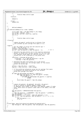/\*  $\overrightarrow{3512}$   $\overrightarrow{*}$  finalize bmap control page <br> $3514$ finalize: **return** 0; 3518 errout:<br>3519 **retur return** EIO; } /\*<br> $3524$  \* \* dbFinalizeBmap()  $\star$  / void dbFinalizeBmap(struct inode \*ipbmap)  $3527 \quad \left\{ \right. \\ 3528$  struct bmap \*bmp = JFS\_SBI(ipbmap−>i\_sb)−>bmap; <sup>3529</sup> int actags, inactags, l2nl; <sup>3530</sup> s64 ag\_rem, actfree, inactfree, avgfree; int i, n; /\*<br>3534 \* 3534  $*$  finalize bmap control page<br>3535  $*$ /  $\star$ / //finalize: /\* \* compute db\_agpref: preferred ag to allocate from  $\begin{array}{ll}\n\text{3539} \\
\text{3539} \\
\text{3539}\n\end{array}$   $\begin{array}{ll}\n\text{* (the leftmost a given with average free space in it)};\n\end{array}$  //agpref: /\*  $9e$ t the number of active ags and inacitve ags \*/<br> $3543$  actags = bmp->db maxag + 1; actags = bmp->db\_maxag + 1;<br> $3544$  inactags = bmp->db numag - i inactags =  $\overline{bmp}$ ->db\_numag – actags;<br> $3545$  ag rem =  $\overline{bmp}$ ->db\_mansize & ( $\overline{bmp}$ ->d ag\_rem = bmp−>db\_mapsize & (bmp−>db\_agsize − 1); /\* ??? \*/ /\* determine how many blocks are in the inactive allocation 3548 \* groups. in doing this, we must account for the fact that<br>3549 \* the rightmost group might be a partial group (i.e. file \* the rightmost group might be a partial group (i.e. file <sup>3550</sup> \* system size is not a multiple of the group size). 3551<br>3552 inactfree = (inactags && ag\_rem) ? ((inactags − 1) << bmp->db\_agl2size) + ag\_rem<br> $3554$  : inactags << bmp->db agl2size; : inactags << bmp−>db\_agl2size; /\* determine how many free blocks are in the active <sup>3557</sup> \* allocation groups plus the average number of free blocks \* within the active ags. <br>3560 actfree = bmp−>db\_nfree − inactfree; <sup>3561</sup> avgfree = (u32) actfree / (u32) actags; 3562<br>3563 /\* if the preferred allocation group has not average free space.<br> $3564$  \* re-establish the preferred group as the leftmost \* re−establish the preferred group as the leftmost \* group with average free space. 3566<br>3567 **if** (bmp−>db\_agfree[bmp−>db\_agpref] < avgfree) { **for** (bmp−>db\_agpref = 0; bmp−>db\_agpref < actags; <sup>3569</sup> bmp−>db\_agpref++) { **if** (bmp−>db\_agfree[bmp−>db\_agpref] >= avgfree) **break**; } assert(bmp−>db\_agpref < bmp−>db\_numag);  $\}$  3576<br>3577 \* compute db\_aglevel, db\_agheigth, db\_width, db\_agstart:  $\star$  an ag is covered in aglevel dmapctl summary tree,<br> $3578$   $\star$  an ag is covered in aglevel dmapctl summary tree, \* at agheight level height (from leaf) with agwidth number of nodes <sup>3580</sup> \* each, which starts at agstart index node of the smmary tree node \* array;<br> $3582$  \*/ 3582<br>3583 bmp−>db\_aglevel = BMAPSZTOLEV(bmp−>db\_agsize);  $12n1 =$  bmp−>db\_agl2size − (L2BPERDMAP + bmp−>db\_aglevel \* L2LPERCTL); <sup>3586</sup> bmp−>db\_agheigth = l2nl >> 1; bmp−>db\_agwidth = 1 << (l2nl − (bmp−>db\_agheigth << 1)); <sup>3588</sup> **for** (i = 5 − bmp−>db\_agheigth, bmp−>db\_agstart = 0, n = 1; i > 0; <sup>3589</sup> i−−) { bmp−>db\_agstart += n; <sup>3591</sup> n <<= 2; } printk("bmap: agpref:%d aglevel:%d agheigth:%d agwidth:%d\n", bmp−>db\_agpref, bmp−>db\_aglevel, bmp−>db\_agheigth, bmp−>db\_agwidth);  $\begin{matrix}3597&\star\\3598&\end{matrix}$  } Registered Version: Linux Kernel Support for JFS **interact in the Support of Support for JFS ffS\_dmap.c** Exhibit 12.1−1 pg 40/47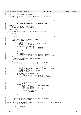```
3601 /*<sup>3602</sup> * NAME: dbInitDmap()/ujfs_idmap_page()
\begin{array}{ccc}\n 3603 & * \\
 3604 & * \quad FUNCTION: \n\end{array}* FUNCTION: initialize working/persistent bitmap of the dmap page<br>3605 * for the specified number of blocks:
                      for the specified number of blocks:
3606
3607 * at entry, the bitmaps had been initialized as free (ZEROS);
3608 * The number of blocks will only account for the actually 
3609 * existing blocks. Blocks which don't actually exist in 
3610 * the aggregate will be marked as allocated (ONES);
3611 *
3612 * PARAMETERS:<br>3613 * dp
3613 * dp − pointer to page of map
3614 * nblocks − number of blocks this page
3615 *
3616 * RETURNS: NONE
3617
3618 static int dbInitDmap(struct dmap * dp, s64 Blkno, int nblocks)
3619 {
3620 int blkno, w, b, r, nw, nb, i;<br>3621 /*
3621 /*
3622 printk("sbh_dmap: in dbInitDmap blkno:%Ld nblocks:%ld\n", Blkno, nblocks); 
3623 */
3624
3625 /* starting block number within the dmap */
3626 blkno = Blkno & (BPERDMAP − 1);
3627
3628 if (blkno == 0) {
3629 dp−>nblocks = dp−>nfree = cpu_to_le32(nblocks);
3630 dp−>start = cpu_to_le64(Blkno);
3631
3632 if (nblocks == BPERDMAP) {
3633 memset(&dp−>wmap[0], 0, LPERDMAP * 4);
3634 memset(&dp−>pmap[0], 0, LPERDMAP * 4);
3635 goto initTree;
3636 }
3637 } else {
<sup>3638</sup> dp−>nblocks =<br><sup>3638</sup> dp−>nblocks =
\text{cup\_to\_le32(le32_to\_cpu(dp->nblocks) + nblocks};3640 dp−>nfree = cpu_to_le32(le32_to_cpu(dp−>nfree) + nblocks);
3641 }
3642
3643 /* word number containing start block number */<br>3644 w = blkno >> L2DBWORD;
             3644 w = blkno >> L2DBWORD;
3645
3646<br>3647
3647 * free the bits corresponding to the block range (ZEROS):
* note: not all bits of the first and last words may be contained<br>* within the block range
              * within the block range.
3650
3651 for (r = nblocks; r > 0; r −= nb, blkno += nb) {
3652 /* number of bits preceding range to be freed in the word */
3653 b = blkno & (DBWORD - 1);<br>3654 /* number of bits to free
3654 /* number of bits to free in the word */
3655 nb = min(r, DBWORD − b);
3656
3657 \frac{1}{15} /* is partial word to be freed ? */<br>3658 \frac{1}{15} (nb < DBWORD) {
3658 if (nb < DBWORD) {
3659 /* free (set to 0) from the bitmap word */
3660 dp−>wmap[w] &= cpu_to_le32(~(ONES << (DBWORD − nb)
3661 >> b));
3662 dp->pmap[w] &= cpu_to_le32(~(ONES << (DBWORD – nb)<br>3663 >>> b));
                                                                 \Rightarrow b));
36643665 \frac{1}{2000} /* skip the word freed */
3666 W++;<br>3666 W++;<br>3667 \} else {
3667 } else {
3668 /* free (set to 0) contiguous bitmap words */
3669 nw = r >> L2DBWORD;
3670 memset(&dp−>wmap[w], 0, nw * 4);
3671 memset(&dp−>pmap[w], 0, nw * 4);
3672
3673 /* skip the words freed */
3674 nb = nw << L2DBWORD;
3675 W + = nW;<br>3676 }
3676 }
3677 }
3678
3679 /*
3680 * mark bits following the range to be freed (non−existing 
3681 * blocks) as allocated (ONES)
3682<br>3683
3683 /*
3684 printk("sbh_dmap: in dbInitDmap, preparing to mark unbacked, blkno:%ld nblocks:%ld\n",<br>blkno, nblocks):
3685 blkno, nblocks); 
3686 */
3687
3688 if (blkno == BPERDMAP)
                      3689 goto initTree;
3690
Registered Version: Linux Kernel Support for JFS ifs dmap.c Exhibit 12.1−1 pg 41/47
```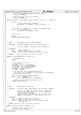```
3691 /* the first word beyond the end of existing blocks */
3692 w = blkno >> L2DBWORD;
3693
3694 /* does nblocks fall on a 32-bit boundary ? */<br>3695 b = blkno & (DRWORD - 1);
3695 b = blkno & (DBWORD – 1);<br>3696 /*3696 /*
3697 printk("sbh_dmap: in dbInitDmap, b:%ld w:%ld mask: %lx\n", b, w, (ONES>>b)); 
3698 */
3699 if (b) {
3700 /* mark a partial word allocated */
3701 dp−>wmap[w] = dp−>pmap[w] = cpu_to_le32(ONES >> b);
3702 w++;
3703 }
3704
3705 /* set the rest of the words in the page to allocated (ONES) */
3706 for (i = w; i < LPERDMAP; i++)<br>3707 dp->pmap[i] = dp->wmap
                         dp->pmap[i] = dp->wmap[i] = 0NES;3708
3709<br>3710
                * init tree
3711 */
3712 initTree:<br>3713 return
    return (dbInitDmapTree(dp));
3714 }
3715
3716
3717 /*<br>3718 * NAME:
3718 * NAME: dbInitDmapTree()/ujfs_complete_dmap()
3719 *<br>3720 * FITMCTTON.
                         initialize summary tree of the specified dmap:
3721<br>3722
                         at entry, bitmap of the dmap has been initialized;
3723<br>3724
3724 * PARAMETERS:<br>3725 * dp<br>3726 * blkno
3725 * dp − dmap to complete<br>3726 * blkno – starting block n
                         - starting block number for this dmap
3727 * treemax − will be filled in with max free for this dmap
3728<br>3729
        RETURNS: max free string at the root of the tree
3730
3731 static int dbInitDmapTree(struct dmap * dp)
3732 {
3733 struct dmaptree *tp;<br>3734 58 *cp;
3734 s8 *cp;<br>3735 int i;
               int \overline{i}3736
3737 /* init fixed info of tree */<br>3738 tp = &dp->tree;
\text{tp} = \&\text{dp}\rightarrow\text{tree};<br>
\text{tp} = \text{p}\times\text{tree};3739 tp−>nleafs = cpu_to_le32(LPERDMAP);
3740 tp−>l2nleafs = cpu_to_le32(L2LPERDMAP);
3741 tp−>leafidx = cpu_to_le32(LEAFIND);
\frac{3742}{3742} tp−>height = cpu_to_le32(4);<br>3743 tp−>budmin = BUDMIN;
               3743 tp−>budmin = BUDMIN;
3744
3745 /* init each leaf from corresponding wmap word:
3746 * note: leaf is set to NOFREE(−1) if all blocks of corresponding
3747 * bitmap word are allocated.<br>3748 */
3748 */<br>3749 CD
3749 cp = tp->stree + le32_to_cpu(tp->leafidx);<br>3750 for (i = 0; i < T.PERDMAP; i++)
3750 for (i = 0; i < LPERDMAP; i++)
3751 *cp++ = dbMaxBud((u8 *) & dp−>wmap[i]);
3752
3753 /* build the dmap's binary buddy summary tree */<br>3754 return (dbInitTree(tp));
               3754 return (dbInitTree(tp));
3755 }
3756
3757
3758<br>3759
        NAME: dbInitTree()/ujfs_adjtree()
\begin{array}{ccccc}\n3760 & & * & \\
3761 & & * & FUNCTION:\n\end{array}3761 * FUNCTION: initialize binary buddy summary tree of a dmap or dmapctl.
3762<br>3763
3763 * at entry, the leaves of the tree has been initialized<br>3764 * from corresponding bitmap word or root of summary tree
                         from corresponding bitmap word or root of summary tree
3765 * of the child control page;
3766 * configure binary buddy system at the leaf level, then
3767 * bubble up the values of the leaf nodes up the tree.
3768<br>3769
        3769 * PARAMETERS:
3770 * cp − Pointer to the root of the tree
3771 * l2leaves− Number of leaf nodes as a power of 2
3772 * l2min – Number of blocks that can be covered by a leaf
                            as a power of 2
3774<br>3775
        RETIIRNS: max free string at the root of the tree
3776<br>3777
     static int dbInitTree(struct dmaptree * dtp)
3778 {<br>3779
               int l2max, l2free, bsize, nextb, i;
3780 int child, parent, nparent;
Registered Version: Linux Kernel Support for JFS ifs dmap.c Exhibit 12.1−1 pg 42/47
```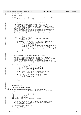# Registered Version: Linux Kernel Support for JFS **ifs dmap.c** Exhibit 12.1−1 pg 43/47

```
3781 s8 *tp, *cp, *cp1;
3782
3783 tp = dtp−>stree;
3784
3785 /* Determine the maximum free string possible for the leaves */
3786 l2max = le32_to_cpu(dtp−>l2nleafs) + dtp−>budmin;
3787
3788<br>3789
                    * configure the leaf levevl into binary buddy system
3790<br>3791
                     * Try to combine buddies starting with a buddy size of 1
3792 * (i.e. two leaves). At a buddy size of 1 two buddy leaves 
3793 * can be combined if both buddies have a maximum free of l2min; 
3794 * the combination will result in the left−most buddy leaf having 
                     * a maximum free of l2min+1.
3796 * After processing all buddies for a given size, process buddies 
3797 * at the next higher buddy size (i.e. current size * 2) and 
3798 * the next maximum free (current free + 1).<br>3799 * This continues until the maximum possible
3799 * This continues until the maximum possible buddy combination 
                     * yields maximum free.
3801
3802 for (l2free = dtp->budmin, bsize = 1; l2free < l2max;<br>3803 12free++, bsize = nextb) {
3803 <br>3804 <br>3804 <br>3804 <br>3804 <br>3804 <br>3804 <br>3804 <br>3804 <br>3804 <br>3804 <br>3804 <br>3805 <br>3804 <br>3805 <br>3805 <br>3805 <br>3805 <br>3805 <br>3805 <br>3805 <br>3805 <br>3805 <br>3805 <br>3805 <br>3805 <br>3805 <br>3805 <br>3805 <br>3805 <br>3805 <br>3805 <br>3805 <br>3805 <br>3805 <br>3805 <br>3805 <br>
3804 /* get next buddy size == current buddy pair size */
                                nextb = bsize << 1;3806
3807 /* scan each adjacent buddy pair at current buddy size */
3808 for (i = 0, cp = tp + le32_to_cpu(dtp−>leafidx);
3809 i < le32_to_cpu(dtp−>nleafs);
3810 i += nextb, cp += nextb) {<br>
\begin{array}{r} i += nextb, cp += nextb) {<br>
\begin{array}{r} i \star \text{ coalesce if both adjacent buddies are max free */} \\ \text{if } (*cp == 12 \text{ free & % * (cp + bsize) == 12 \text{ free}) \} \\ *cp = 12 \text{ free + } i \end{array} \begin{array}{r} i \star \text{ coalesce + } i \end{array}<br>
\begin{array}{r} i \star \text{ coalesce + } i \end{array}<br>
\begin{array}{r} i \star \3816 }
3817 }
3818
3819<br>3820
                     * bubble summary information of leaves up the tree.
3821<br>3822
<sup>382</sup><br>3822 * Starting at the leaf node level, the four nodes described by<br>3823 * the higher level parent node are compared for a maximum free
3823 * the higher level parent node are compared for a maximum free and * this maximum becomes the value of the parent node.
3824 * this maximum becomes the value of the parent node.<br>3824 * this maximum becomes the value of the parent nodes
3825 * when all lower level nodes are processed in this fashion then 
3826 * move up to the next level (parent becomes a lower level node) and 
3827 * continue the process for that level.
38283829 for (child = le32_to_cpu(dtp−>leafidx),
3830 nparent = le32_to_cpu(dtp−>nleafs) >> 2;
3831 nparent > 0; nparent >>= 2, child = parent) {
3832 /* get index of 1st node of parent level */
3833 parent = (child − 1) >> 2;
3834
3835 /* set the value of the parent node as the maximum 
3836 * of the four nodes of the current level.
3837 * /
3838 for (i = 0, cp = tp + child, cp1 = tp + parent;<br>3839 i < nparent; i++, cp += 4, cp1++)
\starcpl = TREEMAX(cp);<br>3841  }
3841 }
3842
3843 return (*tp);
     }
3845
3846
3847 /*<br>3848 *
                   dbInitDmapCtl()3849<br>3850
        3850 * function: initialize dmapctl page
3851<br>3852
3852 static int dbInitDmapCtl(struct dmapctl * dcp, int level, int i)
3853 { /* start leaf index not covered by range */
3854 s8 *cp;
3855
3856 dcp−>nleafs = cpu_to_le32(LPERCTL);
3857 dcp−>l2nleafs = cpu_to_le32(L2LPERCTL);
3858 dcp−>leafidx = cpu_to_le32(CTLLEAFIND);
3859 dcp−>height = cpu_to_le32(5);
3860 dcp−>budmin = L2BPERDMAP + L2LPERCTL * level;
3861
3862<br>3863
3863 * initialize the leaves of current level that were not covered 
3864 * by the specified input block range (i.e. the leaves have no 
3865 * low level dmapctl or dmap).
\begin{array}{ccc}\n3866 & & & \star \text{/}\n\end{array}
3867 CD
3867 cp = &dcp->stree[CTLLEAFIND + i];<br>3868 for (; i < LPERCTL; i++)
3868 for (; i < LPERCTL; i++)<br>3869 * cp++ = NOFREE;
```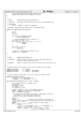```
3871 /* build the dmap's binary buddy summary tree */
3872 return (dbInitTree((struct dmaptree *) dcp));
3873 }
3874
3875
\begin{array}{ccc} 3876 & \diagup\star & \\ 3877 & \ast & NAME \: . \end{array}3877 * NAME: dbGetL2AGSize()/ujfs_getagl2size()
\begin{array}{ccccc}\n3878 & & * & \\
3879 & & * & FUNCTION:\n\end{array}Determine log2(allocation group size) from aggregate size
3880<br>3881
        PARAMETERS:
3882 * nblocks − Number of blocks in aggregate
3883 *
        RETURNS: log2(allocation group size) in aggregate blocks
3885 */
3886 static int dbGetL2AGSize(s64 nblocks)
3887 {
3888 s64 sz;
3889 s 64 m;<br>3890 int 12
              int l2sz;
3891
3892 if (nblocks < BPERDMAP * MAXAG)<br>3893 return (L2BPERDMAP);
                         3893 return (L2BPERDMAP);
3894
3895 /* round up aggregate size to power of 2 */
3896 m = ((u64) 1 << (64 − 1));
3897 for (l2sz = 64; l2sz >= 0; l2sz−−, m >>= 1) {
3898 if (m & nblocks)
3899 break;
3900 }
3901
3902 sz = (s64) 1 << 12sz;
3903 if (sz < nblocks)
                         12sz + 1;3905
3906 /* agsize = roundupSize/max_number_of_ag */
3907 return (l2sz − L2MAXAG);
3908 }
3909
3910
\begin{array}{ccc} 3911 & \nearrow^* & \\ 3912 & & * & \text{NAME :} \end{array}3912 * NAME: dbMapFileSizeToMapSize()
3913 *<br>3914 * FUNCTION:
3914 * FUNCTION: compute number of blocks the block allocation map file<br>3915 * \phantom{00} can cover from the map file size;
                         can cover from the map file size;
3916 *<br>3917 * RETURNS:
     * RETURNS: Number of blocks which can be covered by this block map file;
3918
3919
3920 /*
3921 * maximum number of map pages at each level including control pages
3922<br>3923
    3923 #define MAXL0PAGES (1 + LPERCTL)
3924 #define MAXL1PAGES (1 + LPERCTL * MAXL0PAGES)
3925 #define MAXL2PAGES (1 + LPERCTL * MAXL1PAGES)
3926
3927
3928 * convert number of map pages to the zero origin top dmapctl level
3929
3930 #define BMAPPGTOLEV(npages) \
3931 (((npages) <= 3 + MAXL0PAGES) ? 0 \
3932 : ((npages) <= 2 + MAXL1PAGES) ? 1 : 2)
3933<br>3934
   s64 dbMapFileSizeToMapSize(struct inode * ipbmap)
3935 {
<sub>3936</sub> struct super_block *sb = ipbmap->i_sb;<br><sub>3937</sub> s64 nblocks;
3937 s64 nblocks;<br>3938 s64 npages,
3938 s64 npages, ndmaps;
3939 int level, i;
3940 int complete, factor;
3941
3942 nblocks = ipbmap−>i_size >> JFS_SBI(sb)−>l2bsize;
3943 npages = nblocks >> JFS_SBI(sb)−>l2nbperpage;
3944 level = BMAPPGTOLEV(npages);
3945
3946 /* At each level, accumulate the number of dmap pages covered by 
3947 * the number of full child levels below it;
3948 * repeat for the last incomplete child level.<br>3948 * repeat for the last incomplete child level.
3949 */
3950 ndmaps = 0;<br>3951 npages--;
                                             3951 npages−−; /* skip the first global control page */
3952 \overline{a} /* skip higher level control pages above top level covered by map */<br>3953 nonores = (2 - 1)evel);
3953 npages -5 (2 – level);<br>3954 npages --;
\frac{3954}{3954} npages−-; \frac{1}{2} /* skip top level's control page */<br>3954 for (i = level; i >= 0; i --) {
              3955 for (i = level; i >= 0; i−−) {
3956 factor = 1 =3957 (i == 2) ? MAXL1PAGES : (i == 1) ? MAXL0PAGES : 1);<br>3958 \text{complete} = (u32) npages / factor;
3958 complete = (u32) npages / factor;<br>3959 complete * ((i == 2) ? L
                                                   ( (i == 2) ? LPERCTL * LPERCTL
3960 : (i == 1) ? LPERCTL : 1));
Registered Version: Linux Kernel Support for JFS ifs dmap.c Exhibit 12.1−1 pg 44/47
```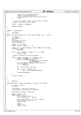```
3961
3962 /* pages in last/incomplete child */
3963 npages = (u32) npages \frac{1}{3} factor;<br>3964 /* skip incomplete child's leve
3964 /* skip incomplete child's level control page */
             1955 npages−−;<br>}
3966 }
3967
3968 /* convert the number of dmaps into the number of blocks<br>3969 * which can be covered by the dmaps;
               * which can be covered by the dmaps;<br>*/
3970<br>3971
             nblocks = ndmaps << L2BPERDMAP;
3972
   return (nblocks);
3974 }
3975
3976
3977 #ifdef _JFS_DEBUG_DMAP
3978 7 *<br>3979 *
3979 * DBinitmap()<br>3980 */
3980 */
3981 static void DBinitmap(s64 size, struct inode *ipbmap, u32 ** results)
3982 {<br>3983\frac{3983}{3984} int npages;<br>\frac{1}{3984} u32 *dbmap,
3984 u32 * dbmap, d;<br>3985 int n;
             int n;
3986 s64 lblkno, cur_block;
3987 struct dmap *dp;
3988 struct metapage *mp;
3989
3990 npages = size / 32768;
\frac{1533}{3991} npages += (size % 32768) ? 1 : 0;
3992
3993 dbmap = (u32 * ) xmalloc(npages * 4096, L2PSIZE, kernel_heap);<br>3994 if (dbmap == NIII.)
\mathbf{if} \ (\text{dbmap} == \text{NULL})assert(0);3996
3997 for (n = 0, d = dbmap; n < npages; n++, d += 1024)
3998 bzero(d, 4096);
3999
4000 /* Need to initialize from disk map pages
4001<br>4002
<sup>4002</sup> for (d = dbmap, cur_block = 0; cur_block < size;<br>4003 cur_block += BPERDMAP, d += LPERDMAP) {
4003 cur_block += BPERDMAP, d += LPERDMAP) {<br>
4004 1blkno = BLKTODMAP(cur block.
4004 <br>
1blkno = BLKTODMAP(cur_block, 1005
4005 JFS_SBI(ipbmap−>i_sb)−>bmap−>
4006 db_l2nbperpage);
4007 mp = read_metapage(ipbmap, lblkno, PSIZE, 0);
4008 if (mp == NULL) {
4009 assert(0);
4010 }
\phi dp = (struct dmap *) mp->data;
4012<br>4013
for (n = 0; n < LPERDMAP; n++)<br>d[n] = le32_to_cpu(dp -d[n] = le32_to_cpu(dp->wmap[n]);4015
4016 release_metapage(mp);<br>4017 }
4017 }
4018
4019 *results = dbmap;
4020 }
4021
4022
4023 / *<br>4024 *\star DBAlloc()
4025
\frac{1}{4026} void DBAlloc(uint * dbmap, s64 mapsize, s64 blkno, s64 nblocks)
4027 \quad \left\{ \right. \\ 40284028 int word, nb, bitno;<br>1132 mask;
             u32 mask;
4030
4031 assert(blkno > 0 && blkno < mapsize);
             assert(nblocks > 0 && nblocks <= mapsize);
4033
4034 assert(blkno + nblocks <= mapsize);
4035
4036 dbmap += (blkno / 32);<br>4037 while (nblocks > 0) {
4037 while (nblocks > 0) {
4038 bitno = blkno & (32 − 1);
4039 nb = min(nblocks, 32 − bitno);
4040
1044 mask = (0xffffffff << (32 - nb) >> bitno);<br>4042 assert((mask & *dbmap) == 0);
4042 assert((mask & *dbmap) == 0);
4043 *dbmap |= mask;
4044
\frac{1}{4045} dbmap++;
4046 blkno += nb;<br>
4047 hblocks -= n
              nblocks −= nb;
4048<br>4049       }
4049 }
Registered Version: Linux Kernel Support for JFS ifs dmap.c Exhibit 12.1−1 pg 45/47
```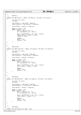Registered Version: Linux Kernel Support for JFS **ifs dmap.c** Exhibit 12.1−1 pg 46/47

```
4052 *<br>4053 *<br>4054 */
              DBFree()
40544055 static void DBFree(uint * dbmap, s64 mapsize, s64 blkno, s64 nblocks)
    \{1057 int word, nb, bitno;<br>1058 u32 mask;
              u32 mask;
4059
4060 assert(blkno > 0 && blkno < mapsize);
              assert(nblocks > 0 && nblocks <= mapsize);
4062
              assert(blkno + nblocks <= mapsize);4064
4065 dbmap += (blkno / 32);
4066 while (nblocks > 0) {
4067 bitno = blkno & (32 − 1);
4068 nb = min(nblocks, 32 − bitno);
4069
4070 mask = (0xffffffff << (32 − nb) >> bitno);
4071 assert((mask & *dbmap) == mask);
*dbmap \&= ~mask;
4073
4074 dbmap++;<br>4075 blkno +=
4075 blkno += nb;
4076 nblocks −= nb;
\begin{array}{c} 4077 \\ 4078 \end{array} \biggr\}4078 }
4079
4080
4081 /*<br>4082 *
     \begin{array}{cc} \star & DBAIlocCK() \ \star & \end{array}4083
4084 static void DBAllocCK(uint * dbmap, s64 mapsize, s64 blkno, s64 nblocks)
4085 \{<br>4086int word, nb, bitno;
4087 u32 mask;
4088
4089 assert(blkno > 0 && blkno < mapsize);
              assert(nblocks > 0 && nblocks <= mapsize);
4091
4092 assert(blkno + nblocks <= mapsize);
4093
4094 dbmap += (b)kno / 32);<br>4095 while (nblocks > 0) {
4095 while (nblocks > 0) {<br>
4096 bitno = blkno & (32 − 1);<br>
a097 nb = min(nblocks, 32 − bitno);
4098
4099 mask = (0 \times \text{effiff} \times (32 - \text{nb}) >> \text{bitno});<br>4100 assert ((mask & *dbman) == mask);
                        assert((mask & *dbmap) == mask);4101
4102 dbmap++;<br>4103 blkno +=
4103 blkno += nb;<br>
4104 hblocks -= n
              4104 nblocks −= nb;
4105 }
4106 }
4107
4108
4109 /*<br>4110 *
              DBFreeCK()
4111 + 74112 static void DBFreeCK(uint * dbmap, s64 mapsize, s64 blkno, s64 nblocks)
4113 {<br>4114int word, nb, bitno;
4115 u32 mask;
4116
4117 assert(blkno > 0 & blkno < mapsize);<br>4118 assert(nblocks > 0 & anblocks <= maps
              assert(nblocks > 0 & \& nblocks <= mapsize);4119
\frac{1}{4120} assert(blkno + nblocks <= mapsize);
4121
4122 dbmap += (blkno / 32);<br>4123 while (nblocks > 0) {
4123 while (nblocks > 0) {
4124 bitno = blkno & (32 − 1);
4125 nb = min(nblocks, 32 − bitno);
4126
4127 mask = (0xffffffff << (32 − nb) >> bitno);<br>4128 assert((mask & *dbmap) == 0);
                        assert((mask & *dbmap) == 0);4129
4130 dbmap++;<br>4131 blkno +=
                        blkno += nb;4132 nblocks −= nb;
\begin{array}{c} 4133 \\ 4134 \end{array}4134 }
4135
4136
4137 /*<br>4138 *
     \star dbPrtMap()
4139
4140 static void dbPrtMap(struct bmap * bmp)
```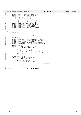```
4141<br>41424142 printk(" mapsize: %d%d\n", bmp->db_mapsize);<br>
printk(" mfree: %d%d\n", bmp->db_ntpsize);<br>
printk(" mumag: %d\n", bmp->db_numag);<br>
printk(" agize: %d%d\n", bmp->db_numag);<br>
printk(" agize: %d%d\n", bmp->db_agsize);<br>
pr
4154 printk(" l2nbppg: %d\n", bmp−>db_l2nbperpage);
4155 }
4156
4157
4158 /*<br>4159 *
4159 \star dbPrtCtl()<br>4160 \star/
      \star/
4161 static void dbPrtCtl(struct dmapctl * dcp)
4162 {<br>4163int i, j, n;
4164
4166 printk(" height: %08x\n", le32_to_cpu(dcp->height));<br>1466 printk(" leafidx: %08x\n", le32_to_cpu(dcp->leafidx));<br>1467 printk(" budmin: %08x\n", dcp->budmin);<br>printk(" nleafs: %08x\n", le32_to_cpu(dcp->nleafs));<br>printk
4170
4171 printk("\n Tree:\n");<br>
4172 <b>for (i = 0; i < CTLLEAFIND; i += 8) {
n = min(8, CTLLEAFIND - i);4174
4175 for (j = 0; j < n; j++)
4176 printf(" [%03x]: %02x", i + j,
4177 (char) dcp−>stree[i + j]);<br>4178 printf("\n");
                 \texttt{printf("n");}4179 }
4180
4181 printk("\n Tree Leaves:\n");
4182 for (i = 0; i < LPERCTL; i += 8) {
4183 n = min(8, LPERCTL − i);
4184
for (j = 0; j < n; j++)<br>
printf(" [%03x]: %02x",<br>
4187 i + j,
4188 (char) dcp−>stree[i + j + CTLLEAFIND]);<br>
\text{ar}<sup>4189</sup>
                  \texttt{printf("n");}41904191 }<br>4192 #endif
                                                     4192 #endif /* _JFS_DEBUG_DMAP */
Registered Version: Linux Kernel Support for JFS ifs dmap.c Exhibit 12.1−1 pg 47/47
```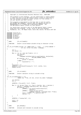```
\frac{1}{1}2 * Copyright (c) International Business Machines Corp., 2000−2002
\frac{3}{4}4 * This program is free software; you can redistribute it and/or modify
 5 * it under the terms of the GNU General Public License as published by
6 * the Free Software Foundation; either version 2 of the License, or 
7 * (at your option) any later version.
 8 * 
% * This program is distributed in the hope that it will be useful,<br>"but WITHOUT ANY WARRANTY; without even the implied warranty of<br>"* MERCHANTABILITY or FITNESS FOR A PARTICULAR PURPOSE. See<br>"* the GNU General Public Lice
13<br>14<sup>14</sup> * You should have received a copy of the GNU General Public License<br><sup>15</sup> * along with this program: if not, write to the Free Software
15 * along with this program; if not, write to the Free Software 
16 * Foundation, Inc., 59 Temple Place, Suite 330, Boston, MA 02111−1307 USA
\frac{10}{17} */
18
19 #include <linux/fs.h>
20 #include <linux/slab.h>
21 #include "jfs_types.h"
22 #include "jfs_filsys.h"
23 #include "jfs_unicode.h"
24 #include "jfs_debug.h"
25
26 \frac{7}{27} * NAME:
                              ifs strfromUCS()
28 *
         29 * FUNCTION: Convert little−endian unicode string to character string
30^{\circ}\frac{31}{32}32 int jfs_strfromUCS_le(char *to, const wchar_t * from, /* LITTLE ENDIAN */
33 33 int len, struct nls_table *codepage)<br>34 {
34 {
\frac{35}{36} int i;
                 int outlen = 0;
37
\begin{array}{lll} 38 & \text{for} & \text{if } i < \text{len} \text{)} & \& \text{for } \text{inf } \text{charlen} \text{;} \\ 39 & \text{int } \text{charlen} \text{;} \end{array}\int_{40}^{39} int charlen;
                              charlen =
41 codepage−>uni2char(le16_to_cpu(from[i]), &to[outlen],
42 NLS_MAX_CHARSET_SIZE);
43 if (charlen > 0) {
44 outlen += charlen;
45 } else {
46 \qquad \qquad \text{to} \qquad \qquad \text{to} \qquad \qquad \text{to} \qquad \qquad \text{to} \qquad \qquad \text{to} \qquad \text{to} \qquad \text{to} \qquad \text{to} \qquad \text{to} \qquad \text{to} \qquad \text{to} \qquad \text{to} \qquad \text{to} \qquad \text{to} \qquad \text{to} \qquad \text{to} \qquad \text{to} \qquad \text{to} \qquad \text{to} \qquad \text{to} \qquad \text{to} \qquad \text{to} \qquad \text{to} \qquad \text{to} \qquad \text{to} \q47 }
48 }
49 \bigcirc [outlen] = 0;<br>50 \bigcirc iEVENT(0, ("ifs s
50 jEVENT(0, ("jfs_strfromUCS returning %d − '%s'\n", outlen, to));
51 return outlen;
52 }
53
54 \frac{7}{55} * NAME:
                              ifs strtoUCS()
56 *
         FUNCTION: Convert character string to unicode string
58<br>59
59 */
60 int jfs_strtoUCS(wchar_t * to,
61 const char *from, int len, struct nls_table *codepage)
\begin{matrix} 62 & \phantom{0} \phantom{0} \phantom{0} & \phantom{0} \\ 63 & \phantom{0} \phantom{0} & \phantom{0} \end{matrix}63 int charlen;
64 int i;
65
\frac{1}{66} iEVENT(0, ("ifs strtoUCS - '%s'\n", from));
67
68 for (i = 0; len && *from; i++, from += charlen, len −= charlen) {
69 charlen = codepage−>char2uni(from, len, &to[i]);
                              if (charlen < 1) {
\frac{71}{72} \frac{1}{2} \frac{1}{2} \frac{1}{2} \frac{1}{2} \frac{1}{2} \frac{1}{2} \frac{1}{2} \frac{1}{2} \frac{1}{2} \frac{1}{2} \frac{1}{2} \frac{1}{2} \frac{1}{2} \frac{1}{2} \frac{1}{2} \frac{1}{2} \frac{1}{2} \frac{1}{2} \frac{1}{2} \frac{1}{2} \frac{1}{2}72 charlen));<br>73 charlen));<br>\text{JEROR}(1, (\text{''cluster} = \%s,JEROR(1, ({}"charset = %s, char = 0x%x\n')\n2474 codepage−>charset, (unsigned char) *from));
75 to[i] = 0x003f; /* a question mark */<br>76 charlen = 1;
76 charlen = 1;<br>77}
77 }
78 }
79
80 jEVENT(0, (" returning %d\n", i));
81
82 to[i] = 0;
83 return i;
    \left| \right|85
86 {\tiny \begin{array}{cc} \times \\ 87 \end{array}} * NAME:
                              get_UCSname()
88<br>89
         FUNCTION: Allocate and translate to unicode string
90Registered Version: Linux Kernel Support for JFS jfs_unicode.c Exhibit 12.1−2 pg 1/2
```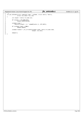```
\frac{91}{92} int
 92 int get_UCSname(struct component_name * uniName, struct dentry *dentry,
93 struct nls_table *nls_tab)
94 {
             95 int length = dentry−>d_name.len;
95<br>96<br>97
 97 if (length > JFS_NAME_MAX)
98 return ENAMETOOLONG;
99
100 uniName−>name =
                 1001 kmalloc((length + 1) * sizeof(wchar_t), GFP_NOFS);
101<br>102<br>103103 if (uniName−>name == NULL)
                      return ENOSPC;
105<br>106<br>107
106 uniName−>namlen = jfs_strtoUCS(uniName−>name, dentry−>d_name.name,
107 length, nls_tab);
108
             return 0;
110 }
Registered Version: Linux Kernel Support for JFS jfs_unicode.c Exhibit 12.1−2 pg 2/2
```